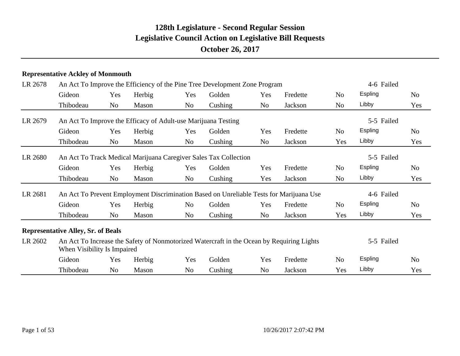#### **Representative Ackley of Monmouth**

| LR 2678<br>LR 2679<br>LR 2680<br>LR 2681 | An Act To Improve the Efficiency of the Pine Tree Development Zone Program |                |        |                | 4-6 Failed                                                       |     |                                                                                           |                |                |                |
|------------------------------------------|----------------------------------------------------------------------------|----------------|--------|----------------|------------------------------------------------------------------|-----|-------------------------------------------------------------------------------------------|----------------|----------------|----------------|
|                                          | Gideon                                                                     | Yes            | Herbig | Yes            | Golden                                                           | Yes | Fredette                                                                                  | No.            | Espling        | N <sub>o</sub> |
|                                          | Thibodeau                                                                  | No             | Mason  | No             | Cushing                                                          | No  | Jackson                                                                                   | No             | Libby          | Yes            |
|                                          | An Act To Improve the Efficacy of Adult-use Marijuana Testing              |                |        |                |                                                                  |     |                                                                                           |                | 5-5 Failed     |                |
|                                          | Gideon                                                                     | Yes            | Herbig | Yes            | Golden                                                           | Yes | Fredette                                                                                  | No             | Espling        | N <sub>o</sub> |
|                                          | Thibodeau                                                                  | No             | Mason  | No             | Cushing                                                          | No  | Jackson                                                                                   | Yes            | Libby          | Yes            |
|                                          |                                                                            |                |        |                | An Act To Track Medical Marijuana Caregiver Sales Tax Collection |     |                                                                                           |                | 5-5 Failed     |                |
|                                          | Gideon                                                                     | Yes            | Herbig | Yes            | Golden                                                           | Yes | Fredette                                                                                  | No.            | Espling        | N <sub>o</sub> |
|                                          | Thibodeau                                                                  | N <sub>0</sub> | Mason  | N <sub>o</sub> | Cushing                                                          | Yes | Jackson                                                                                   | No.            | Libby          | Yes            |
|                                          |                                                                            |                |        |                |                                                                  |     | An Act To Prevent Employment Discrimination Based on Unreliable Tests for Marijuana Use   |                | 4-6 Failed     |                |
|                                          | Gideon                                                                     | Yes            | Herbig | No             | Golden                                                           | Yes | Fredette                                                                                  | No             | <b>Espling</b> | No             |
|                                          | Thibodeau                                                                  | N <sub>o</sub> | Mason  | N <sub>o</sub> | Cushing                                                          | No  | Jackson                                                                                   | Yes            | Libby          | Yes            |
|                                          | <b>Representative Alley, Sr. of Beals</b>                                  |                |        |                |                                                                  |     |                                                                                           |                |                |                |
| LR 2602                                  | When Visibility Is Impaired                                                |                |        |                |                                                                  |     | An Act To Increase the Safety of Nonmotorized Watercraft in the Ocean by Requiring Lights |                | 5-5 Failed     |                |
|                                          | Gideon                                                                     | Yes            | Herbig | Yes            | Golden                                                           | Yes | Fredette                                                                                  | N <sub>o</sub> | <b>Espling</b> | N <sub>o</sub> |
|                                          | Thibodeau                                                                  | N <sub>0</sub> | Mason  | No             | Cushing                                                          | No  | Jackson                                                                                   | Yes            | Libby          | Yes            |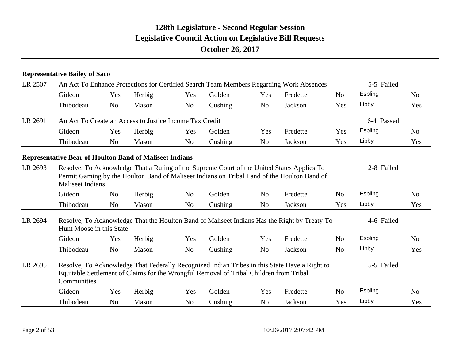#### **Representative Bailey of Saco**

| LR 2507<br>LR 2691<br>LR 2693<br>LR 2694<br>LR 2695 |                                                                |                | An Act To Enhance Protections for Certified Search Team Members Regarding Work Absences |                | 5-5 Failed                                                                                                                                                                                |                |                |                |            |                |
|-----------------------------------------------------|----------------------------------------------------------------|----------------|-----------------------------------------------------------------------------------------|----------------|-------------------------------------------------------------------------------------------------------------------------------------------------------------------------------------------|----------------|----------------|----------------|------------|----------------|
|                                                     | Gideon                                                         | Yes            | Herbig                                                                                  | Yes            | Golden                                                                                                                                                                                    | Yes            | Fredette       | N <sub>0</sub> | Espling    | N <sub>0</sub> |
|                                                     | Thibodeau                                                      | N <sub>o</sub> | Mason                                                                                   | N <sub>0</sub> | Cushing                                                                                                                                                                                   | N <sub>o</sub> | Jackson        | Yes            | Libby      | Yes            |
|                                                     |                                                                |                | An Act To Create an Access to Justice Income Tax Credit                                 |                |                                                                                                                                                                                           |                |                |                | 6-4 Passed |                |
|                                                     | Gideon                                                         | Yes            | Herbig                                                                                  | Yes            | Golden                                                                                                                                                                                    | Yes            | Fredette       | Yes            | Espling    | N <sub>o</sub> |
|                                                     | Thibodeau                                                      | N <sub>o</sub> | Mason                                                                                   | N <sub>o</sub> | Cushing                                                                                                                                                                                   | N <sub>o</sub> | Jackson        | Yes            | Libby      | Yes            |
|                                                     | <b>Representative Bear of Houlton Band of Maliseet Indians</b> |                |                                                                                         |                |                                                                                                                                                                                           |                |                |                |            |                |
|                                                     | <b>Maliseet Indians</b>                                        |                |                                                                                         |                | Resolve, To Acknowledge That a Ruling of the Supreme Court of the United States Applies To<br>Permit Gaming by the Houlton Band of Maliseet Indians on Tribal Land of the Houlton Band of |                |                |                | 2-8 Failed |                |
|                                                     | Gideon                                                         | N <sub>o</sub> | Herbig                                                                                  | N <sub>0</sub> | Golden                                                                                                                                                                                    | N <sub>0</sub> | Fredette       | N <sub>o</sub> | Espling    | N <sub>o</sub> |
|                                                     | Thibodeau                                                      | N <sub>o</sub> | Mason                                                                                   | N <sub>0</sub> | Cushing                                                                                                                                                                                   | N <sub>o</sub> | Jackson        | Yes            | Libby      | Yes            |
|                                                     | Hunt Moose in this State                                       |                |                                                                                         |                | Resolve, To Acknowledge That the Houlton Band of Maliseet Indians Has the Right by Treaty To                                                                                              |                |                |                | 4-6 Failed |                |
|                                                     | Gideon                                                         | Yes            | Herbig                                                                                  | Yes            | Golden                                                                                                                                                                                    | Yes            | Fredette       | N <sub>o</sub> | Espling    | N <sub>0</sub> |
|                                                     | Thibodeau                                                      | N <sub>o</sub> | Mason                                                                                   | N <sub>o</sub> | Cushing                                                                                                                                                                                   | N <sub>o</sub> | <b>Jackson</b> | N <sub>o</sub> | Libby      | Yes            |
|                                                     | Communities                                                    |                |                                                                                         |                | Resolve, To Acknowledge That Federally Recognized Indian Tribes in this State Have a Right to<br>Equitable Settlement of Claims for the Wrongful Removal of Tribal Children from Tribal   |                |                |                | 5-5 Failed |                |
|                                                     | Gideon                                                         | Yes            | Herbig                                                                                  | Yes            | Golden                                                                                                                                                                                    | Yes            | Fredette       | N <sub>0</sub> | Espling    | N <sub>o</sub> |
|                                                     | Thibodeau                                                      | N <sub>o</sub> | Mason                                                                                   | N <sub>o</sub> | Cushing                                                                                                                                                                                   | N <sub>o</sub> | Jackson        | Yes            | Libby      | Yes            |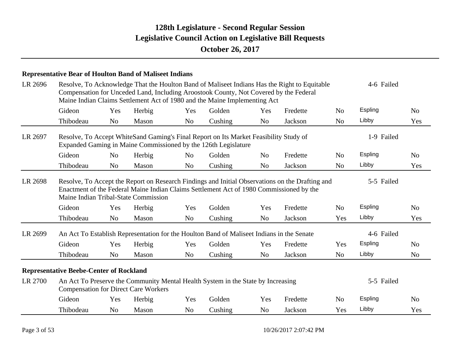|         | <b>Representative Bear of Houlton Band of Maliseet Indians</b> |                |                                             |                |                                                                                                                                                                    |                |                                                                                                                                                                                            |                |            |                |  |
|---------|----------------------------------------------------------------|----------------|---------------------------------------------|----------------|--------------------------------------------------------------------------------------------------------------------------------------------------------------------|----------------|--------------------------------------------------------------------------------------------------------------------------------------------------------------------------------------------|----------------|------------|----------------|--|
| LR 2696 |                                                                |                |                                             |                | Compensation for Unceded Land, Including Aroostook County, Not Covered by the Federal<br>Maine Indian Claims Settlement Act of 1980 and the Maine Implementing Act |                | Resolve, To Acknowledge That the Houlton Band of Maliseet Indians Has the Right to Equitable                                                                                               |                | 4-6 Failed |                |  |
|         | Gideon                                                         | Yes            | Herbig                                      | Yes            | Golden                                                                                                                                                             | Yes            | Fredette                                                                                                                                                                                   | N <sub>o</sub> | Espling    | N <sub>0</sub> |  |
|         | Thibodeau                                                      | No             | Mason                                       | N <sub>o</sub> | Cushing                                                                                                                                                            | N <sub>o</sub> | Jackson                                                                                                                                                                                    | N <sub>o</sub> | Libby      | Yes            |  |
| LR 2697 |                                                                |                |                                             |                | Resolve, To Accept WhiteSand Gaming's Final Report on Its Market Feasibility Study of<br>Expanded Gaming in Maine Commissioned by the 126th Legislature            |                |                                                                                                                                                                                            |                | 1-9 Failed |                |  |
|         | Gideon                                                         | N <sub>o</sub> | Herbig                                      | N <sub>o</sub> | Golden                                                                                                                                                             | N <sub>o</sub> | Fredette                                                                                                                                                                                   | N <sub>o</sub> | Espling    | N <sub>o</sub> |  |
|         | Thibodeau                                                      | N <sub>o</sub> | Mason                                       | N <sub>o</sub> | Cushing                                                                                                                                                            | N <sub>o</sub> | Jackson                                                                                                                                                                                    | N <sub>0</sub> | Libby      | Yes            |  |
| LR 2698 |                                                                |                | Maine Indian Tribal-State Commission        |                |                                                                                                                                                                    |                | Resolve, To Accept the Report on Research Findings and Initial Observations on the Drafting and<br>Enactment of the Federal Maine Indian Claims Settlement Act of 1980 Commissioned by the |                | 5-5 Failed |                |  |
|         | Gideon                                                         | Yes            | Herbig                                      | Yes            | Golden                                                                                                                                                             | Yes            | Fredette                                                                                                                                                                                   | N <sub>o</sub> | Espling    | N <sub>o</sub> |  |
|         | Thibodeau                                                      | N <sub>o</sub> | Mason                                       | N <sub>o</sub> | Cushing                                                                                                                                                            | N <sub>o</sub> | Jackson                                                                                                                                                                                    | Yes            | Libby      | Yes            |  |
| LR 2699 |                                                                |                |                                             |                | An Act To Establish Representation for the Houlton Band of Maliseet Indians in the Senate                                                                          |                |                                                                                                                                                                                            |                | 4-6 Failed |                |  |
|         | Gideon                                                         | Yes            | Herbig                                      | Yes            | Golden                                                                                                                                                             | Yes            | Fredette                                                                                                                                                                                   | Yes            | Espling    | N <sub>o</sub> |  |
|         | Thibodeau                                                      | N <sub>o</sub> | Mason                                       | N <sub>o</sub> | Cushing                                                                                                                                                            | N <sub>o</sub> | Jackson                                                                                                                                                                                    | N <sub>o</sub> | Libby      | N <sub>o</sub> |  |
|         | <b>Representative Beebe-Center of Rockland</b>                 |                |                                             |                |                                                                                                                                                                    |                |                                                                                                                                                                                            |                |            |                |  |
| LR 2700 |                                                                |                | <b>Compensation for Direct Care Workers</b> |                | An Act To Preserve the Community Mental Health System in the State by Increasing                                                                                   |                |                                                                                                                                                                                            |                | 5-5 Failed |                |  |
|         | Gideon                                                         | Yes            | Herbig                                      | Yes            | Golden                                                                                                                                                             | Yes            | Fredette                                                                                                                                                                                   | N <sub>o</sub> | Espling    | N <sub>o</sub> |  |
|         | Thibodeau                                                      | N <sub>0</sub> | Mason                                       | No             | Cushing                                                                                                                                                            | N <sub>0</sub> | Jackson                                                                                                                                                                                    | Yes            | Libby      | Yes            |  |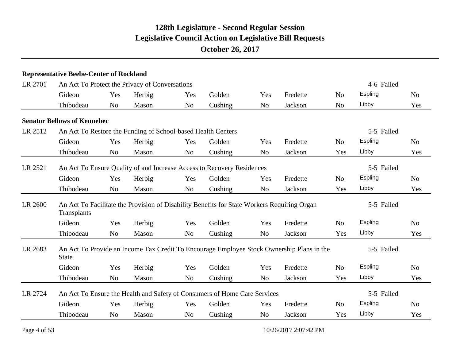|         | <b>Representative Beebe-Center of Rockland</b> |                |                                                              |                |                                                                                             |                |                                                                                           |                |            |                |
|---------|------------------------------------------------|----------------|--------------------------------------------------------------|----------------|---------------------------------------------------------------------------------------------|----------------|-------------------------------------------------------------------------------------------|----------------|------------|----------------|
| LR 2701 |                                                |                | An Act To Protect the Privacy of Conversations               |                |                                                                                             |                |                                                                                           |                | 4-6 Failed |                |
|         | Gideon                                         | Yes            | Herbig                                                       | Yes            | Golden                                                                                      | Yes            | Fredette                                                                                  | N <sub>o</sub> | Espling    | N <sub>0</sub> |
|         | Thibodeau                                      | N <sub>o</sub> | Mason                                                        | N <sub>o</sub> | Cushing                                                                                     | N <sub>o</sub> | Jackson                                                                                   | N <sub>o</sub> | Libby      | Yes            |
|         | <b>Senator Bellows of Kennebec</b>             |                |                                                              |                |                                                                                             |                |                                                                                           |                |            |                |
| LR 2512 |                                                |                | An Act To Restore the Funding of School-based Health Centers |                |                                                                                             |                |                                                                                           |                | 5-5 Failed |                |
|         | Gideon                                         | Yes            | Herbig                                                       | Yes            | Golden                                                                                      | Yes            | Fredette                                                                                  | N <sub>o</sub> | Espling    | N <sub>0</sub> |
|         | Thibodeau                                      | No             | Mason                                                        | N <sub>o</sub> | Cushing                                                                                     | N <sub>o</sub> | Jackson                                                                                   | Yes            | Libby      | Yes            |
| LR 2521 |                                                |                |                                                              |                | An Act To Ensure Quality of and Increase Access to Recovery Residences                      |                |                                                                                           |                | 5-5 Failed |                |
|         | Gideon                                         | Yes            | Herbig                                                       | Yes            | Golden                                                                                      | Yes            | Fredette                                                                                  | N <sub>o</sub> | Espling    | N <sub>o</sub> |
|         | Thibodeau                                      | N <sub>o</sub> | Mason                                                        | N <sub>o</sub> | Cushing                                                                                     | N <sub>o</sub> | Jackson                                                                                   | Yes            | Libby      | Yes            |
| LR 2600 | Transplants                                    |                |                                                              |                | An Act To Facilitate the Provision of Disability Benefits for State Workers Requiring Organ |                |                                                                                           |                | 5-5 Failed |                |
|         | Gideon                                         | Yes            | Herbig                                                       | Yes            | Golden                                                                                      | Yes            | Fredette                                                                                  | N <sub>o</sub> | Espling    | N <sub>0</sub> |
|         | Thibodeau                                      | N <sub>o</sub> | Mason                                                        | N <sub>o</sub> | Cushing                                                                                     | N <sub>o</sub> | Jackson                                                                                   | Yes            | Libby      | Yes            |
| LR 2683 | <b>State</b>                                   |                |                                                              |                |                                                                                             |                | An Act To Provide an Income Tax Credit To Encourage Employee Stock Ownership Plans in the |                | 5-5 Failed |                |
|         | Gideon                                         | Yes            | Herbig                                                       | Yes            | Golden                                                                                      | Yes            | Fredette                                                                                  | N <sub>o</sub> | Espling    | N <sub>0</sub> |
|         | Thibodeau                                      | N <sub>o</sub> | Mason                                                        | N <sub>o</sub> | Cushing                                                                                     | N <sub>o</sub> | Jackson                                                                                   | Yes            | Libby      | Yes            |
| LR 2724 |                                                |                |                                                              |                | An Act To Ensure the Health and Safety of Consumers of Home Care Services                   |                |                                                                                           |                | 5-5 Failed |                |
|         | Gideon                                         | Yes            | Herbig                                                       | Yes            | Golden                                                                                      | Yes            | Fredette                                                                                  | N <sub>o</sub> | Espling    | N <sub>o</sub> |
|         | Thibodeau                                      | N <sub>o</sub> | Mason                                                        | N <sub>o</sub> | Cushing                                                                                     | N <sub>o</sub> | Jackson                                                                                   | Yes            | Libby      | Yes            |
|         |                                                |                |                                                              |                |                                                                                             |                |                                                                                           |                |            |                |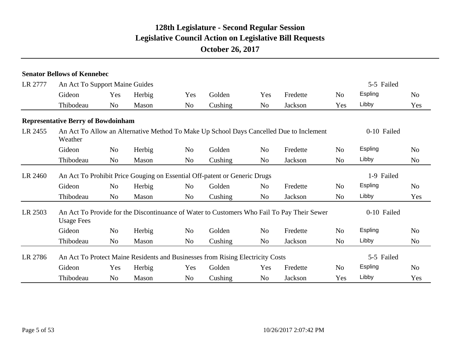|         | <b>Senator Bellows of Kennebec</b>                                             |                |        |                |                                                                           |                |                                                                                            |                |                |                |
|---------|--------------------------------------------------------------------------------|----------------|--------|----------------|---------------------------------------------------------------------------|----------------|--------------------------------------------------------------------------------------------|----------------|----------------|----------------|
| LR 2777 | An Act To Support Maine Guides                                                 |                |        |                |                                                                           |                |                                                                                            |                | 5-5 Failed     |                |
|         | Gideon                                                                         | Yes            | Herbig | Yes            | Golden                                                                    | Yes            | Fredette                                                                                   | N <sub>0</sub> | Espling        | N <sub>o</sub> |
|         | Thibodeau                                                                      | N <sub>o</sub> | Mason  | N <sub>o</sub> | Cushing                                                                   | No             | Jackson                                                                                    | Yes            | Libby          | Yes            |
|         | <b>Representative Berry of Bowdoinham</b>                                      |                |        |                |                                                                           |                |                                                                                            |                |                |                |
| LR 2455 | Weather                                                                        |                |        |                |                                                                           |                | An Act To Allow an Alternative Method To Make Up School Days Cancelled Due to Inclement    |                | 0-10 Failed    |                |
|         | Gideon                                                                         | No             | Herbig | No             | Golden                                                                    | N <sub>o</sub> | Fredette                                                                                   | No             | Espling        | No             |
|         | Thibodeau                                                                      | N <sub>o</sub> | Mason  | N <sub>o</sub> | Cushing                                                                   | N <sub>o</sub> | Jackson                                                                                    | N <sub>o</sub> | Libby          | N <sub>o</sub> |
| LR 2460 |                                                                                |                |        |                | An Act To Prohibit Price Gouging on Essential Off-patent or Generic Drugs |                |                                                                                            |                | 1-9 Failed     |                |
|         | Gideon                                                                         | No             | Herbig | No             | Golden                                                                    | N <sub>o</sub> | Fredette                                                                                   | N <sub>o</sub> | <b>Espling</b> | No             |
|         | Thibodeau                                                                      | No             | Mason  | N <sub>o</sub> | Cushing                                                                   | N <sub>o</sub> | Jackson                                                                                    | N <sub>o</sub> | Libby          | Yes            |
| LR 2503 | <b>Usage Fees</b>                                                              |                |        |                |                                                                           |                | An Act To Provide for the Discontinuance of Water to Customers Who Fail To Pay Their Sewer |                | 0-10 Failed    |                |
|         | Gideon                                                                         | N <sub>o</sub> | Herbig | No             | Golden                                                                    | N <sub>o</sub> | Fredette                                                                                   | N <sub>o</sub> | <b>Espling</b> | No             |
|         | Thibodeau                                                                      | N <sub>o</sub> | Mason  | N <sub>o</sub> | Cushing                                                                   | N <sub>o</sub> | Jackson                                                                                    | N <sub>o</sub> | Libby          | No             |
| LR 2786 | An Act To Protect Maine Residents and Businesses from Rising Electricity Costs |                |        |                |                                                                           |                |                                                                                            |                | 5-5 Failed     |                |
|         | Gideon                                                                         | Yes            | Herbig | Yes            | Golden                                                                    | Yes            | Fredette                                                                                   | N <sub>o</sub> | <b>Espling</b> | No             |
|         | Thibodeau                                                                      | N <sub>o</sub> | Mason  | No             | Cushing                                                                   | No             | Jackson                                                                                    | Yes            | Libby          | Yes            |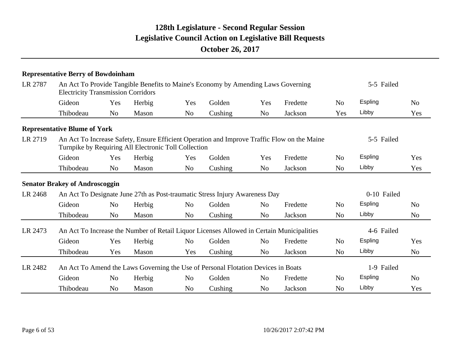|         | <b>Representative Berry of Bowdoinham</b>            |                |        |                |                                                                                           |                |                                                                                             |                |             |                |
|---------|------------------------------------------------------|----------------|--------|----------------|-------------------------------------------------------------------------------------------|----------------|---------------------------------------------------------------------------------------------|----------------|-------------|----------------|
| LR 2787 | <b>Electricity Transmission Corridors</b>            |                |        |                | An Act To Provide Tangible Benefits to Maine's Economy by Amending Laws Governing         |                |                                                                                             |                | 5-5 Failed  |                |
|         | Gideon                                               | Yes            | Herbig | Yes            | Golden                                                                                    | Yes            | Fredette                                                                                    | N <sub>0</sub> | Espling     | N <sub>0</sub> |
|         | Thibodeau                                            | N <sub>o</sub> | Mason  | N <sub>o</sub> | Cushing                                                                                   | N <sub>o</sub> | Jackson                                                                                     | Yes            | Libby       | Yes            |
|         | <b>Representative Blume of York</b>                  |                |        |                |                                                                                           |                |                                                                                             |                |             |                |
| LR 2719 | Turnpike by Requiring All Electronic Toll Collection |                |        |                |                                                                                           |                | An Act To Increase Safety, Ensure Efficient Operation and Improve Traffic Flow on the Maine |                | 5-5 Failed  |                |
|         | Gideon                                               | Yes            | Herbig | Yes            | Golden                                                                                    | Yes            | Fredette                                                                                    | N <sub>0</sub> | Espling     | Yes            |
|         | Thibodeau                                            | N <sub>o</sub> | Mason  | N <sub>o</sub> | Cushing                                                                                   | N <sub>o</sub> | Jackson                                                                                     | N <sub>o</sub> | Libby       | Yes            |
|         | <b>Senator Brakey of Androscoggin</b>                |                |        |                |                                                                                           |                |                                                                                             |                |             |                |
| LR 2468 |                                                      |                |        |                | An Act To Designate June 27th as Post-traumatic Stress Injury Awareness Day               |                |                                                                                             |                | 0-10 Failed |                |
|         | Gideon                                               | N <sub>o</sub> | Herbig | N <sub>o</sub> | Golden                                                                                    | N <sub>o</sub> | Fredette                                                                                    | N <sub>0</sub> | Espling     | N <sub>0</sub> |
|         | Thibodeau                                            | N <sub>o</sub> | Mason  | N <sub>o</sub> | Cushing                                                                                   | N <sub>o</sub> | Jackson                                                                                     | N <sub>o</sub> | Libby       | N <sub>0</sub> |
| LR 2473 |                                                      |                |        |                | An Act To Increase the Number of Retail Liquor Licenses Allowed in Certain Municipalities |                |                                                                                             |                | 4-6 Failed  |                |
|         | Gideon                                               | Yes            | Herbig | N <sub>o</sub> | Golden                                                                                    | N <sub>o</sub> | Fredette                                                                                    | N <sub>o</sub> | Espling     | Yes            |
|         | Thibodeau                                            | Yes            | Mason  | Yes            | Cushing                                                                                   | N <sub>0</sub> | Jackson                                                                                     | N <sub>o</sub> | Libby       | N <sub>0</sub> |
| LR 2482 |                                                      |                |        |                | An Act To Amend the Laws Governing the Use of Personal Flotation Devices in Boats         |                |                                                                                             |                | 1-9 Failed  |                |
|         | Gideon                                               | N <sub>o</sub> | Herbig | N <sub>o</sub> | Golden                                                                                    | N <sub>o</sub> | Fredette                                                                                    | N <sub>o</sub> | Espling     | N <sub>0</sub> |
|         | Thibodeau                                            | N <sub>o</sub> | Mason  | N <sub>o</sub> | Cushing                                                                                   | N <sub>o</sub> | Jackson                                                                                     | N <sub>o</sub> | Libby       | Yes            |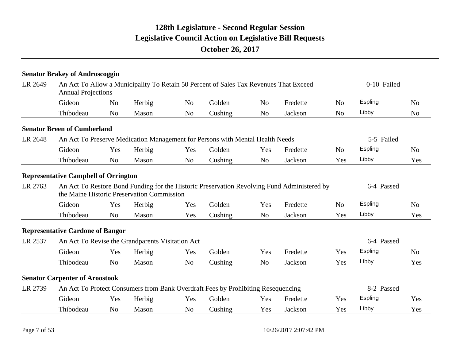|         | <b>Senator Brakey of Androscoggin</b>       |                |                                                  |                |                                                                                       |                |                                                                                             |                |             |                |
|---------|---------------------------------------------|----------------|--------------------------------------------------|----------------|---------------------------------------------------------------------------------------|----------------|---------------------------------------------------------------------------------------------|----------------|-------------|----------------|
| LR 2649 | <b>Annual Projections</b>                   |                |                                                  |                | An Act To Allow a Municipality To Retain 50 Percent of Sales Tax Revenues That Exceed |                |                                                                                             |                | 0-10 Failed |                |
|         | Gideon                                      | N <sub>0</sub> | Herbig                                           | N <sub>0</sub> | Golden                                                                                | N <sub>o</sub> | Fredette                                                                                    | N <sub>0</sub> | Espling     | N <sub>0</sub> |
|         | Thibodeau                                   | N <sub>0</sub> | Mason                                            | N <sub>o</sub> | Cushing                                                                               | N <sub>o</sub> | Jackson                                                                                     | N <sub>o</sub> | Libby       | N <sub>0</sub> |
|         | <b>Senator Breen of Cumberland</b>          |                |                                                  |                |                                                                                       |                |                                                                                             |                |             |                |
| LR 2648 |                                             |                |                                                  |                | An Act To Preserve Medication Management for Persons with Mental Health Needs         |                |                                                                                             |                | 5-5 Failed  |                |
|         | Gideon                                      | Yes            | Herbig                                           | Yes            | Golden                                                                                | Yes            | Fredette                                                                                    | N <sub>o</sub> | Espling     | N <sub>0</sub> |
|         | Thibodeau                                   | N <sub>0</sub> | Mason                                            | N <sub>o</sub> | Cushing                                                                               | N <sub>o</sub> | Jackson                                                                                     | Yes            | Libby       | Yes            |
|         | <b>Representative Campbell of Orrington</b> |                |                                                  |                |                                                                                       |                |                                                                                             |                |             |                |
| LR 2763 |                                             |                | the Maine Historic Preservation Commission       |                |                                                                                       |                | An Act To Restore Bond Funding for the Historic Preservation Revolving Fund Administered by |                | 6-4 Passed  |                |
|         | Gideon                                      | Yes            | Herbig                                           | Yes            | Golden                                                                                | Yes            | Fredette                                                                                    | N <sub>o</sub> | Espling     | N <sub>0</sub> |
|         | Thibodeau                                   | N <sub>0</sub> | Mason                                            | Yes            | Cushing                                                                               | N <sub>o</sub> | Jackson                                                                                     | Yes            | Libby       | Yes            |
|         | <b>Representative Cardone of Bangor</b>     |                |                                                  |                |                                                                                       |                |                                                                                             |                |             |                |
| LR 2537 |                                             |                | An Act To Revise the Grandparents Visitation Act |                |                                                                                       |                |                                                                                             |                | 6-4 Passed  |                |
|         | Gideon                                      | Yes            | Herbig                                           | Yes            | Golden                                                                                | Yes            | Fredette                                                                                    | Yes            | Espling     | N <sub>0</sub> |
|         | Thibodeau                                   | N <sub>o</sub> | Mason                                            | N <sub>o</sub> | Cushing                                                                               | N <sub>o</sub> | Jackson                                                                                     | Yes            | Libby       | Yes            |
|         | <b>Senator Carpenter of Aroostook</b>       |                |                                                  |                |                                                                                       |                |                                                                                             |                |             |                |
| LR 2739 |                                             |                |                                                  |                | An Act To Protect Consumers from Bank Overdraft Fees by Prohibiting Resequencing      |                |                                                                                             |                | 8-2 Passed  |                |
|         | Gideon                                      | Yes            | Herbig                                           | Yes            | Golden                                                                                | Yes            | Fredette                                                                                    | Yes            | Espling     | Yes            |
|         | Thibodeau                                   | N <sub>0</sub> | Mason                                            | N <sub>o</sub> | Cushing                                                                               | Yes            | <b>Jackson</b>                                                                              | Yes            | Libby       | Yes            |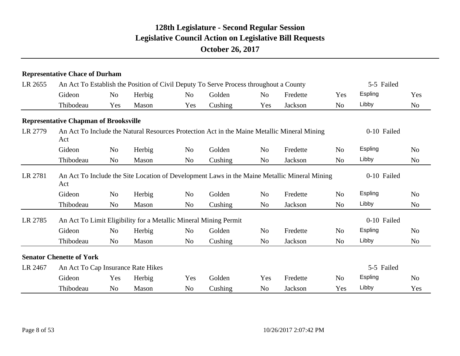|         | <b>Representative Chace of Durham</b>        |                |        |                |                                                                                              |                |          |                |                |                |
|---------|----------------------------------------------|----------------|--------|----------------|----------------------------------------------------------------------------------------------|----------------|----------|----------------|----------------|----------------|
| LR 2655 |                                              |                |        |                | An Act To Establish the Position of Civil Deputy To Serve Process throughout a County        |                |          |                | 5-5 Failed     |                |
|         | Gideon                                       | N <sub>0</sub> | Herbig | N <sub>o</sub> | Golden                                                                                       | N <sub>o</sub> | Fredette | Yes            | Espling        | Yes            |
|         | Thibodeau                                    | Yes            | Mason  | Yes            | Cushing                                                                                      | Yes            | Jackson  | N <sub>o</sub> | Libby          | N <sub>o</sub> |
|         | <b>Representative Chapman of Brooksville</b> |                |        |                |                                                                                              |                |          |                |                |                |
| LR 2779 | Act                                          |                |        |                | An Act To Include the Natural Resources Protection Act in the Maine Metallic Mineral Mining  |                |          |                | 0-10 Failed    |                |
|         | Gideon                                       | N <sub>o</sub> | Herbig | N <sub>o</sub> | Golden                                                                                       | N <sub>o</sub> | Fredette | N <sub>o</sub> | <b>Espling</b> | N <sub>o</sub> |
|         | Thibodeau                                    | N <sub>o</sub> | Mason  | N <sub>o</sub> | Cushing                                                                                      | N <sub>o</sub> | Jackson  | N <sub>o</sub> | Libby          | N <sub>o</sub> |
| LR 2781 | Act                                          |                |        |                | An Act To Include the Site Location of Development Laws in the Maine Metallic Mineral Mining |                |          |                | 0-10 Failed    |                |
|         | Gideon                                       | N <sub>o</sub> | Herbig | No             | Golden                                                                                       | N <sub>o</sub> | Fredette | N <sub>o</sub> | <b>Espling</b> | N <sub>o</sub> |
|         | Thibodeau                                    | N <sub>o</sub> | Mason  | No             | Cushing                                                                                      | N <sub>o</sub> | Jackson  | N <sub>o</sub> | Libby          | N <sub>o</sub> |
| LR 2785 |                                              |                |        |                | An Act To Limit Eligibility for a Metallic Mineral Mining Permit                             |                |          |                | 0-10 Failed    |                |
|         | Gideon                                       | N <sub>o</sub> | Herbig | No             | Golden                                                                                       | N <sub>o</sub> | Fredette | N <sub>o</sub> | <b>Espling</b> | N <sub>o</sub> |
|         | Thibodeau                                    | N <sub>o</sub> | Mason  | No             | Cushing                                                                                      | N <sub>o</sub> | Jackson  | N <sub>o</sub> | Libby          | N <sub>o</sub> |
|         | <b>Senator Chenette of York</b>              |                |        |                |                                                                                              |                |          |                |                |                |
| LR 2467 | An Act To Cap Insurance Rate Hikes           |                |        |                |                                                                                              |                |          |                | 5-5 Failed     |                |
|         | Gideon                                       | Yes            | Herbig | Yes            | Golden                                                                                       | Yes            | Fredette | N <sub>o</sub> | Espling        | N <sub>o</sub> |
|         | Thibodeau                                    | N <sub>o</sub> | Mason  | No             | Cushing                                                                                      | N <sub>o</sub> | Jackson  | Yes            | Libby          | Yes            |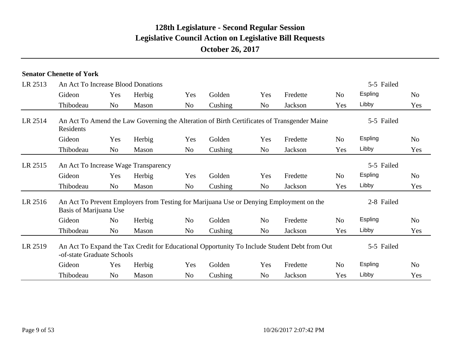|         | <b>Senator Chenette of York</b>    |                |                                      |                |                                                                                              |                |          |                |            |                |
|---------|------------------------------------|----------------|--------------------------------------|----------------|----------------------------------------------------------------------------------------------|----------------|----------|----------------|------------|----------------|
| LR 2513 | An Act To Increase Blood Donations |                |                                      |                |                                                                                              |                |          |                | 5-5 Failed |                |
|         | Gideon                             | Yes            | Herbig                               | Yes            | Golden                                                                                       | Yes            | Fredette | N <sub>0</sub> | Espling    | N <sub>o</sub> |
|         | Thibodeau                          | N <sub>o</sub> | Mason                                | N <sub>o</sub> | Cushing                                                                                      | No             | Jackson  | Yes            | Libby      | Yes            |
| LR 2514 | Residents                          |                |                                      |                | An Act To Amend the Law Governing the Alteration of Birth Certificates of Transgender Maine  |                |          |                | 5-5 Failed |                |
|         | Gideon                             | Yes            | Herbig                               | Yes            | Golden                                                                                       | Yes            | Fredette | N <sub>0</sub> | Espling    | N <sub>0</sub> |
|         | Thibodeau                          | N <sub>o</sub> | Mason                                | No             | Cushing                                                                                      | No             | Jackson  | Yes            | Libby      | Yes            |
| LR 2515 |                                    |                | An Act To Increase Wage Transparency |                |                                                                                              |                |          |                | 5-5 Failed |                |
|         | Gideon                             | Yes            | Herbig                               | Yes            | Golden                                                                                       | Yes            | Fredette | N <sub>o</sub> | Espling    | N <sub>o</sub> |
|         | Thibodeau                          | N <sub>o</sub> | Mason                                | N <sub>o</sub> | Cushing                                                                                      | No             | Jackson  | Yes            | Libby      | Yes            |
| LR 2516 | Basis of Marijuana Use             |                |                                      |                | An Act To Prevent Employers from Testing for Marijuana Use or Denying Employment on the      |                |          |                | 2-8 Failed |                |
|         | Gideon                             | N <sub>0</sub> | Herbig                               | N <sub>0</sub> | Golden                                                                                       | N <sub>0</sub> | Fredette | N <sub>o</sub> | Espling    | N <sub>o</sub> |
|         | Thibodeau                          | N <sub>0</sub> | Mason                                | N <sub>0</sub> | Cushing                                                                                      | N <sub>0</sub> | Jackson  | Yes            | Libby      | Yes            |
| LR 2519 | -of-state Graduate Schools         |                |                                      |                | An Act To Expand the Tax Credit for Educational Opportunity To Include Student Debt from Out |                |          |                | 5-5 Failed |                |
|         | Gideon                             | Yes            | Herbig                               | Yes            | Golden                                                                                       | Yes            | Fredette | N <sub>o</sub> | Espling    | N <sub>o</sub> |
|         | Thibodeau                          | N <sub>0</sub> | Mason                                | N <sub>0</sub> | Cushing                                                                                      | No             | Jackson  | Yes            | Libby      | Yes            |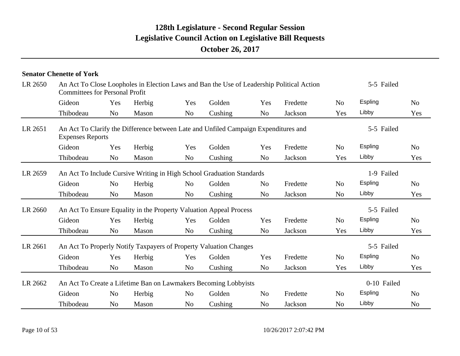|         | <b>Senator Chenette of York</b>       |                |        |                |                                                                                     |                |                                                                                           |                |             |                |
|---------|---------------------------------------|----------------|--------|----------------|-------------------------------------------------------------------------------------|----------------|-------------------------------------------------------------------------------------------|----------------|-------------|----------------|
| LR 2650 | <b>Committees for Personal Profit</b> |                |        |                |                                                                                     |                | An Act To Close Loopholes in Election Laws and Ban the Use of Leadership Political Action |                | 5-5 Failed  |                |
|         | Gideon                                | Yes            | Herbig | Yes            | Golden                                                                              | Yes            | Fredette                                                                                  | No.            | Espling     | N <sub>o</sub> |
|         | Thibodeau                             | N <sub>o</sub> | Mason  | N <sub>o</sub> | Cushing                                                                             | N <sub>o</sub> | Jackson                                                                                   | Yes            | Libby       | Yes            |
| LR 2651 | <b>Expenses Reports</b>               |                |        |                | An Act To Clarify the Difference between Late and Unfiled Campaign Expenditures and |                |                                                                                           |                | 5-5 Failed  |                |
|         | Gideon                                | Yes            | Herbig | Yes            | Golden                                                                              | Yes            | Fredette                                                                                  | N <sub>o</sub> | Espling     | N <sub>o</sub> |
|         | Thibodeau                             | N <sub>o</sub> | Mason  | N <sub>o</sub> | Cushing                                                                             | N <sub>o</sub> | Jackson                                                                                   | Yes            | Libby       | Yes            |
| LR 2659 |                                       |                |        |                | An Act To Include Cursive Writing in High School Graduation Standards               |                |                                                                                           |                | 1-9 Failed  |                |
|         | Gideon                                | N <sub>o</sub> | Herbig | N <sub>o</sub> | Golden                                                                              | N <sub>0</sub> | Fredette                                                                                  | N <sub>o</sub> | Espling     | N <sub>o</sub> |
|         | Thibodeau                             | N <sub>o</sub> | Mason  | N <sub>o</sub> | Cushing                                                                             | N <sub>o</sub> | Jackson                                                                                   | N <sub>o</sub> | Libby       | Yes            |
| LR 2660 |                                       |                |        |                | An Act To Ensure Equality in the Property Valuation Appeal Process                  |                |                                                                                           |                | 5-5 Failed  |                |
|         | Gideon                                | Yes            | Herbig | Yes            | Golden                                                                              | Yes            | Fredette                                                                                  | N <sub>o</sub> | Espling     | N <sub>o</sub> |
|         | Thibodeau                             | N <sub>o</sub> | Mason  | N <sub>o</sub> | Cushing                                                                             | N <sub>o</sub> | Jackson                                                                                   | Yes            | Libby       | Yes            |
| LR 2661 |                                       |                |        |                | An Act To Properly Notify Taxpayers of Property Valuation Changes                   |                |                                                                                           |                | 5-5 Failed  |                |
|         | Gideon                                | Yes            | Herbig | Yes            | Golden                                                                              | Yes            | Fredette                                                                                  | N <sub>o</sub> | Espling     | N <sub>o</sub> |
|         | Thibodeau                             | N <sub>o</sub> | Mason  | N <sub>o</sub> | Cushing                                                                             | N <sub>o</sub> | Jackson                                                                                   | Yes            | Libby       | Yes            |
| LR 2662 |                                       |                |        |                | An Act To Create a Lifetime Ban on Lawmakers Becoming Lobbyists                     |                |                                                                                           |                | 0-10 Failed |                |
|         | Gideon                                | N <sub>o</sub> | Herbig | N <sub>o</sub> | Golden                                                                              | N <sub>o</sub> | Fredette                                                                                  | N <sub>o</sub> | Espling     | N <sub>o</sub> |
|         | Thibodeau                             | No             | Mason  | N <sub>o</sub> | Cushing                                                                             | N <sub>o</sub> | Jackson                                                                                   | N <sub>o</sub> | Libby       | N <sub>o</sub> |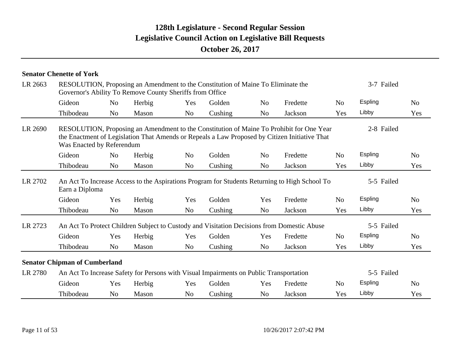|         | <b>Senator Chenette of York</b>                                                                                                                                                                                        |                |        |                |         |                |          |                |            |                |
|---------|------------------------------------------------------------------------------------------------------------------------------------------------------------------------------------------------------------------------|----------------|--------|----------------|---------|----------------|----------|----------------|------------|----------------|
| LR 2663 | RESOLUTION, Proposing an Amendment to the Constitution of Maine To Eliminate the<br>Governor's Ability To Remove County Sheriffs from Office                                                                           |                |        |                |         |                |          |                | 3-7 Failed |                |
|         | Gideon                                                                                                                                                                                                                 | N <sub>o</sub> | Herbig | Yes            | Golden  | N <sub>0</sub> | Fredette | N <sub>0</sub> | Espling    | N <sub>0</sub> |
|         | Thibodeau                                                                                                                                                                                                              | N <sub>o</sub> | Mason  | N <sub>o</sub> | Cushing | N <sub>o</sub> | Jackson  | Yes            | Libby      | Yes            |
| LR 2690 | RESOLUTION, Proposing an Amendment to the Constitution of Maine To Prohibit for One Year<br>the Enactment of Legislation That Amends or Repeals a Law Proposed by Citizen Initiative That<br>Was Enacted by Referendum |                |        |                |         |                |          |                | 2-8 Failed |                |
|         | Gideon                                                                                                                                                                                                                 | N <sub>0</sub> | Herbig | N <sub>o</sub> | Golden  | N <sub>o</sub> | Fredette | No             | Espling    | N <sub>o</sub> |
|         | Thibodeau                                                                                                                                                                                                              | N <sub>o</sub> | Mason  | N <sub>o</sub> | Cushing | N <sub>0</sub> | Jackson  | Yes            | Libby      | Yes            |
| LR 2702 | An Act To Increase Access to the Aspirations Program for Students Returning to High School To<br>Earn a Diploma                                                                                                        |                |        |                |         |                |          |                | 5-5 Failed |                |
|         | Gideon                                                                                                                                                                                                                 | Yes            | Herbig | Yes            | Golden  | Yes            | Fredette | N <sub>o</sub> | Espling    | N <sub>o</sub> |
|         | Thibodeau                                                                                                                                                                                                              | N <sub>o</sub> | Mason  | N <sub>o</sub> | Cushing | N <sub>0</sub> | Jackson  | Yes            | Libby      | Yes            |
| LR 2723 | An Act To Protect Children Subject to Custody and Visitation Decisions from Domestic Abuse                                                                                                                             |                |        |                |         |                |          |                | 5-5 Failed |                |
|         | Gideon                                                                                                                                                                                                                 | Yes            | Herbig | Yes            | Golden  | Yes            | Fredette | N <sub>0</sub> | Espling    | N <sub>o</sub> |
|         | Thibodeau                                                                                                                                                                                                              | N <sub>0</sub> | Mason  | N <sub>0</sub> | Cushing | N <sub>o</sub> | Jackson  | Yes            | Libby      | Yes            |
|         | <b>Senator Chipman of Cumberland</b>                                                                                                                                                                                   |                |        |                |         |                |          |                |            |                |
| LR 2780 | An Act To Increase Safety for Persons with Visual Impairments on Public Transportation                                                                                                                                 |                |        |                |         |                |          |                | 5-5 Failed |                |
|         | Gideon                                                                                                                                                                                                                 | Yes            | Herbig | Yes            | Golden  | Yes            | Fredette | N <sub>o</sub> | Espling    | N <sub>o</sub> |
|         | Thibodeau                                                                                                                                                                                                              | N <sub>o</sub> | Mason  | No             | Cushing | N <sub>o</sub> | Jackson  | Yes            | Libby      | Yes            |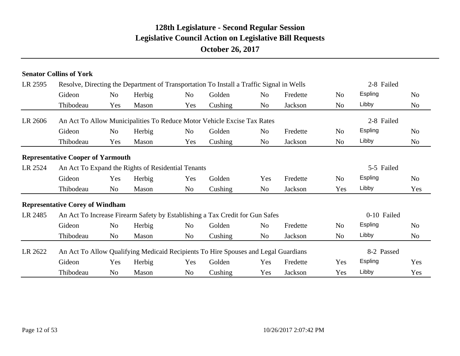# Gideon Yes Herbig Yes Golden Yes Fredette Yes Espling Yes Thibodeau No Mason No Cushing Yes Jackson Yes Libby Yes LR 2622 An Act To Allow Qualifying Medicaid Recipients To Hire Spouses and Legal Guardians 8-2 Passed Gideon No Herbig No Golden No Fredette No Espling No Thibodeau No Mason No Cushing No Jackson No Libby No LR 2485 An Act To Increase Firearm Safety by Establishing a Tax Credit for Gun Safes 0-10 Failed **Representative Corey of Windham** Gideon Yes Herbig Yes Golden Yes Fredette No Espling No Thibodeau No Mason No Cushing No Jackson Yes Libby Yes LR 2524 An Act To Expand the Rights of Residential Tenants 5-5 Failed **Representative Cooper of Yarmouth** Gideon No Herbig No Golden No Fredette No Espling No Thibodeau Yes Mason Yes Cushing No Jackson No Libby No LR 2606 An Act To Allow Municipalities To Reduce Motor Vehicle Excise Tax Rates 2-8 Failed Gideon No Herbig No Golden No Fredette No Espling No Thibodeau Yes Mason Yes Cushing No Jackson No Libby No LR 2595 Resolve, Directing the Department of Transportation To Install a Traffic Signal in Wells 2-8 Failed **Senator Collins of York**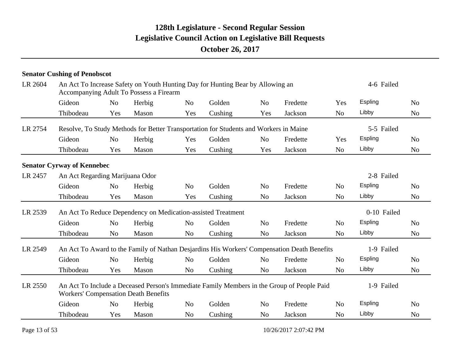|         | <b>Senator Cushing of Penobscot</b>         |                |        |                |                                                                                       |                |                                                                                             |                |             |                |
|---------|---------------------------------------------|----------------|--------|----------------|---------------------------------------------------------------------------------------|----------------|---------------------------------------------------------------------------------------------|----------------|-------------|----------------|
| LR 2604 | Accompanying Adult To Possess a Firearm     |                |        |                | An Act To Increase Safety on Youth Hunting Day for Hunting Bear by Allowing an        |                |                                                                                             |                | 4-6 Failed  |                |
|         | Gideon                                      | N <sub>0</sub> | Herbig | N <sub>o</sub> | Golden                                                                                | N <sub>o</sub> | Fredette                                                                                    | Yes            | Espling     | N <sub>o</sub> |
|         | Thibodeau                                   | Yes            | Mason  | Yes            | Cushing                                                                               | Yes            | Jackson                                                                                     | N <sub>o</sub> | Libby       | N <sub>0</sub> |
| LR 2754 |                                             |                |        |                | Resolve, To Study Methods for Better Transportation for Students and Workers in Maine |                |                                                                                             |                | 5-5 Failed  |                |
|         | Gideon                                      | N <sub>o</sub> | Herbig | Yes            | Golden                                                                                | N <sub>o</sub> | Fredette                                                                                    | Yes            | Espling     | N <sub>o</sub> |
|         | Thibodeau                                   | Yes            | Mason  | Yes            | Cushing                                                                               | Yes            | Jackson                                                                                     | N <sub>o</sub> | Libby       | N <sub>o</sub> |
|         | <b>Senator Cyrway of Kennebec</b>           |                |        |                |                                                                                       |                |                                                                                             |                |             |                |
| LR 2457 | An Act Regarding Marijuana Odor             |                |        |                |                                                                                       |                |                                                                                             |                | 2-8 Failed  |                |
|         | Gideon                                      | N <sub>o</sub> | Herbig | N <sub>0</sub> | Golden                                                                                | N <sub>o</sub> | Fredette                                                                                    | N <sub>o</sub> | Espling     | N <sub>o</sub> |
|         | Thibodeau                                   | Yes            | Mason  | Yes            | Cushing                                                                               | N <sub>o</sub> | Jackson                                                                                     | N <sub>o</sub> | Libby       | N <sub>o</sub> |
| LR 2539 |                                             |                |        |                | An Act To Reduce Dependency on Medication-assisted Treatment                          |                |                                                                                             |                | 0-10 Failed |                |
|         | Gideon                                      | N <sub>o</sub> | Herbig | N <sub>o</sub> | Golden                                                                                | N <sub>o</sub> | Fredette                                                                                    | N <sub>o</sub> | Espling     | N <sub>o</sub> |
|         | Thibodeau                                   | N <sub>0</sub> | Mason  | N <sub>o</sub> | Cushing                                                                               | N <sub>o</sub> | Jackson                                                                                     | N <sub>o</sub> | Libby       | N <sub>o</sub> |
| LR 2549 |                                             |                |        |                |                                                                                       |                | An Act To Award to the Family of Nathan Desjarding His Workers' Compensation Death Benefits |                | 1-9 Failed  |                |
|         | Gideon                                      | N <sub>o</sub> | Herbig | N <sub>o</sub> | Golden                                                                                | N <sub>o</sub> | Fredette                                                                                    | N <sub>o</sub> | Espling     | N <sub>o</sub> |
|         | Thibodeau                                   | Yes            | Mason  | N <sub>o</sub> | Cushing                                                                               | N <sub>o</sub> | Jackson                                                                                     | N <sub>o</sub> | Libby       | N <sub>o</sub> |
| LR 2550 | <b>Workers' Compensation Death Benefits</b> |                |        |                |                                                                                       |                | An Act To Include a Deceased Person's Immediate Family Members in the Group of People Paid  |                | 1-9 Failed  |                |
|         | Gideon                                      | N <sub>0</sub> | Herbig | N <sub>0</sub> | Golden                                                                                | N <sub>o</sub> | Fredette                                                                                    | N <sub>o</sub> | Espling     | N <sub>0</sub> |
|         | Thibodeau                                   | Yes            | Mason  | N <sub>0</sub> | Cushing                                                                               | N <sub>o</sub> | Jackson                                                                                     | N <sub>o</sub> | Libby       | N <sub>o</sub> |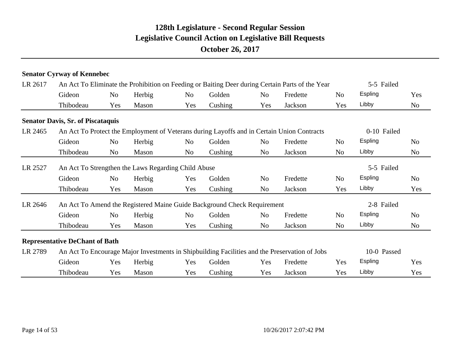|         | <b>Senator Cyrway of Kennebec</b>                                       |                |        |                |         |                |                                                                                                 |                |                |                |
|---------|-------------------------------------------------------------------------|----------------|--------|----------------|---------|----------------|-------------------------------------------------------------------------------------------------|----------------|----------------|----------------|
| LR 2617 |                                                                         |                |        |                |         |                | An Act To Eliminate the Prohibition on Feeding or Baiting Deer during Certain Parts of the Year |                | 5-5 Failed     |                |
|         | Gideon                                                                  | N <sub>o</sub> | Herbig | N <sub>o</sub> | Golden  | N <sub>0</sub> | Fredette                                                                                        | N <sub>0</sub> | <b>Espling</b> | Yes            |
|         | Thibodeau                                                               | Yes            | Mason  | Yes            | Cushing | Yes            | Jackson                                                                                         | Yes            | Libby          | N <sub>o</sub> |
|         | <b>Senator Davis, Sr. of Piscataquis</b>                                |                |        |                |         |                |                                                                                                 |                |                |                |
| LR 2465 |                                                                         |                |        |                |         |                | An Act To Protect the Employment of Veterans during Layoffs and in Certain Union Contracts      |                | 0-10 Failed    |                |
|         | Gideon                                                                  | N <sub>o</sub> | Herbig | N <sub>o</sub> | Golden  | N <sub>o</sub> | Fredette                                                                                        | N <sub>0</sub> | <b>Espling</b> | N <sub>o</sub> |
|         | Thibodeau                                                               | N <sub>o</sub> | Mason  | No             | Cushing | No             | Jackson                                                                                         | N <sub>o</sub> | Libby          | N <sub>o</sub> |
| LR 2527 | An Act To Strengthen the Laws Regarding Child Abuse                     |                |        |                |         |                |                                                                                                 |                | 5-5 Failed     |                |
|         | Gideon                                                                  | N <sub>o</sub> | Herbig | Yes            | Golden  | N <sub>0</sub> | Fredette                                                                                        | N <sub>o</sub> | Espling        | N <sub>o</sub> |
|         | Thibodeau                                                               | Yes            | Mason  | Yes            | Cushing | No             | Jackson                                                                                         | Yes            | Libby          | Yes            |
| LR 2646 | An Act To Amend the Registered Maine Guide Background Check Requirement |                |        |                |         |                |                                                                                                 |                | 2-8 Failed     |                |
|         | Gideon                                                                  | No             | Herbig | N <sub>o</sub> | Golden  | N <sub>o</sub> | Fredette                                                                                        | N <sub>0</sub> | <b>Espling</b> | N <sub>0</sub> |
|         | Thibodeau                                                               | Yes            | Mason  | Yes            | Cushing | N <sub>o</sub> | Jackson                                                                                         | N <sub>o</sub> | Libby          | N <sub>o</sub> |
|         | <b>Representative DeChant of Bath</b>                                   |                |        |                |         |                |                                                                                                 |                |                |                |
| LR 2789 |                                                                         |                |        |                |         |                | An Act To Encourage Major Investments in Shipbuilding Facilities and the Preservation of Jobs   |                | 10-0 Passed    |                |
|         | Gideon                                                                  | Yes            | Herbig | Yes            | Golden  | Yes            | Fredette                                                                                        | Yes            | Espling        | Yes            |
|         | Thibodeau                                                               | Yes            | Mason  | Yes            | Cushing | Yes            | Jackson                                                                                         | Yes            | Libby          | Yes            |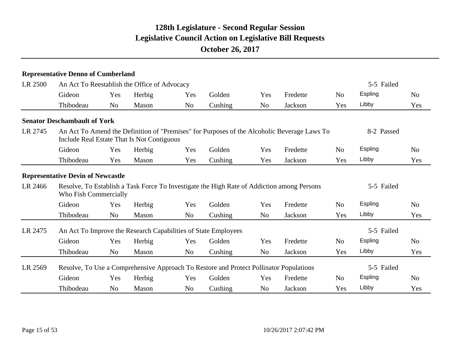|         | <b>Representative Denno of Cumberland</b>                                                                                                 |                |        |                |         |                |          |                |            |                |
|---------|-------------------------------------------------------------------------------------------------------------------------------------------|----------------|--------|----------------|---------|----------------|----------|----------------|------------|----------------|
| LR 2500 | An Act To Reestablish the Office of Advocacy                                                                                              |                |        |                |         |                |          |                | 5-5 Failed |                |
|         | Gideon                                                                                                                                    | Yes            | Herbig | Yes            | Golden  | Yes            | Fredette | N <sub>o</sub> | Espling    | N <sub>o</sub> |
|         | Thibodeau                                                                                                                                 | N <sub>o</sub> | Mason  | N <sub>o</sub> | Cushing | N <sub>o</sub> | Jackson  | Yes            | Libby      | Yes            |
|         | <b>Senator Deschambault of York</b>                                                                                                       |                |        |                |         |                |          |                |            |                |
| LR 2745 | An Act To Amend the Definition of "Premises" for Purposes of the Alcoholic Beverage Laws To<br>Include Real Estate That Is Not Contiguous |                |        |                |         |                |          |                | 8-2 Passed |                |
|         | Gideon                                                                                                                                    | Yes            | Herbig | Yes            | Golden  | Yes            | Fredette | N <sub>o</sub> | Espling    | N <sub>o</sub> |
|         | Thibodeau                                                                                                                                 | Yes            | Mason  | Yes            | Cushing | Yes            | Jackson  | Yes            | Libby      | Yes            |
|         | <b>Representative Devin of Newcastle</b>                                                                                                  |                |        |                |         |                |          |                |            |                |
| LR 2466 | Resolve, To Establish a Task Force To Investigate the High Rate of Addiction among Persons<br>Who Fish Commercially                       |                |        |                |         |                |          |                | 5-5 Failed |                |
|         | Gideon                                                                                                                                    | Yes            | Herbig | Yes            | Golden  | Yes            | Fredette | N <sub>o</sub> | Espling    | N <sub>o</sub> |
|         | Thibodeau                                                                                                                                 | N <sub>o</sub> | Mason  | No             | Cushing | N <sub>o</sub> | Jackson  | Yes            | Libby      | Yes            |
| LR 2475 | An Act To Improve the Research Capabilities of State Employees                                                                            |                |        |                |         |                |          |                | 5-5 Failed |                |
|         | Gideon                                                                                                                                    | Yes            | Herbig | Yes            | Golden  | Yes            | Fredette | N <sub>o</sub> | Espling    | N <sub>o</sub> |
|         | Thibodeau                                                                                                                                 | N <sub>o</sub> | Mason  | No             | Cushing | N <sub>o</sub> | Jackson  | Yes            | Libby      | Yes            |
| LR 2569 | Resolve, To Use a Comprehensive Approach To Restore and Protect Pollinator Populations                                                    |                |        |                |         |                |          |                | 5-5 Failed |                |
|         | Gideon                                                                                                                                    | Yes            | Herbig | Yes            | Golden  | Yes            | Fredette | N <sub>0</sub> | Espling    | N <sub>o</sub> |
|         | Thibodeau                                                                                                                                 | N <sub>o</sub> | Mason  | N <sub>o</sub> | Cushing | N <sub>o</sub> | Jackson  | Yes            | Libby      | Yes            |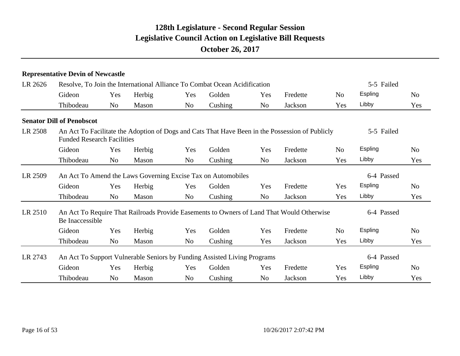|         | <b>Representative Devin of Newcastle</b> |                |        |                |                                                                                                 |                |          |                |            |                |
|---------|------------------------------------------|----------------|--------|----------------|-------------------------------------------------------------------------------------------------|----------------|----------|----------------|------------|----------------|
| LR 2626 |                                          |                |        |                | Resolve, To Join the International Alliance To Combat Ocean Acidification                       |                |          |                | 5-5 Failed |                |
|         | Gideon                                   | Yes            | Herbig | Yes            | Golden                                                                                          | Yes            | Fredette | N <sub>o</sub> | Espling    | N <sub>o</sub> |
|         | Thibodeau                                | No             | Mason  | N <sub>o</sub> | Cushing                                                                                         | N <sub>o</sub> | Jackson  | Yes            | Libby      | Yes            |
|         | <b>Senator Dill of Penobscot</b>         |                |        |                |                                                                                                 |                |          |                |            |                |
| LR 2508 | <b>Funded Research Facilities</b>        |                |        |                | An Act To Facilitate the Adoption of Dogs and Cats That Have Been in the Possession of Publicly |                |          |                | 5-5 Failed |                |
|         | Gideon                                   | Yes            | Herbig | Yes            | Golden                                                                                          | Yes            | Fredette | N <sub>o</sub> | Espling    | N <sub>o</sub> |
|         | Thibodeau                                | N <sub>o</sub> | Mason  | No             | Cushing                                                                                         | No             | Jackson  | Yes            | Libby      | Yes            |
| LR 2509 |                                          |                |        |                | An Act To Amend the Laws Governing Excise Tax on Automobiles                                    |                |          |                | 6-4 Passed |                |
|         | Gideon                                   | Yes            | Herbig | Yes            | Golden                                                                                          | Yes            | Fredette | Yes            | Espling    | N <sub>o</sub> |
|         | Thibodeau                                | N <sub>o</sub> | Mason  | No             | Cushing                                                                                         | N <sub>o</sub> | Jackson  | Yes            | Libby      | Yes            |
| LR 2510 | Be Inaccessible                          |                |        |                | An Act To Require That Railroads Provide Easements to Owners of Land That Would Otherwise       |                |          |                | 6-4 Passed |                |
|         | Gideon                                   | Yes            | Herbig | Yes            | Golden                                                                                          | Yes            | Fredette | N <sub>o</sub> | Espling    | N <sub>o</sub> |
|         | Thibodeau                                | N <sub>o</sub> | Mason  | No             | Cushing                                                                                         | Yes            | Jackson  | Yes            | Libby      | Yes            |
| LR 2743 |                                          |                |        |                | An Act To Support Vulnerable Seniors by Funding Assisted Living Programs                        |                |          |                | 6-4 Passed |                |
|         | Gideon                                   | Yes            | Herbig | Yes            | Golden                                                                                          | Yes            | Fredette | Yes            | Espling    | N <sub>o</sub> |
|         | Thibodeau                                | N <sub>0</sub> | Mason  | No             | Cushing                                                                                         | No             | Jackson  | Yes            | Libby      | Yes            |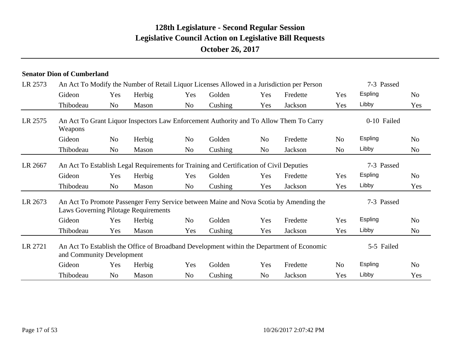|         | <b>Senator Dion of Cumberland</b> |                |                                      |                |                                                                                         |                |                                                                                            |                |             |                |
|---------|-----------------------------------|----------------|--------------------------------------|----------------|-----------------------------------------------------------------------------------------|----------------|--------------------------------------------------------------------------------------------|----------------|-------------|----------------|
| LR 2573 |                                   |                |                                      |                |                                                                                         |                | An Act To Modify the Number of Retail Liquor Licenses Allowed in a Jurisdiction per Person |                | 7-3 Passed  |                |
|         | Gideon                            | Yes            | Herbig                               | Yes            | Golden                                                                                  | Yes            | Fredette                                                                                   | Yes            | Espling     | N <sub>0</sub> |
|         | Thibodeau                         | <b>No</b>      | Mason                                | N <sub>o</sub> | Cushing                                                                                 | Yes            | Jackson                                                                                    | Yes            | Libby       | Yes            |
| LR 2575 | Weapons                           |                |                                      |                |                                                                                         |                | An Act To Grant Liquor Inspectors Law Enforcement Authority and To Allow Them To Carry     |                | 0-10 Failed |                |
|         | Gideon                            | N <sub>o</sub> | Herbig                               | No             | Golden                                                                                  | N <sub>o</sub> | Fredette                                                                                   | N <sub>o</sub> | Espling     | N <sub>0</sub> |
|         | Thibodeau                         | <b>No</b>      | Mason                                | No             | Cushing                                                                                 | N <sub>o</sub> | Jackson                                                                                    | N <sub>0</sub> | Libby       | N <sub>o</sub> |
| LR 2667 |                                   |                |                                      |                | An Act To Establish Legal Requirements for Training and Certification of Civil Deputies |                |                                                                                            |                | 7-3 Passed  |                |
|         | Gideon                            | Yes            | Herbig                               | Yes            | Golden                                                                                  | Yes            | Fredette                                                                                   | Yes            | Espling     | N <sub>o</sub> |
|         | Thibodeau                         | No             | Mason                                | No             | Cushing                                                                                 | Yes            | Jackson                                                                                    | Yes            | Libby       | Yes            |
| LR 2673 |                                   |                | Laws Governing Pilotage Requirements |                |                                                                                         |                | An Act To Promote Passenger Ferry Service between Maine and Nova Scotia by Amending the    |                | 7-3 Passed  |                |
|         | Gideon                            | Yes            | Herbig                               | No             | Golden                                                                                  | Yes            | Fredette                                                                                   | Yes            | Espling     | N <sub>o</sub> |
|         | Thibodeau                         | Yes            | Mason                                | Yes            | Cushing                                                                                 | Yes            | Jackson                                                                                    | Yes            | Libby       | N <sub>o</sub> |
| LR 2721 | and Community Development         |                |                                      |                |                                                                                         |                | An Act To Establish the Office of Broadband Development within the Department of Economic  |                | 5-5 Failed  |                |
|         | Gideon                            | Yes            | Herbig                               | Yes            | Golden                                                                                  | Yes            | Fredette                                                                                   | N <sub>o</sub> | Espling     | N <sub>o</sub> |
|         | Thibodeau                         | N <sub>o</sub> | Mason                                | No             | Cushing                                                                                 | No             | Jackson                                                                                    | Yes            | Libby       | Yes            |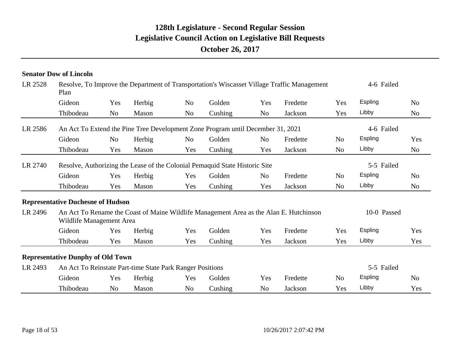|         | <b>Senator Dow of Lincoln</b>                             |                |        |                |                                                                                 |                |                                                                                             |                |             |                |  |
|---------|-----------------------------------------------------------|----------------|--------|----------------|---------------------------------------------------------------------------------|----------------|---------------------------------------------------------------------------------------------|----------------|-------------|----------------|--|
| LR 2528 | Plan                                                      |                |        |                |                                                                                 |                | Resolve, To Improve the Department of Transportation's Wiscasset Village Traffic Management | 4-6 Failed     |             |                |  |
|         | Gideon                                                    | Yes            | Herbig | N <sub>o</sub> | Golden                                                                          | Yes            | Fredette                                                                                    | Yes            | Espling     | N <sub>o</sub> |  |
|         | Thibodeau                                                 | N <sub>0</sub> | Mason  | N <sub>o</sub> | Cushing                                                                         | N <sub>o</sub> | Jackson                                                                                     | Yes            | Libby       | N <sub>o</sub> |  |
| LR 2586 |                                                           |                |        |                | An Act To Extend the Pine Tree Development Zone Program until December 31, 2021 |                |                                                                                             |                | 4-6 Failed  |                |  |
|         | Gideon                                                    | N <sub>0</sub> | Herbig | N <sub>o</sub> | Golden                                                                          | N <sub>o</sub> | Fredette                                                                                    | N <sub>o</sub> | Espling     | Yes            |  |
|         | Thibodeau                                                 | Yes            | Mason  | Yes            | Cushing                                                                         | Yes            | Jackson                                                                                     | N <sub>o</sub> | Libby       | No             |  |
| LR 2740 |                                                           |                |        |                | Resolve, Authorizing the Lease of the Colonial Pemaquid State Historic Site     |                |                                                                                             |                | 5-5 Failed  |                |  |
|         | Gideon                                                    | Yes            | Herbig | Yes            | Golden                                                                          | N <sub>o</sub> | Fredette                                                                                    | N <sub>o</sub> | Espling     | N <sub>o</sub> |  |
|         | Thibodeau                                                 | Yes            | Mason  | Yes            | Cushing                                                                         | Yes            | Jackson                                                                                     | N <sub>o</sub> | Libby       | N <sub>o</sub> |  |
|         | <b>Representative Duchesne of Hudson</b>                  |                |        |                |                                                                                 |                |                                                                                             |                |             |                |  |
| LR 2496 | Wildlife Management Area                                  |                |        |                |                                                                                 |                | An Act To Rename the Coast of Maine Wildlife Management Area as the Alan E. Hutchinson      |                | 10-0 Passed |                |  |
|         | Gideon                                                    | Yes            | Herbig | Yes            | Golden                                                                          | Yes            | Fredette                                                                                    | Yes            | Espling     | Yes            |  |
|         | Thibodeau                                                 | Yes            | Mason  | Yes            | Cushing                                                                         | Yes            | Jackson                                                                                     | Yes            | Libby       | Yes            |  |
|         | <b>Representative Dunphy of Old Town</b>                  |                |        |                |                                                                                 |                |                                                                                             |                |             |                |  |
| LR 2493 | An Act To Reinstate Part-time State Park Ranger Positions |                |        |                |                                                                                 |                |                                                                                             |                | 5-5 Failed  |                |  |
|         | Gideon                                                    | Yes            | Herbig | Yes            | Golden                                                                          | Yes            | Fredette                                                                                    | N <sub>o</sub> | Espling     | N <sub>o</sub> |  |
|         | Thibodeau                                                 | N <sub>0</sub> | Mason  | N <sub>o</sub> | Cushing                                                                         | N <sub>o</sub> | Jackson                                                                                     | Yes            | Libby       | Yes            |  |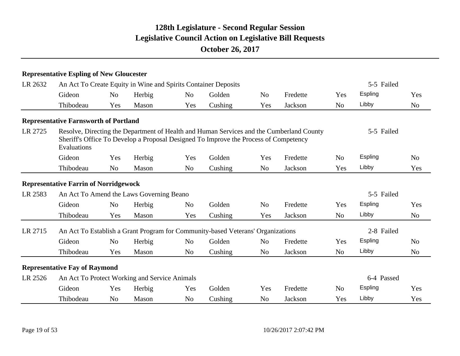|         | <b>Representative Espling of New Gloucester</b>                |                |        |                |                                                                                      |                |                                                                                          |                |            |                |
|---------|----------------------------------------------------------------|----------------|--------|----------------|--------------------------------------------------------------------------------------|----------------|------------------------------------------------------------------------------------------|----------------|------------|----------------|
| LR 2632 | An Act To Create Equity in Wine and Spirits Container Deposits |                |        |                |                                                                                      |                |                                                                                          |                | 5-5 Failed |                |
|         | Gideon                                                         | N <sub>o</sub> | Herbig | N <sub>o</sub> | Golden                                                                               | N <sub>o</sub> | Fredette                                                                                 | Yes            | Espling    | Yes            |
|         | Thibodeau                                                      | Yes            | Mason  | Yes            | Cushing                                                                              | Yes            | Jackson                                                                                  | N <sub>o</sub> | Libby      | N <sub>o</sub> |
|         | <b>Representative Farnsworth of Portland</b>                   |                |        |                |                                                                                      |                |                                                                                          |                |            |                |
| LR 2725 | Evaluations                                                    |                |        |                | Sheriff's Office To Develop a Proposal Designed To Improve the Process of Competency |                | Resolve, Directing the Department of Health and Human Services and the Cumberland County |                | 5-5 Failed |                |
|         | Gideon                                                         | Yes            | Herbig | Yes            | Golden                                                                               | Yes            | Fredette                                                                                 | N <sub>0</sub> | Espling    | N <sub>0</sub> |
|         | Thibodeau                                                      | N <sub>o</sub> | Mason  | N <sub>o</sub> | Cushing                                                                              | No             | Jackson                                                                                  | Yes            | Libby      | Yes            |
|         | <b>Representative Farrin of Norridgewock</b>                   |                |        |                |                                                                                      |                |                                                                                          |                |            |                |
| LR 2583 | An Act To Amend the Laws Governing Beano                       |                |        |                |                                                                                      |                |                                                                                          |                | 5-5 Failed |                |
|         | Gideon                                                         | N <sub>o</sub> | Herbig | N <sub>o</sub> | Golden                                                                               | N <sub>o</sub> | Fredette                                                                                 | Yes            | Espling    | Yes            |
|         | Thibodeau                                                      | Yes            | Mason  | Yes            | Cushing                                                                              | Yes            | Jackson                                                                                  | N <sub>o</sub> | Libby      | N <sub>o</sub> |
| LR 2715 |                                                                |                |        |                | An Act To Establish a Grant Program for Community-based Veterans' Organizations      |                |                                                                                          |                | 2-8 Failed |                |
|         | Gideon                                                         | N <sub>o</sub> | Herbig | N <sub>o</sub> | Golden                                                                               | N <sub>o</sub> | Fredette                                                                                 | Yes            | Espling    | N <sub>0</sub> |
|         | Thibodeau                                                      | Yes            | Mason  | N <sub>o</sub> | Cushing                                                                              | N <sub>o</sub> | Jackson                                                                                  | N <sub>o</sub> | Libby      | N <sub>o</sub> |
|         | <b>Representative Fay of Raymond</b>                           |                |        |                |                                                                                      |                |                                                                                          |                |            |                |
| LR 2526 | An Act To Protect Working and Service Animals                  |                |        |                |                                                                                      |                |                                                                                          |                | 6-4 Passed |                |
|         | Gideon                                                         | Yes            | Herbig | Yes            | Golden                                                                               | Yes            | Fredette                                                                                 | N <sub>o</sub> | Espling    | Yes            |
|         | Thibodeau                                                      | No             | Mason  | N <sub>o</sub> | Cushing                                                                              | N <sub>o</sub> | Jackson                                                                                  | Yes            | Libby      | Yes            |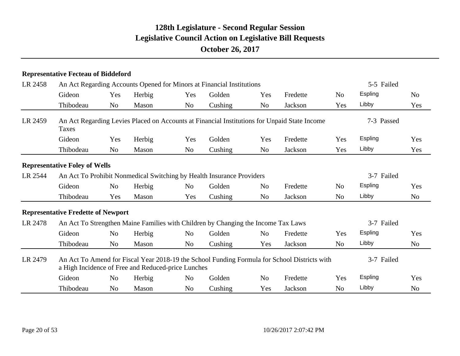#### **Representative Fecteau of Biddeford**

| LR 2458<br>LR 2459<br>LR 2544 | An Act Regarding Accounts Opened for Minors at Financial Institutions |                |        |                | 5-5 Failed                                                                                   |                |          |                |                |                |
|-------------------------------|-----------------------------------------------------------------------|----------------|--------|----------------|----------------------------------------------------------------------------------------------|----------------|----------|----------------|----------------|----------------|
|                               | Gideon                                                                | Yes            | Herbig | Yes            | Golden                                                                                       | Yes            | Fredette | N <sub>o</sub> | Espling        | N <sub>o</sub> |
|                               | Thibodeau                                                             | N <sub>o</sub> | Mason  | No             | Cushing                                                                                      | No             | Jackson  | Yes            | Libby          | Yes            |
|                               | Taxes                                                                 |                |        |                | An Act Regarding Levies Placed on Accounts at Financial Institutions for Unpaid State Income |                |          |                | 7-3 Passed     |                |
|                               | Gideon                                                                | Yes            | Herbig | Yes            | Golden                                                                                       | Yes            | Fredette | Yes            | <b>Espling</b> | Yes            |
|                               | Thibodeau                                                             | N <sub>o</sub> | Mason  | N <sub>o</sub> | Cushing                                                                                      | N <sub>0</sub> | Jackson  | Yes            | Libby          | Yes            |
|                               | <b>Representative Foley of Wells</b>                                  |                |        |                |                                                                                              |                |          |                |                |                |
|                               |                                                                       |                |        |                | An Act To Prohibit Nonmedical Switching by Health Insurance Providers                        |                |          |                | 3-7 Failed     |                |
|                               | Gideon                                                                | N <sub>o</sub> | Herbig | N <sub>o</sub> | Golden                                                                                       | N <sub>o</sub> | Fredette | N <sub>o</sub> | Espling        | Yes            |
|                               | Thibodeau                                                             | Yes            | Mason  | Yes            | Cushing                                                                                      | N <sub>0</sub> | Jackson  | N <sub>0</sub> | Libby          | N <sub>o</sub> |
|                               | <b>Representative Fredette of Newport</b>                             |                |        |                |                                                                                              |                |          |                |                |                |
| LR 2478                       |                                                                       |                |        |                | An Act To Strengthen Maine Families with Children by Changing the Income Tax Laws            |                |          |                | 3-7 Failed     |                |
|                               | Gideon                                                                | N <sub>o</sub> | Herbig | N <sub>o</sub> | Golden                                                                                       | N <sub>0</sub> | Fredette | Yes            | Espling        | Yes            |
|                               | Thibodeau                                                             | No             | Mason  | No             | Cushing                                                                                      | Yes            | Jackson  | N <sub>o</sub> | Libby          | No             |
| LR 2479                       | a High Incidence of Free and Reduced-price Lunches                    |                |        |                | An Act To Amend for Fiscal Year 2018-19 the School Funding Formula for School Districts with |                |          |                | 3-7 Failed     |                |
|                               | Gideon                                                                | No             | Herbig | N <sub>o</sub> | Golden                                                                                       | N <sub>o</sub> | Fredette | Yes            | Espling        | Yes            |
|                               | Thibodeau                                                             | N <sub>o</sub> | Mason  | N <sub>o</sub> | Cushing                                                                                      | Yes            | Jackson  | N <sub>o</sub> | Libby          | N <sub>o</sub> |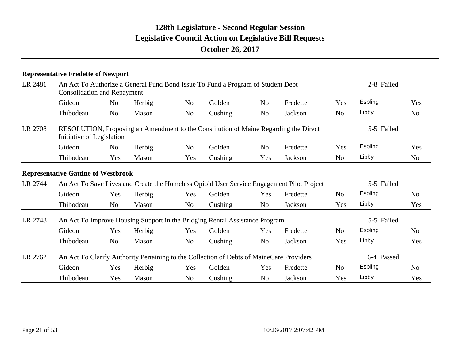|         | <b>Representative Fredette of Newport</b>  |                |        |                |                                                                                          |                |                                                                                           |                |            |                |
|---------|--------------------------------------------|----------------|--------|----------------|------------------------------------------------------------------------------------------|----------------|-------------------------------------------------------------------------------------------|----------------|------------|----------------|
| LR 2481 | <b>Consolidation and Repayment</b>         |                |        |                | An Act To Authorize a General Fund Bond Issue To Fund a Program of Student Debt          |                |                                                                                           |                | 2-8 Failed |                |
|         | Gideon                                     | N <sub>o</sub> | Herbig | No             | Golden                                                                                   | N <sub>o</sub> | Fredette                                                                                  | Yes            | Espling    | Yes            |
|         | Thibodeau                                  | No             | Mason  | No             | Cushing                                                                                  | No             | Jackson                                                                                   | N <sub>o</sub> | Libby      | N <sub>o</sub> |
| LR 2708 | Initiative of Legislation                  |                |        |                |                                                                                          |                | RESOLUTION, Proposing an Amendment to the Constitution of Maine Regarding the Direct      |                | 5-5 Failed |                |
|         | Gideon                                     | N <sub>o</sub> | Herbig | N <sub>o</sub> | Golden                                                                                   | N <sub>o</sub> | Fredette                                                                                  | Yes            | Espling    | Yes            |
|         | Thibodeau                                  | Yes            | Mason  | Yes            | Cushing                                                                                  | Yes            | Jackson                                                                                   | N <sub>o</sub> | Libby      | No             |
|         | <b>Representative Gattine of Westbrook</b> |                |        |                |                                                                                          |                |                                                                                           |                |            |                |
| LR 2744 |                                            |                |        |                |                                                                                          |                | An Act To Save Lives and Create the Homeless Opioid User Service Engagement Pilot Project |                | 5-5 Failed |                |
|         | Gideon                                     | Yes            | Herbig | Yes            | Golden                                                                                   | Yes            | Fredette                                                                                  | N <sub>o</sub> | Espling    | N <sub>o</sub> |
|         | Thibodeau                                  | N <sub>o</sub> | Mason  | No.            | Cushing                                                                                  | No             | Jackson                                                                                   | Yes            | Libby      | Yes            |
| LR 2748 |                                            |                |        |                | An Act To Improve Housing Support in the Bridging Rental Assistance Program              |                |                                                                                           |                | 5-5 Failed |                |
|         | Gideon                                     | Yes            | Herbig | Yes            | Golden                                                                                   | Yes            | Fredette                                                                                  | N <sub>o</sub> | Espling    | N <sub>o</sub> |
|         | Thibodeau                                  | N <sub>o</sub> | Mason  | No             | Cushing                                                                                  | N <sub>o</sub> | Jackson                                                                                   | Yes            | Libby      | Yes            |
| LR 2762 |                                            |                |        |                | An Act To Clarify Authority Pertaining to the Collection of Debts of MaineCare Providers |                |                                                                                           |                | 6-4 Passed |                |
|         | Gideon                                     | Yes            | Herbig | Yes            | Golden                                                                                   | Yes            | Fredette                                                                                  | No             | Espling    | N <sub>o</sub> |
|         | Thibodeau                                  | Yes            | Mason  | No             | Cushing                                                                                  | No             | Jackson                                                                                   | Yes            | Libby      | Yes            |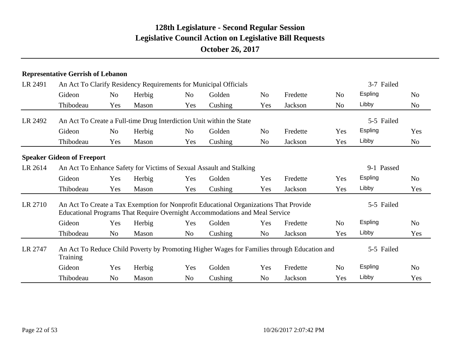#### **Representative Gerrish of Lebanon**

| LR 2491<br>LR 2492<br>LR 2614<br>LR 2710 | An Act To Clarify Residency Requirements for Municipal Officials                                               |                |        |                | 3-7 Failed                                                                                                                                                           |                |          |                |                |                |
|------------------------------------------|----------------------------------------------------------------------------------------------------------------|----------------|--------|----------------|----------------------------------------------------------------------------------------------------------------------------------------------------------------------|----------------|----------|----------------|----------------|----------------|
|                                          | Gideon                                                                                                         | N <sub>o</sub> | Herbig | N <sub>o</sub> | Golden                                                                                                                                                               | N <sub>o</sub> | Fredette | N <sub>o</sub> | <b>Espling</b> | N <sub>o</sub> |
|                                          | Thibodeau                                                                                                      | Yes            | Mason  | Yes            | Cushing                                                                                                                                                              | Yes            | Jackson  | N <sub>o</sub> | Libby          | N <sub>o</sub> |
|                                          |                                                                                                                |                |        |                | An Act To Create a Full-time Drug Interdiction Unit within the State                                                                                                 |                |          |                | 5-5 Failed     |                |
|                                          | Gideon                                                                                                         | N <sub>o</sub> | Herbig | N <sub>o</sub> | Golden                                                                                                                                                               | N <sub>o</sub> | Fredette | Yes            | <b>Espling</b> | Yes            |
|                                          | Thibodeau                                                                                                      | Yes            | Mason  | Yes            | Cushing                                                                                                                                                              | No             | Jackson  | Yes            | Libby          | N <sub>o</sub> |
|                                          | <b>Speaker Gideon of Freeport</b>                                                                              |                |        |                |                                                                                                                                                                      |                |          |                |                |                |
|                                          | An Act To Enhance Safety for Victims of Sexual Assault and Stalking                                            |                |        |                |                                                                                                                                                                      |                |          |                | 9-1 Passed     |                |
|                                          | Gideon                                                                                                         | Yes            | Herbig | Yes            | Golden                                                                                                                                                               | Yes            | Fredette | Yes            | Espling        | N <sub>0</sub> |
|                                          | Thibodeau                                                                                                      | Yes            | Mason  | Yes            | Cushing                                                                                                                                                              | Yes            | Jackson  | Yes            | Libby          | Yes            |
|                                          |                                                                                                                |                |        |                | An Act To Create a Tax Exemption for Nonprofit Educational Organizations That Provide<br>Educational Programs That Require Overnight Accommodations and Meal Service |                |          |                | 5-5 Failed     |                |
|                                          | Gideon                                                                                                         | Yes            | Herbig | Yes            | Golden                                                                                                                                                               | Yes            | Fredette | N <sub>o</sub> | Espling        | N <sub>o</sub> |
|                                          | Thibodeau                                                                                                      | N <sub>o</sub> | Mason  | N <sub>o</sub> | Cushing                                                                                                                                                              | No             | Jackson  | Yes            | Libby          | Yes            |
| LR 2747                                  | An Act To Reduce Child Poverty by Promoting Higher Wages for Families through Education and<br><b>Training</b> |                |        |                |                                                                                                                                                                      |                |          |                | 5-5 Failed     |                |
|                                          | Gideon                                                                                                         | Yes            | Herbig | Yes            | Golden                                                                                                                                                               | Yes            | Fredette | N <sub>o</sub> | <b>Espling</b> | N <sub>o</sub> |
|                                          | Thibodeau                                                                                                      | N <sub>o</sub> | Mason  | N <sub>o</sub> | Cushing                                                                                                                                                              | No             | Jackson  | Yes            | Libby          | Yes            |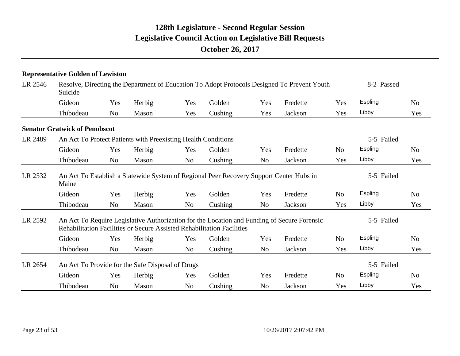|         | <b>Representative Golden of Lewiston</b> |                |                                                               |                |                                                                                         |                |                                                                                             |                |            |                |
|---------|------------------------------------------|----------------|---------------------------------------------------------------|----------------|-----------------------------------------------------------------------------------------|----------------|---------------------------------------------------------------------------------------------|----------------|------------|----------------|
| LR 2546 | Suicide                                  |                |                                                               |                |                                                                                         |                | Resolve, Directing the Department of Education To Adopt Protocols Designed To Prevent Youth |                | 8-2 Passed |                |
|         | Gideon                                   | Yes            | Herbig                                                        | Yes            | Golden                                                                                  | Yes            | Fredette                                                                                    | Yes            | Espling    | N <sub>o</sub> |
|         | Thibodeau                                | N <sub>o</sub> | Mason                                                         | Yes            | Cushing                                                                                 | Yes            | Jackson                                                                                     | Yes            | Libby      | Yes            |
|         | <b>Senator Gratwick of Penobscot</b>     |                |                                                               |                |                                                                                         |                |                                                                                             |                |            |                |
| LR 2489 |                                          |                | An Act To Protect Patients with Preexisting Health Conditions |                |                                                                                         |                |                                                                                             |                | 5-5 Failed |                |
|         | Gideon                                   | Yes            | Herbig                                                        | Yes            | Golden                                                                                  | Yes            | Fredette                                                                                    | N <sub>0</sub> | Espling    | N <sub>0</sub> |
|         | Thibodeau                                | N <sub>o</sub> | Mason                                                         | N <sub>o</sub> | Cushing                                                                                 | N <sub>o</sub> | Jackson                                                                                     | Yes            | Libby      | Yes            |
| LR 2532 | Maine                                    |                |                                                               |                | An Act To Establish a Statewide System of Regional Peer Recovery Support Center Hubs in |                |                                                                                             |                | 5-5 Failed |                |
|         | Gideon                                   | Yes            | Herbig                                                        | Yes            | Golden                                                                                  | Yes            | Fredette                                                                                    | N <sub>o</sub> | Espling    | N <sub>0</sub> |
|         | Thibodeau                                | No             | Mason                                                         | No             | Cushing                                                                                 | No             | Jackson                                                                                     | Yes            | Libby      | Yes            |
| LR 2592 |                                          |                |                                                               |                | <b>Rehabilitation Facilities or Secure Assisted Rehabilitation Facilities</b>           |                | An Act To Require Legislative Authorization for the Location and Funding of Secure Forensic |                | 5-5 Failed |                |
|         | Gideon                                   | Yes            | Herbig                                                        | Yes            | Golden                                                                                  | Yes            | Fredette                                                                                    | N <sub>o</sub> | Espling    | N <sub>0</sub> |
|         | Thibodeau                                | N <sub>o</sub> | Mason                                                         | N <sub>o</sub> | Cushing                                                                                 | N <sub>o</sub> | Jackson                                                                                     | Yes            | Libby      | Yes            |
| LR 2654 |                                          |                | An Act To Provide for the Safe Disposal of Drugs              |                |                                                                                         |                |                                                                                             |                | 5-5 Failed |                |
|         | Gideon                                   | Yes            | Herbig                                                        | Yes            | Golden                                                                                  | Yes            | Fredette                                                                                    | N <sub>o</sub> | Espling    | N <sub>0</sub> |
|         | Thibodeau                                | N <sub>o</sub> | Mason                                                         | N <sub>o</sub> | Cushing                                                                                 | N <sub>o</sub> | Jackson                                                                                     | Yes            | Libby      | Yes            |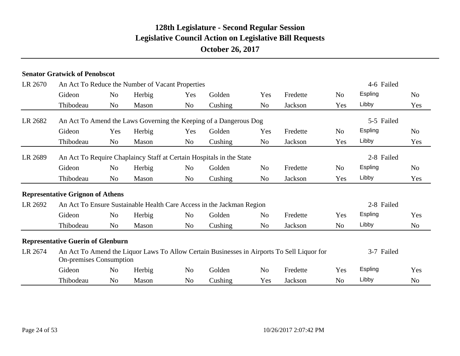|         | <b>Senator Gratwick of Penobscot</b>     |                |                                                  |                |                                                                       |                |                                                                                            |                |            |                |
|---------|------------------------------------------|----------------|--------------------------------------------------|----------------|-----------------------------------------------------------------------|----------------|--------------------------------------------------------------------------------------------|----------------|------------|----------------|
| LR 2670 |                                          |                | An Act To Reduce the Number of Vacant Properties |                |                                                                       |                |                                                                                            |                | 4-6 Failed |                |
|         | Gideon                                   | No             | Herbig                                           | Yes            | Golden                                                                | Yes            | Fredette                                                                                   | N <sub>o</sub> | Espling    | N <sub>0</sub> |
|         | Thibodeau                                | N <sub>o</sub> | Mason                                            | N <sub>o</sub> | Cushing                                                               | N <sub>o</sub> | Jackson                                                                                    | Yes            | Libby      | Yes            |
| LR 2682 |                                          |                |                                                  |                | An Act To Amend the Laws Governing the Keeping of a Dangerous Dog     |                |                                                                                            |                | 5-5 Failed |                |
|         | Gideon                                   | Yes            | Herbig                                           | Yes            | Golden                                                                | Yes            | Fredette                                                                                   | N <sub>o</sub> | Espling    | N <sub>0</sub> |
|         | Thibodeau                                | N <sub>0</sub> | Mason                                            | N <sub>o</sub> | Cushing                                                               | No             | Jackson                                                                                    | Yes            | Libby      | Yes            |
| LR 2689 |                                          |                |                                                  |                | An Act To Require Chaplaincy Staff at Certain Hospitals in the State  |                |                                                                                            |                | 2-8 Failed |                |
|         | Gideon                                   | N <sub>o</sub> | Herbig                                           | N <sub>o</sub> | Golden                                                                | N <sub>o</sub> | Fredette                                                                                   | N <sub>o</sub> | Espling    | N <sub>0</sub> |
|         | Thibodeau                                | N <sub>o</sub> | Mason                                            | No             | Cushing                                                               | No             | Jackson                                                                                    | Yes            | Libby      | Yes            |
|         | <b>Representative Grignon of Athens</b>  |                |                                                  |                |                                                                       |                |                                                                                            |                |            |                |
| LR 2692 |                                          |                |                                                  |                | An Act To Ensure Sustainable Health Care Access in the Jackman Region |                |                                                                                            |                | 2-8 Failed |                |
|         | Gideon                                   | N <sub>o</sub> | Herbig                                           | N <sub>o</sub> | Golden                                                                | N <sub>o</sub> | Fredette                                                                                   | Yes            | Espling    | Yes            |
|         | Thibodeau                                | N <sub>o</sub> | Mason                                            | N <sub>o</sub> | Cushing                                                               | N <sub>o</sub> | Jackson                                                                                    | N <sub>0</sub> | Libby      | N <sub>o</sub> |
|         | <b>Representative Guerin of Glenburn</b> |                |                                                  |                |                                                                       |                |                                                                                            |                |            |                |
| LR 2674 | <b>On-premises Consumption</b>           |                |                                                  |                |                                                                       |                | An Act To Amend the Liquor Laws To Allow Certain Businesses in Airports To Sell Liquor for |                | 3-7 Failed |                |
|         | Gideon                                   | N <sub>o</sub> | Herbig                                           | N <sub>o</sub> | Golden                                                                | N <sub>o</sub> | Fredette                                                                                   | Yes            | Espling    | Yes            |
|         | Thibodeau                                | N <sub>0</sub> | Mason                                            | N <sub>o</sub> | Cushing                                                               | Yes            | Jackson                                                                                    | N <sub>o</sub> | Libby      | No             |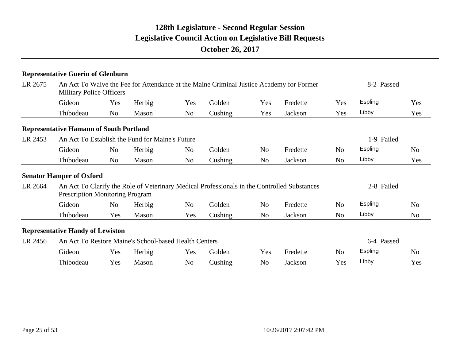|         | <b>Representative Guerin of Glenburn</b>       |                |                                                       |                |                                                                                         |                |                                                                                             |                |                |                |
|---------|------------------------------------------------|----------------|-------------------------------------------------------|----------------|-----------------------------------------------------------------------------------------|----------------|---------------------------------------------------------------------------------------------|----------------|----------------|----------------|
| LR 2675 | <b>Military Police Officers</b>                |                |                                                       |                | An Act To Waive the Fee for Attendance at the Maine Criminal Justice Academy for Former |                |                                                                                             |                | 8-2 Passed     |                |
|         | Gideon                                         | Yes            | Herbig                                                | Yes            | Golden                                                                                  | Yes            | Fredette                                                                                    | Yes            | <b>Espling</b> | Yes            |
|         | Thibodeau                                      | N <sub>o</sub> | Mason                                                 | N <sub>o</sub> | Cushing                                                                                 | Yes            | Jackson                                                                                     | Yes            | Libby          | Yes            |
|         | <b>Representative Hamann of South Portland</b> |                |                                                       |                |                                                                                         |                |                                                                                             |                |                |                |
| LR 2453 |                                                |                | An Act To Establish the Fund for Maine's Future       |                |                                                                                         |                |                                                                                             |                | 1-9 Failed     |                |
|         | Gideon                                         | N <sub>0</sub> | Herbig                                                | No             | Golden                                                                                  | N <sub>o</sub> | Fredette                                                                                    | No             | <b>Espling</b> | N <sub>0</sub> |
|         | Thibodeau                                      | N <sub>o</sub> | Mason                                                 | N <sub>o</sub> | Cushing                                                                                 | N <sub>o</sub> | Jackson                                                                                     | No.            | Libby          | Yes            |
|         | <b>Senator Hamper of Oxford</b>                |                |                                                       |                |                                                                                         |                |                                                                                             |                |                |                |
| LR 2664 | <b>Prescription Monitoring Program</b>         |                |                                                       |                |                                                                                         |                | An Act To Clarify the Role of Veterinary Medical Professionals in the Controlled Substances |                | 2-8 Failed     |                |
|         | Gideon                                         | N <sub>0</sub> | Herbig                                                | No             | Golden                                                                                  | N <sub>0</sub> | Fredette                                                                                    | N <sub>0</sub> | Espling        | N <sub>0</sub> |
|         | Thibodeau                                      | Yes            | Mason                                                 | Yes            | Cushing                                                                                 | N <sub>0</sub> | Jackson                                                                                     | No             | Libby          | N <sub>o</sub> |
|         | <b>Representative Handy of Lewiston</b>        |                |                                                       |                |                                                                                         |                |                                                                                             |                |                |                |
| LR 2456 |                                                |                | An Act To Restore Maine's School-based Health Centers |                |                                                                                         |                |                                                                                             |                | 6-4 Passed     |                |
|         | Gideon                                         | Yes            | Herbig                                                | Yes            | Golden                                                                                  | Yes            | Fredette                                                                                    | No             | <b>Espling</b> | N <sub>0</sub> |
|         | Thibodeau                                      | Yes            | Mason                                                 | No.            | Cushing                                                                                 | N <sub>o</sub> | Jackson                                                                                     | Yes            | Libby          | Yes            |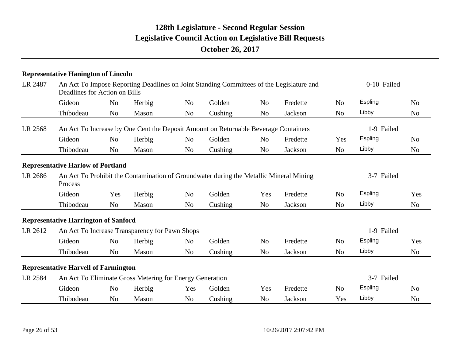|         | <b>Representative Hanington of Lincoln</b>                                                        |                |                                                |                |                                                                                          |                |                |                |            |                |
|---------|---------------------------------------------------------------------------------------------------|----------------|------------------------------------------------|----------------|------------------------------------------------------------------------------------------|----------------|----------------|----------------|------------|----------------|
| LR 2487 | Deadlines for Action on Bills                                                                     |                |                                                |                | An Act To Impose Reporting Deadlines on Joint Standing Committees of the Legislature and |                |                | 0-10 Failed    |            |                |
|         | Gideon                                                                                            | N <sub>o</sub> | Herbig                                         | N <sub>o</sub> | Golden                                                                                   | N <sub>o</sub> | Fredette       | N <sub>o</sub> | Espling    | N <sub>o</sub> |
|         | Thibodeau                                                                                         | N <sub>0</sub> | Mason                                          | N <sub>o</sub> | Cushing                                                                                  | N <sub>o</sub> | Jackson        | N <sub>o</sub> | Libby      | N <sub>o</sub> |
| LR 2568 |                                                                                                   |                |                                                |                | An Act To Increase by One Cent the Deposit Amount on Returnable Beverage Containers      |                |                |                | 1-9 Failed |                |
|         | Gideon                                                                                            | No             | Herbig                                         | N <sub>o</sub> | Golden                                                                                   | N <sub>o</sub> | Fredette       | Yes            | Espling    | N <sub>o</sub> |
|         | Thibodeau                                                                                         | N <sub>o</sub> | Mason                                          | N <sub>o</sub> | Cushing                                                                                  | N <sub>o</sub> | Jackson        | N <sub>o</sub> | Libby      | N <sub>o</sub> |
|         | <b>Representative Harlow of Portland</b>                                                          |                |                                                |                |                                                                                          |                |                |                |            |                |
| LR 2686 | An Act To Prohibit the Contamination of Groundwater during the Metallic Mineral Mining<br>Process |                |                                                |                | 3-7 Failed                                                                               |                |                |                |            |                |
|         | Gideon                                                                                            | Yes            | Herbig                                         | N <sub>o</sub> | Golden                                                                                   | Yes            | Fredette       | N <sub>o</sub> | Espling    | Yes            |
|         | Thibodeau                                                                                         | N <sub>0</sub> | Mason                                          | N <sub>o</sub> | Cushing                                                                                  | No             | Jackson        | N <sub>0</sub> | Libby      | N <sub>o</sub> |
|         | <b>Representative Harrington of Sanford</b>                                                       |                |                                                |                |                                                                                          |                |                |                |            |                |
| LR 2612 |                                                                                                   |                | An Act To Increase Transparency for Pawn Shops |                |                                                                                          |                |                |                | 1-9 Failed |                |
|         | Gideon                                                                                            | N <sub>o</sub> | Herbig                                         | N <sub>o</sub> | Golden                                                                                   | N <sub>o</sub> | Fredette       | N <sub>o</sub> | Espling    | Yes            |
|         | Thibodeau                                                                                         | N <sub>0</sub> | Mason                                          | N <sub>o</sub> | Cushing                                                                                  | N <sub>o</sub> | Jackson        | N <sub>o</sub> | Libby      | N <sub>o</sub> |
|         | <b>Representative Harvell of Farmington</b>                                                       |                |                                                |                |                                                                                          |                |                |                |            |                |
| LR 2584 | An Act To Eliminate Gross Metering for Energy Generation                                          |                | 3-7 Failed                                     |                |                                                                                          |                |                |                |            |                |
|         | Gideon                                                                                            | N <sub>o</sub> | Herbig                                         | Yes            | Golden                                                                                   | Yes            | Fredette       | N <sub>o</sub> | Espling    | N <sub>o</sub> |
|         | Thibodeau                                                                                         | N <sub>0</sub> | Mason                                          | N <sub>o</sub> | Cushing                                                                                  | N <sub>0</sub> | <b>Jackson</b> | Yes            | Libby      | N <sub>o</sub> |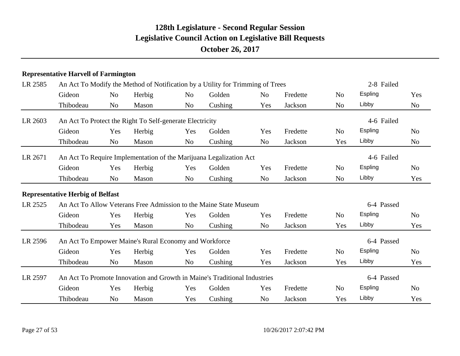#### **Representative Harvell of Farmington**

| LR 2585 | An Act To Modify the Method of Notification by a Utility for Trimming of Trees |                                                                    | 2-8 Failed |                |                                                                           |                |          |                |                |                |
|---------|--------------------------------------------------------------------------------|--------------------------------------------------------------------|------------|----------------|---------------------------------------------------------------------------|----------------|----------|----------------|----------------|----------------|
|         | Gideon                                                                         | N <sub>0</sub>                                                     | Herbig     | N <sub>o</sub> | Golden                                                                    | N <sub>o</sub> | Fredette | N <sub>0</sub> | Espling        | Yes            |
|         | Thibodeau                                                                      | N <sub>0</sub>                                                     | Mason      | N <sub>o</sub> | Cushing                                                                   | Yes            | Jackson  | N <sub>o</sub> | Libby          | N <sub>o</sub> |
| LR 2603 | An Act To Protect the Right To Self-generate Electricity                       |                                                                    |            |                |                                                                           |                |          |                | 4-6 Failed     |                |
|         | Gideon                                                                         | Yes                                                                | Herbig     | Yes            | Golden                                                                    | Yes            | Fredette | N <sub>o</sub> | <b>Espling</b> | N <sub>o</sub> |
|         | Thibodeau                                                                      | N <sub>o</sub>                                                     | Mason      | N <sub>o</sub> | Cushing                                                                   | N <sub>o</sub> | Jackson  | Yes            | Libby          | No             |
| LR 2671 |                                                                                | An Act To Require Implementation of the Marijuana Legalization Act |            |                |                                                                           |                |          |                |                | 4-6 Failed     |
|         | Gideon                                                                         | Yes                                                                | Herbig     | Yes            | Golden                                                                    | Yes            | Fredette | N <sub>o</sub> | <b>Espling</b> | N <sub>0</sub> |
|         | Thibodeau                                                                      | N <sub>o</sub>                                                     | Mason      | N <sub>o</sub> | Cushing                                                                   | N <sub>o</sub> | Jackson  | N <sub>o</sub> | Libby          | Yes            |
|         | <b>Representative Herbig of Belfast</b>                                        |                                                                    |            |                |                                                                           |                |          |                |                |                |
| LR 2525 | An Act To Allow Veterans Free Admission to the Maine State Museum              |                                                                    |            | 6-4 Passed     |                                                                           |                |          |                |                |                |
|         | Gideon                                                                         | Yes                                                                | Herbig     | Yes            | Golden                                                                    | Yes            | Fredette | N <sub>o</sub> | <b>Espling</b> | N <sub>0</sub> |
|         | Thibodeau                                                                      | Yes                                                                | Mason      | N <sub>o</sub> | Cushing                                                                   | N <sub>o</sub> | Jackson  | Yes            | Libby          | Yes            |
| LR 2596 | An Act To Empower Maine's Rural Economy and Workforce                          |                                                                    |            |                |                                                                           |                |          |                | 6-4 Passed     |                |
|         | Gideon                                                                         | Yes                                                                | Herbig     | Yes            | Golden                                                                    | Yes            | Fredette | N <sub>o</sub> | Espling        | N <sub>0</sub> |
|         | Thibodeau                                                                      | N <sub>o</sub>                                                     | Mason      | No             | Cushing                                                                   | Yes            | Jackson  | Yes            | Libby          | Yes            |
| LR 2597 |                                                                                |                                                                    |            |                | An Act To Promote Innovation and Growth in Maine's Traditional Industries |                |          |                | 6-4 Passed     |                |
|         | Gideon                                                                         | Yes                                                                | Herbig     | Yes            | Golden                                                                    | Yes            | Fredette | N <sub>o</sub> | <b>Espling</b> | N <sub>o</sub> |
|         | Thibodeau                                                                      | N <sub>o</sub>                                                     | Mason      | Yes            | Cushing                                                                   | N <sub>o</sub> | Jackson  | Yes            | Libby          | Yes            |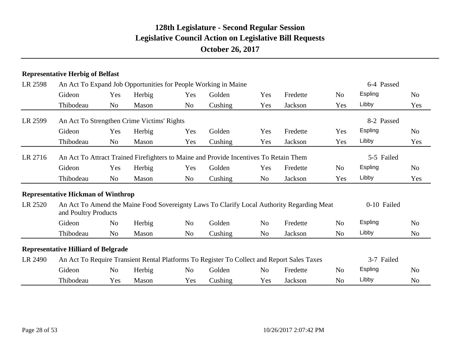#### **Representative Herbig of Belfast**

| LR 2598 | An Act To Expand Job Opportunities for People Working in Maine                                                    |                | 6-4 Passed |                |         |                |          |                |            |                |
|---------|-------------------------------------------------------------------------------------------------------------------|----------------|------------|----------------|---------|----------------|----------|----------------|------------|----------------|
|         | Gideon                                                                                                            | Yes            | Herbig     | Yes            | Golden  | Yes            | Fredette | N <sub>o</sub> | Espling    | N <sub>o</sub> |
|         | Thibodeau                                                                                                         | N <sub>o</sub> | Mason      | No.            | Cushing | Yes            | Jackson  | Yes            | Libby      | Yes            |
| LR 2599 | An Act To Strengthen Crime Victims' Rights                                                                        |                |            |                |         |                |          |                | 8-2 Passed |                |
|         | Gideon                                                                                                            | Yes            | Herbig     | Yes            | Golden  | Yes            | Fredette | Yes            | Espling    | N <sub>o</sub> |
|         | Thibodeau                                                                                                         | N <sub>o</sub> | Mason      | Yes            | Cushing | Yes            | Jackson  | Yes            | Libby      | Yes            |
| LR 2716 | An Act To Attract Trained Firefighters to Maine and Provide Incentives To Retain Them                             |                | 5-5 Failed |                |         |                |          |                |            |                |
|         | Gideon                                                                                                            | Yes            | Herbig     | Yes            | Golden  | Yes            | Fredette | N <sub>o</sub> | Espling    | N <sub>o</sub> |
|         | Thibodeau                                                                                                         | N <sub>o</sub> | Mason      | No             | Cushing | No             | Jackson  | Yes            | Libby      | Yes            |
|         | <b>Representative Hickman of Winthrop</b>                                                                         |                |            |                |         |                |          |                |            |                |
| LR 2520 | An Act To Amend the Maine Food Sovereignty Laws To Clarify Local Authority Regarding Meat<br>and Poultry Products |                |            | 0-10 Failed    |         |                |          |                |            |                |
|         | Gideon                                                                                                            | N <sub>o</sub> | Herbig     | N <sub>o</sub> | Golden  | N <sub>o</sub> | Fredette | N <sub>o</sub> | Espling    | N <sub>o</sub> |
|         | Thibodeau                                                                                                         | N <sub>o</sub> | Mason      | No             | Cushing | N <sub>o</sub> | Jackson  | No             | Libby      | N <sub>o</sub> |
|         | <b>Representative Hilliard of Belgrade</b>                                                                        |                |            |                |         |                |          |                |            |                |
| LR 2490 | An Act To Require Transient Rental Platforms To Register To Collect and Report Sales Taxes                        |                |            | 3-7 Failed     |         |                |          |                |            |                |
|         | Gideon                                                                                                            | N <sub>o</sub> | Herbig     | No.            | Golden  | N <sub>o</sub> | Fredette | N <sub>0</sub> | Espling    | N <sub>o</sub> |
|         | Thibodeau                                                                                                         | Yes            | Mason      | Yes            | Cushing | Yes            | Jackson  | No             | Libby      | N <sub>o</sub> |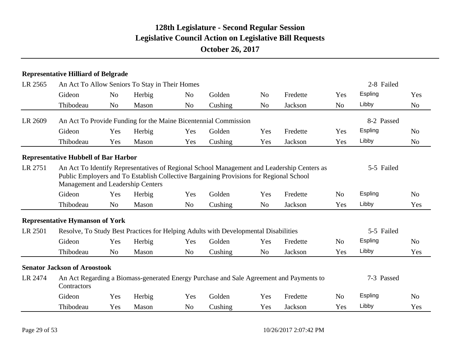| LR 2565 | An Act To Allow Seniors To Stay in Their Homes                                                                                                                                                                            |                |        | 2-8 Failed     |                                                                                     |                |          |                |            |                |
|---------|---------------------------------------------------------------------------------------------------------------------------------------------------------------------------------------------------------------------------|----------------|--------|----------------|-------------------------------------------------------------------------------------|----------------|----------|----------------|------------|----------------|
|         | Gideon                                                                                                                                                                                                                    | N <sub>o</sub> | Herbig | N <sub>o</sub> | Golden                                                                              | N <sub>o</sub> | Fredette | Yes            | Espling    | Yes            |
|         | Thibodeau                                                                                                                                                                                                                 | N <sub>o</sub> | Mason  | N <sub>o</sub> | Cushing                                                                             | N <sub>o</sub> | Jackson  | N <sub>o</sub> | Libby      | N <sub>o</sub> |
| LR 2609 |                                                                                                                                                                                                                           |                |        |                | An Act To Provide Funding for the Maine Bicentennial Commission                     |                |          |                | 8-2 Passed |                |
|         | Gideon                                                                                                                                                                                                                    | Yes            | Herbig | Yes            | Golden                                                                              | Yes            | Fredette | Yes            | Espling    | N <sub>0</sub> |
|         | Thibodeau                                                                                                                                                                                                                 | Yes            | Mason  | Yes            | Cushing                                                                             | Yes            | Jackson  | Yes            | Libby      | N <sub>o</sub> |
|         | <b>Representative Hubbell of Bar Harbor</b>                                                                                                                                                                               |                |        |                |                                                                                     |                |          |                |            |                |
| LR 2751 | An Act To Identify Representatives of Regional School Management and Leadership Centers as<br>Public Employers and To Establish Collective Bargaining Provisions for Regional School<br>Management and Leadership Centers |                |        | 5-5 Failed     |                                                                                     |                |          |                |            |                |
|         | Gideon                                                                                                                                                                                                                    | Yes            | Herbig | Yes            | Golden                                                                              | Yes            | Fredette | N <sub>o</sub> | Espling    | N <sub>0</sub> |
|         | Thibodeau                                                                                                                                                                                                                 | N <sub>o</sub> | Mason  | N <sub>o</sub> | Cushing                                                                             | N <sub>o</sub> | Jackson  | Yes            | Libby      | Yes            |
|         | <b>Representative Hymanson of York</b>                                                                                                                                                                                    |                |        |                |                                                                                     |                |          |                |            |                |
| LR 2501 |                                                                                                                                                                                                                           |                |        |                | Resolve, To Study Best Practices for Helping Adults with Developmental Disabilities |                |          |                | 5-5 Failed |                |
|         | Gideon                                                                                                                                                                                                                    | Yes            | Herbig | Yes            | Golden                                                                              | Yes            | Fredette | N <sub>o</sub> | Espling    | N <sub>0</sub> |
|         | Thibodeau                                                                                                                                                                                                                 | N <sub>o</sub> | Mason  | N <sub>o</sub> | Cushing                                                                             | N <sub>o</sub> | Jackson  | Yes            | Libby      | Yes            |
|         | <b>Senator Jackson of Aroostook</b>                                                                                                                                                                                       |                |        |                |                                                                                     |                |          |                |            |                |
| LR 2474 | An Act Regarding a Biomass-generated Energy Purchase and Sale Agreement and Payments to<br>Contractors                                                                                                                    |                |        | 7-3 Passed     |                                                                                     |                |          |                |            |                |
|         | Gideon                                                                                                                                                                                                                    | Yes            | Herbig | Yes            | Golden                                                                              | Yes            | Fredette | N <sub>o</sub> | Espling    | N <sub>o</sub> |
|         | Thibodeau                                                                                                                                                                                                                 | Yes            | Mason  | N <sub>0</sub> | Cushing                                                                             | Yes            | Jackson  | Yes            | Libby      | Yes            |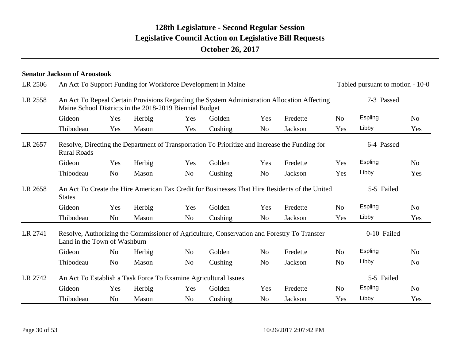|         | <b>Senator Jackson of Aroostook</b>                                                                                  |                |        |                |                                                                                                |                |          |                |                                  |                |  |  |
|---------|----------------------------------------------------------------------------------------------------------------------|----------------|--------|----------------|------------------------------------------------------------------------------------------------|----------------|----------|----------------|----------------------------------|----------------|--|--|
| LR 2506 |                                                                                                                      |                |        |                | An Act To Support Funding for Workforce Development in Maine                                   |                |          |                | Tabled pursuant to motion - 10-0 |                |  |  |
| LR 2558 | Maine School Districts in the 2018-2019 Biennial Budget                                                              |                |        |                | An Act To Repeal Certain Provisions Regarding the System Administration Allocation Affecting   |                |          |                | 7-3 Passed                       |                |  |  |
|         | Gideon                                                                                                               | Yes            | Herbig | Yes            | Golden                                                                                         | Yes            | Fredette | N <sub>o</sub> | Espling                          | N <sub>o</sub> |  |  |
|         | Thibodeau                                                                                                            | Yes            | Mason  | Yes            | Cushing                                                                                        | N <sub>o</sub> | Jackson  | Yes            | Libby                            | Yes            |  |  |
| LR 2657 | Resolve, Directing the Department of Transportation To Prioritize and Increase the Funding for<br><b>Rural Roads</b> |                |        | 6-4 Passed     |                                                                                                |                |          |                |                                  |                |  |  |
|         | Gideon                                                                                                               | Yes            | Herbig | Yes            | Golden                                                                                         | Yes            | Fredette | Yes            | Espling                          | N <sub>o</sub> |  |  |
|         | Thibodeau                                                                                                            | N <sub>o</sub> | Mason  | N <sub>o</sub> | Cushing                                                                                        | N <sub>o</sub> | Jackson  | Yes            | Libby                            | Yes            |  |  |
| LR 2658 | <b>States</b>                                                                                                        |                |        |                | An Act To Create the Hire American Tax Credit for Businesses That Hire Residents of the United |                |          |                | 5-5 Failed                       |                |  |  |
|         | Gideon                                                                                                               | Yes            | Herbig | Yes            | Golden                                                                                         | Yes            | Fredette | N <sub>o</sub> | Espling                          | N <sub>o</sub> |  |  |
|         | Thibodeau                                                                                                            | N <sub>o</sub> | Mason  | N <sub>o</sub> | Cushing                                                                                        | N <sub>o</sub> | Jackson  | Yes            | Libby                            | Yes            |  |  |
| LR 2741 | Land in the Town of Washburn                                                                                         |                |        |                | Resolve, Authorizing the Commissioner of Agriculture, Conservation and Forestry To Transfer    |                |          |                | 0-10 Failed                      |                |  |  |
|         | Gideon                                                                                                               | N <sub>o</sub> | Herbig | N <sub>o</sub> | Golden                                                                                         | N <sub>o</sub> | Fredette | N <sub>o</sub> | Espling                          | N <sub>o</sub> |  |  |
|         | Thibodeau                                                                                                            | N <sub>o</sub> | Mason  | N <sub>o</sub> | Cushing                                                                                        | N <sub>o</sub> | Jackson  | N <sub>o</sub> | Libby                            | N <sub>o</sub> |  |  |
| LR 2742 | An Act To Establish a Task Force To Examine Agricultural Issues                                                      |                |        | 5-5 Failed     |                                                                                                |                |          |                |                                  |                |  |  |
|         | Gideon                                                                                                               | Yes            | Herbig | Yes            | Golden                                                                                         | Yes            | Fredette | N <sub>o</sub> | Espling                          | N <sub>o</sub> |  |  |
|         | Thibodeau                                                                                                            | N <sub>o</sub> | Mason  | N <sub>o</sub> | Cushing                                                                                        | N <sub>0</sub> | Jackson  | Yes            | Libby                            | Yes            |  |  |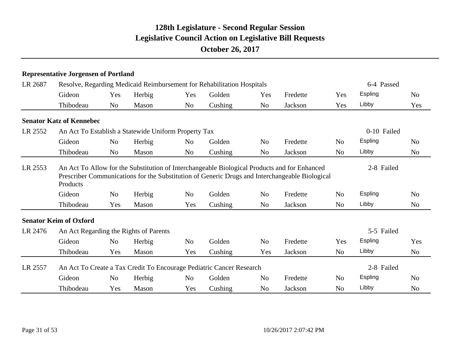|         | <b>Representative Jorgensen of Portland</b>                                                                                                                                                                |                |        |                |                                                                        |                |          |                |             |                |  |
|---------|------------------------------------------------------------------------------------------------------------------------------------------------------------------------------------------------------------|----------------|--------|----------------|------------------------------------------------------------------------|----------------|----------|----------------|-------------|----------------|--|
| LR 2687 |                                                                                                                                                                                                            |                |        |                | Resolve, Regarding Medicaid Reimbursement for Rehabilitation Hospitals |                |          |                | 6-4 Passed  |                |  |
|         | Gideon                                                                                                                                                                                                     | Yes            | Herbig | Yes            | Golden                                                                 | Yes            | Fredette | Yes            | Espling     | N <sub>0</sub> |  |
|         | Thibodeau                                                                                                                                                                                                  | N <sub>o</sub> | Mason  | N <sub>o</sub> | Cushing                                                                | N <sub>o</sub> | Jackson  | Yes            | Libby       | Yes            |  |
|         | <b>Senator Katz of Kennebec</b>                                                                                                                                                                            |                |        |                |                                                                        |                |          |                |             |                |  |
| LR 2552 | An Act To Establish a Statewide Uniform Property Tax                                                                                                                                                       |                |        |                |                                                                        |                |          |                | 0-10 Failed |                |  |
|         | Gideon                                                                                                                                                                                                     | N <sub>o</sub> | Herbig | N <sub>o</sub> | Golden                                                                 | N <sub>0</sub> | Fredette | N <sub>o</sub> | Espling     | N <sub>o</sub> |  |
|         | Thibodeau                                                                                                                                                                                                  | N <sub>0</sub> | Mason  | N <sub>o</sub> | Cushing                                                                | N <sub>o</sub> | Jackson  | N <sub>o</sub> | Libby       | No             |  |
| LR 2553 | An Act To Allow for the Substitution of Interchangeable Biological Products and for Enhanced<br>Prescriber Communications for the Substitution of Generic Drugs and Interchangeable Biological<br>Products |                |        | 2-8 Failed     |                                                                        |                |          |                |             |                |  |
|         | Gideon                                                                                                                                                                                                     | N <sub>o</sub> | Herbig | N <sub>o</sub> | Golden                                                                 | N <sub>0</sub> | Fredette | N <sub>0</sub> | Espling     | N <sub>o</sub> |  |
|         | Thibodeau                                                                                                                                                                                                  | Yes            | Mason  | Yes            | Cushing                                                                | N <sub>0</sub> | Jackson  | N <sub>o</sub> | Libby       | N <sub>o</sub> |  |
|         | <b>Senator Keim of Oxford</b>                                                                                                                                                                              |                |        |                |                                                                        |                |          |                |             |                |  |
| LR 2476 | An Act Regarding the Rights of Parents                                                                                                                                                                     |                |        |                |                                                                        |                |          |                | 5-5 Failed  |                |  |
|         | Gideon                                                                                                                                                                                                     | N <sub>o</sub> | Herbig | N <sub>o</sub> | Golden                                                                 | N <sub>o</sub> | Fredette | Yes            | Espling     | Yes            |  |
|         | Thibodeau                                                                                                                                                                                                  | Yes            | Mason  | Yes            | Cushing                                                                | Yes            | Jackson  | N <sub>o</sub> | Libby       | N <sub>o</sub> |  |
| LR 2557 |                                                                                                                                                                                                            |                |        |                | An Act To Create a Tax Credit To Encourage Pediatric Cancer Research   |                |          |                | 2-8 Failed  |                |  |
|         | Gideon                                                                                                                                                                                                     | N <sub>o</sub> | Herbig | No             | Golden                                                                 | N <sub>o</sub> | Fredette | N <sub>o</sub> | Espling     | N <sub>o</sub> |  |
|         | Thibodeau                                                                                                                                                                                                  | Yes            | Mason  | Yes            | Cushing                                                                | N <sub>o</sub> | Jackson  | N <sub>o</sub> | Libby       | N <sub>o</sub> |  |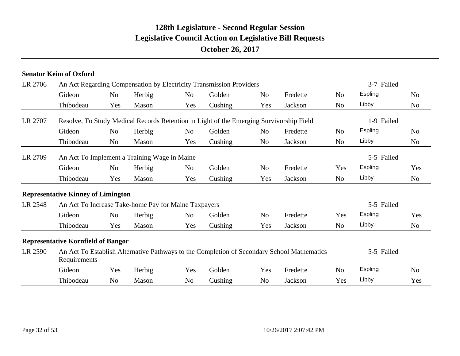|         | <b>Senator Keim of Oxford</b>                        |                |        |                |                                                                                         |                |                                                                                            |                |            |                |
|---------|------------------------------------------------------|----------------|--------|----------------|-----------------------------------------------------------------------------------------|----------------|--------------------------------------------------------------------------------------------|----------------|------------|----------------|
| LR 2706 |                                                      |                |        |                | An Act Regarding Compensation by Electricity Transmission Providers                     |                |                                                                                            |                | 3-7 Failed |                |
|         | Gideon                                               | N <sub>o</sub> | Herbig | N <sub>o</sub> | Golden                                                                                  | N <sub>o</sub> | Fredette                                                                                   | N <sub>o</sub> | Espling    | N <sub>o</sub> |
|         | Thibodeau                                            | Yes            | Mason  | Yes            | Cushing                                                                                 | Yes            | Jackson                                                                                    | N <sub>o</sub> | Libby      | N <sub>0</sub> |
| LR 2707 |                                                      |                |        |                | Resolve, To Study Medical Records Retention in Light of the Emerging Survivorship Field |                |                                                                                            |                | 1-9 Failed |                |
|         | Gideon                                               | N <sub>o</sub> | Herbig | N <sub>o</sub> | Golden                                                                                  | N <sub>o</sub> | Fredette                                                                                   | N <sub>o</sub> | Espling    | N <sub>o</sub> |
|         | Thibodeau                                            | N <sub>o</sub> | Mason  | Yes            | Cushing                                                                                 | N <sub>o</sub> | Jackson                                                                                    | N <sub>o</sub> | Libby      | N <sub>0</sub> |
| LR 2709 | An Act To Implement a Training Wage in Maine         |                |        |                |                                                                                         |                |                                                                                            |                | 5-5 Failed |                |
|         | Gideon                                               | N <sub>o</sub> | Herbig | N <sub>o</sub> | Golden                                                                                  | N <sub>o</sub> | Fredette                                                                                   | Yes            | Espling    | Yes            |
|         | Thibodeau                                            | Yes            | Mason  | Yes            | Cushing                                                                                 | Yes            | Jackson                                                                                    | N <sub>o</sub> | Libby      | N <sub>0</sub> |
|         | <b>Representative Kinney of Limington</b>            |                |        |                |                                                                                         |                |                                                                                            |                |            |                |
| LR 2548 | An Act To Increase Take-home Pay for Maine Taxpayers |                |        |                |                                                                                         |                |                                                                                            |                | 5-5 Failed |                |
|         | Gideon                                               | N <sub>o</sub> | Herbig | N <sub>o</sub> | Golden                                                                                  | N <sub>o</sub> | Fredette                                                                                   | Yes            | Espling    | Yes            |
|         | Thibodeau                                            | Yes            | Mason  | Yes            | Cushing                                                                                 | Yes            | Jackson                                                                                    | N <sub>o</sub> | Libby      | N <sub>0</sub> |
|         | <b>Representative Kornfield of Bangor</b>            |                |        |                |                                                                                         |                |                                                                                            |                |            |                |
| LR 2590 | Requirements                                         |                |        |                |                                                                                         |                | An Act To Establish Alternative Pathways to the Completion of Secondary School Mathematics |                | 5-5 Failed |                |
|         | Gideon                                               | Yes            | Herbig | Yes            | Golden                                                                                  | Yes            | Fredette                                                                                   | N <sub>o</sub> | Espling    | No             |
|         | Thibodeau                                            | N <sub>0</sub> | Mason  | N <sub>0</sub> | Cushing                                                                                 | No             | Jackson                                                                                    | Yes            | Libby      | Yes            |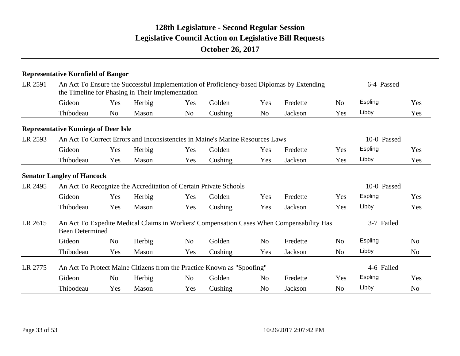|         | <b>Representative Kornfield of Bangor</b>                        |                |                                                  |                |                                                                                           |                |          |                |             |                |  |
|---------|------------------------------------------------------------------|----------------|--------------------------------------------------|----------------|-------------------------------------------------------------------------------------------|----------------|----------|----------------|-------------|----------------|--|
| LR 2591 |                                                                  |                | the Timeline for Phasing in Their Implementation |                | An Act To Ensure the Successful Implementation of Proficiency-based Diplomas by Extending |                |          |                | 6-4 Passed  |                |  |
|         | Gideon                                                           | Yes            | Herbig                                           | Yes            | Golden                                                                                    | Yes            | Fredette | N <sub>0</sub> | Espling     | Yes            |  |
|         | Thibodeau                                                        | N <sub>o</sub> | Mason                                            | N <sub>o</sub> | Cushing                                                                                   | N <sub>o</sub> | Jackson  | Yes            | Libby       | Yes            |  |
|         | <b>Representative Kumiega of Deer Isle</b>                       |                |                                                  |                |                                                                                           |                |          |                |             |                |  |
| LR 2593 |                                                                  |                |                                                  |                | An Act To Correct Errors and Inconsistencies in Maine's Marine Resources Laws             |                |          |                | 10-0 Passed |                |  |
|         | Gideon                                                           | Yes            | Herbig                                           | Yes            | Golden                                                                                    | Yes            | Fredette | <b>Yes</b>     | Espling     | Yes            |  |
|         | Thibodeau                                                        | Yes            | Mason                                            | Yes            | Cushing                                                                                   | Yes            | Jackson  | Yes            | Libby       | Yes            |  |
|         | <b>Senator Langley of Hancock</b>                                |                |                                                  |                |                                                                                           |                |          |                |             |                |  |
| LR 2495 | An Act To Recognize the Accreditation of Certain Private Schools |                |                                                  | 10-0 Passed    |                                                                                           |                |          |                |             |                |  |
|         | Gideon                                                           | Yes            | Herbig                                           | Yes            | Golden                                                                                    | Yes            | Fredette | Yes            | Espling     | Yes            |  |
|         | Thibodeau                                                        | Yes            | Mason                                            | Yes            | Cushing                                                                                   | Yes            | Jackson  | Yes            | Libby       | Yes            |  |
| LR 2615 | <b>Been Determined</b>                                           |                |                                                  |                | An Act To Expedite Medical Claims in Workers' Compensation Cases When Compensability Has  |                |          |                | 3-7 Failed  |                |  |
|         | Gideon                                                           | N <sub>o</sub> | Herbig                                           | N <sub>o</sub> | Golden                                                                                    | N <sub>o</sub> | Fredette | N <sub>o</sub> | Espling     | N <sub>0</sub> |  |
|         | Thibodeau                                                        | Yes            | Mason                                            | Yes            | Cushing                                                                                   | Yes            | Jackson  | N <sub>0</sub> | Libby       | N <sub>0</sub> |  |
| LR 2775 |                                                                  |                |                                                  |                | An Act To Protect Maine Citizens from the Practice Known as "Spoofing"                    |                |          |                | 4-6 Failed  |                |  |
|         | Gideon                                                           | N <sub>o</sub> | Herbig                                           | N <sub>o</sub> | Golden                                                                                    | N <sub>0</sub> | Fredette | Yes            | Espling     | Yes            |  |
|         | Thibodeau                                                        | Yes            | Mason                                            | Yes            | Cushing                                                                                   | N <sub>o</sub> | Jackson  | N <sub>o</sub> | Libby       | N <sub>o</sub> |  |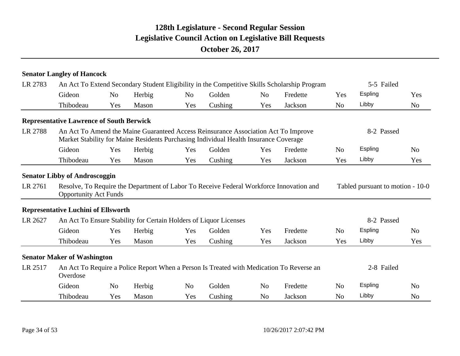|         | <b>Senator Langley of Hancock</b>                                          |                |        |                |                                                                                                                                                                            |                |                                                                                              |                |                                  |                |
|---------|----------------------------------------------------------------------------|----------------|--------|----------------|----------------------------------------------------------------------------------------------------------------------------------------------------------------------------|----------------|----------------------------------------------------------------------------------------------|----------------|----------------------------------|----------------|
| LR 2783 |                                                                            |                |        |                |                                                                                                                                                                            |                | An Act To Extend Secondary Student Eligibility in the Competitive Skills Scholarship Program | 5-5 Failed     |                                  |                |
|         | Gideon                                                                     | N <sub>o</sub> | Herbig | N <sub>o</sub> | Golden                                                                                                                                                                     | N <sub>o</sub> | Fredette                                                                                     | Yes            | Espling                          | Yes            |
|         | Thibodeau                                                                  | Yes            | Mason  | Yes            | Cushing                                                                                                                                                                    | Yes            | Jackson                                                                                      | N <sub>o</sub> | Libby                            | N <sub>o</sub> |
|         | <b>Representative Lawrence of South Berwick</b>                            |                |        |                |                                                                                                                                                                            |                |                                                                                              |                |                                  |                |
| LR 2788 |                                                                            |                |        |                | An Act To Amend the Maine Guaranteed Access Reinsurance Association Act To Improve<br>Market Stability for Maine Residents Purchasing Individual Health Insurance Coverage |                |                                                                                              |                | 8-2 Passed                       |                |
|         | Gideon                                                                     | Yes            | Herbig | Yes            | Golden                                                                                                                                                                     | Yes            | Fredette                                                                                     | N <sub>o</sub> | Espling                          | No             |
|         | Thibodeau                                                                  | Yes            | Mason  | Yes            | Cushing                                                                                                                                                                    | Yes            | Jackson                                                                                      | Yes            | Libby                            | Yes            |
| LR 2761 | <b>Opportunity Act Funds</b><br><b>Representative Luchini of Ellsworth</b> |                |        |                |                                                                                                                                                                            |                | Resolve, To Require the Department of Labor To Receive Federal Workforce Innovation and      |                | Tabled pursuant to motion - 10-0 |                |
| LR 2627 |                                                                            |                |        |                | An Act To Ensure Stability for Certain Holders of Liquor Licenses                                                                                                          |                |                                                                                              |                | 8-2 Passed                       |                |
|         | Gideon                                                                     | Yes            | Herbig | Yes            | Golden                                                                                                                                                                     | Yes            | Fredette                                                                                     | N <sub>o</sub> | Espling                          | N <sub>o</sub> |
|         | Thibodeau                                                                  | Yes            | Mason  | Yes            | Cushing                                                                                                                                                                    | Yes            | Jackson                                                                                      | Yes            | Libby                            | Yes            |
|         | <b>Senator Maker of Washington</b>                                         |                |        |                |                                                                                                                                                                            |                |                                                                                              |                |                                  |                |
| LR 2517 | Overdose                                                                   |                |        |                |                                                                                                                                                                            |                | An Act To Require a Police Report When a Person Is Treated with Medication To Reverse an     |                | 2-8 Failed                       |                |
|         | Gideon                                                                     | N <sub>0</sub> | Herbig | N <sub>o</sub> | Golden                                                                                                                                                                     | N <sub>o</sub> | Fredette                                                                                     | N <sub>o</sub> | Espling                          | N <sub>o</sub> |
|         | Thibodeau                                                                  | Yes            | Mason  | Yes            | Cushing                                                                                                                                                                    | N <sub>o</sub> | Jackson                                                                                      | N <sub>o</sub> | Libby                            | N <sub>o</sub> |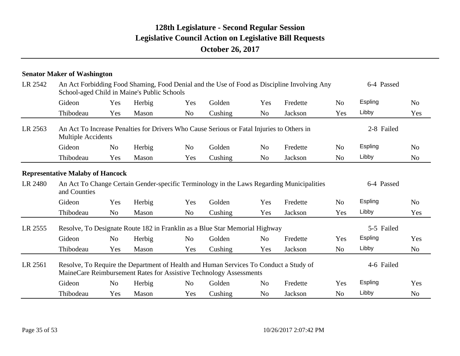|         | <b>Senator Maker of Washington</b>                                                                                                                          |                |                                             |                |                                                                                           |                |                                                                                             |                |            |                |  |
|---------|-------------------------------------------------------------------------------------------------------------------------------------------------------------|----------------|---------------------------------------------|----------------|-------------------------------------------------------------------------------------------|----------------|---------------------------------------------------------------------------------------------|----------------|------------|----------------|--|
| LR 2542 |                                                                                                                                                             |                | School-aged Child in Maine's Public Schools |                |                                                                                           |                | An Act Forbidding Food Shaming, Food Denial and the Use of Food as Discipline Involving Any | 6-4 Passed     |            |                |  |
|         | Gideon                                                                                                                                                      | Yes            | Herbig                                      | Yes            | Golden                                                                                    | Yes            | Fredette                                                                                    | N <sub>o</sub> | Espling    | N <sub>o</sub> |  |
|         | Thibodeau                                                                                                                                                   | Yes            | Mason                                       | N <sub>0</sub> | Cushing                                                                                   | N <sub>o</sub> | Jackson                                                                                     | Yes            | Libby      | Yes            |  |
| LR 2563 | <b>Multiple Accidents</b>                                                                                                                                   |                |                                             |                | An Act To Increase Penalties for Drivers Who Cause Serious or Fatal Injuries to Others in |                |                                                                                             |                | 2-8 Failed |                |  |
|         | Gideon                                                                                                                                                      | N <sub>0</sub> | Herbig                                      | N <sub>0</sub> | Golden                                                                                    | N <sub>0</sub> | Fredette                                                                                    | N <sub>0</sub> | Espling    | N <sub>0</sub> |  |
|         | Thibodeau                                                                                                                                                   | Yes            | Mason                                       | Yes            | Cushing                                                                                   | N <sub>o</sub> | Jackson                                                                                     | N <sub>0</sub> | Libby      | N <sub>o</sub> |  |
|         | <b>Representative Malaby of Hancock</b>                                                                                                                     |                |                                             |                |                                                                                           |                |                                                                                             |                |            |                |  |
| LR 2480 | An Act To Change Certain Gender-specific Terminology in the Laws Regarding Municipalities<br>and Counties                                                   |                |                                             |                |                                                                                           |                |                                                                                             |                | 6-4 Passed |                |  |
|         | Gideon                                                                                                                                                      | Yes            | Herbig                                      | Yes            | Golden                                                                                    | Yes            | Fredette                                                                                    | N <sub>o</sub> | Espling    | N <sub>o</sub> |  |
|         | Thibodeau                                                                                                                                                   | N <sub>o</sub> | Mason                                       | N <sub>o</sub> | Cushing                                                                                   | Yes            | Jackson                                                                                     | Yes            | Libby      | Yes            |  |
| LR 2555 |                                                                                                                                                             |                |                                             |                | Resolve, To Designate Route 182 in Franklin as a Blue Star Memorial Highway               |                |                                                                                             |                | 5-5 Failed |                |  |
|         | Gideon                                                                                                                                                      | N <sub>o</sub> | Herbig                                      | N <sub>o</sub> | Golden                                                                                    | N <sub>o</sub> | Fredette                                                                                    | Yes            | Espling    | Yes            |  |
|         | Thibodeau                                                                                                                                                   | Yes            | Mason                                       | Yes            | Cushing                                                                                   | Yes            | Jackson                                                                                     | N <sub>o</sub> | Libby      | N <sub>0</sub> |  |
| LR 2561 | Resolve, To Require the Department of Health and Human Services To Conduct a Study of<br>MaineCare Reimbursement Rates for Assistive Technology Assessments |                |                                             | 4-6 Failed     |                                                                                           |                |                                                                                             |                |            |                |  |
|         | Gideon                                                                                                                                                      | N <sub>o</sub> | Herbig                                      | N <sub>o</sub> | Golden                                                                                    | N <sub>o</sub> | Fredette                                                                                    | Yes            | Espling    | Yes            |  |
|         | Thibodeau                                                                                                                                                   | Yes            | Mason                                       | Yes            | Cushing                                                                                   | N <sub>o</sub> | Jackson                                                                                     | N <sub>o</sub> | Libby      | N <sub>o</sub> |  |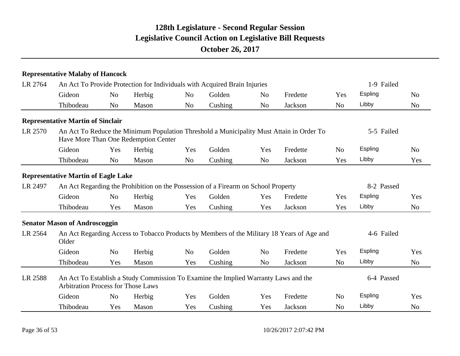|         | <b>Representative Malaby of Hancock</b>                                                                                          |                |                                      |                |                                                                           |                |                                                                                            |                |            |                |
|---------|----------------------------------------------------------------------------------------------------------------------------------|----------------|--------------------------------------|----------------|---------------------------------------------------------------------------|----------------|--------------------------------------------------------------------------------------------|----------------|------------|----------------|
| LR 2764 |                                                                                                                                  |                |                                      |                | An Act To Provide Protection for Individuals with Acquired Brain Injuries |                |                                                                                            |                | 1-9 Failed |                |
|         | Gideon                                                                                                                           | N <sub>o</sub> | Herbig                               | N <sub>o</sub> | Golden                                                                    | N <sub>0</sub> | Fredette                                                                                   | Yes            | Espling    | N <sub>0</sub> |
|         | Thibodeau                                                                                                                        | N <sub>o</sub> | Mason                                | N <sub>o</sub> | Cushing                                                                   | N <sub>o</sub> | Jackson                                                                                    | N <sub>o</sub> | Libby      | N <sub>o</sub> |
|         | <b>Representative Martin of Sinclair</b>                                                                                         |                |                                      |                |                                                                           |                |                                                                                            |                |            |                |
| LR 2570 |                                                                                                                                  |                | Have More Than One Redemption Center |                |                                                                           |                | An Act To Reduce the Minimum Population Threshold a Municipality Must Attain in Order To   |                | 5-5 Failed |                |
|         | Gideon                                                                                                                           | Yes            | Herbig                               | Yes            | Golden                                                                    | Yes            | Fredette                                                                                   | N <sub>o</sub> | Espling    | N <sub>0</sub> |
|         | Thibodeau                                                                                                                        | N <sub>o</sub> | Mason                                | N <sub>o</sub> | Cushing                                                                   | N <sub>o</sub> | Jackson                                                                                    | Yes            | Libby      | Yes            |
|         | <b>Representative Martin of Eagle Lake</b>                                                                                       |                |                                      |                |                                                                           |                |                                                                                            |                |            |                |
| LR 2497 | An Act Regarding the Prohibition on the Possession of a Firearm on School Property                                               |                |                                      | 8-2 Passed     |                                                                           |                |                                                                                            |                |            |                |
|         | Gideon                                                                                                                           | N <sub>0</sub> | Herbig                               | Yes            | Golden                                                                    | Yes            | Fredette                                                                                   | Yes            | Espling    | Yes            |
|         | Thibodeau                                                                                                                        | Yes            | Mason                                | Yes            | Cushing                                                                   | Yes            | Jackson                                                                                    | Yes            | Libby      | N <sub>0</sub> |
|         | <b>Senator Mason of Androscoggin</b>                                                                                             |                |                                      |                |                                                                           |                |                                                                                            |                |            |                |
| LR 2564 | Older                                                                                                                            |                |                                      |                |                                                                           |                | An Act Regarding Access to Tobacco Products by Members of the Military 18 Years of Age and |                | 4-6 Failed |                |
|         | Gideon                                                                                                                           | N <sub>o</sub> | Herbig                               | N <sub>o</sub> | Golden                                                                    | N <sub>o</sub> | Fredette                                                                                   | Yes            | Espling    | Yes            |
|         | Thibodeau                                                                                                                        | Yes            | Mason                                | Yes            | Cushing                                                                   | N <sub>o</sub> | Jackson                                                                                    | N <sub>o</sub> | Libby      | N <sub>0</sub> |
| LR 2588 | An Act To Establish a Study Commission To Examine the Implied Warranty Laws and the<br><b>Arbitration Process for Those Laws</b> |                |                                      |                |                                                                           |                |                                                                                            |                | 6-4 Passed |                |
|         | Gideon                                                                                                                           | N <sub>o</sub> | Herbig                               | Yes            | Golden                                                                    | Yes            | Fredette                                                                                   | N <sub>o</sub> | Espling    | Yes            |
|         | Thibodeau                                                                                                                        | Yes            | Mason                                | Yes            | Cushing                                                                   | Yes            | Jackson                                                                                    | N <sub>o</sub> | Libby      | N <sub>o</sub> |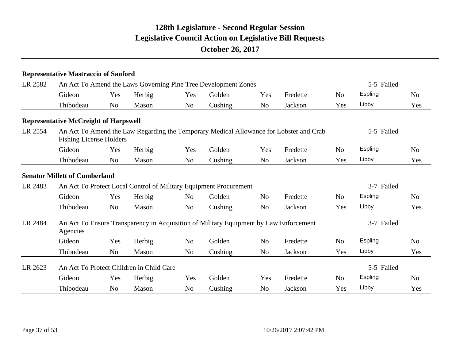|         | <b>Representative Mastraccio of Sanford</b>  |                |                                          |                |                                                                                       |                |                                                                                        |                |            |                |
|---------|----------------------------------------------|----------------|------------------------------------------|----------------|---------------------------------------------------------------------------------------|----------------|----------------------------------------------------------------------------------------|----------------|------------|----------------|
| LR 2582 |                                              |                |                                          |                | An Act To Amend the Laws Governing Pine Tree Development Zones                        |                |                                                                                        |                | 5-5 Failed |                |
|         | Gideon                                       | Yes            | Herbig                                   | Yes            | Golden                                                                                | Yes            | Fredette                                                                               | N <sub>o</sub> | Espling    | N <sub>o</sub> |
|         | Thibodeau                                    | N <sub>o</sub> | Mason                                    | No             | Cushing                                                                               | N <sub>o</sub> | Jackson                                                                                | Yes            | Libby      | Yes            |
|         | <b>Representative McCreight of Harpswell</b> |                |                                          |                |                                                                                       |                |                                                                                        |                |            |                |
| LR 2554 | <b>Fishing License Holders</b>               |                |                                          |                |                                                                                       |                | An Act To Amend the Law Regarding the Temporary Medical Allowance for Lobster and Crab |                | 5-5 Failed |                |
|         | Gideon                                       | Yes            | Herbig                                   | Yes            | Golden                                                                                | Yes            | Fredette                                                                               | N <sub>o</sub> | Espling    | N <sub>o</sub> |
|         | Thibodeau                                    | N <sub>o</sub> | Mason                                    | N <sub>o</sub> | Cushing                                                                               | N <sub>o</sub> | Jackson                                                                                | Yes            | Libby      | Yes            |
|         | <b>Senator Millett of Cumberland</b>         |                |                                          |                |                                                                                       |                |                                                                                        |                |            |                |
| LR 2483 |                                              |                |                                          |                | An Act To Protect Local Control of Military Equipment Procurement                     |                |                                                                                        |                | 3-7 Failed |                |
|         | Gideon                                       | Yes            | Herbig                                   | N <sub>o</sub> | Golden                                                                                | N <sub>o</sub> | Fredette                                                                               | N <sub>o</sub> | Espling    | N <sub>o</sub> |
|         | Thibodeau                                    | N <sub>o</sub> | Mason                                    | N <sub>o</sub> | Cushing                                                                               | N <sub>o</sub> | Jackson                                                                                | Yes            | Libby      | Yes            |
| LR 2484 | Agencies                                     |                |                                          |                | An Act To Ensure Transparency in Acquisition of Military Equipment by Law Enforcement |                |                                                                                        |                | 3-7 Failed |                |
|         | Gideon                                       | Yes            | Herbig                                   | N <sub>o</sub> | Golden                                                                                | N <sub>o</sub> | Fredette                                                                               | N <sub>0</sub> | Espling    | No             |
|         | Thibodeau                                    | N <sub>o</sub> | Mason                                    | N <sub>o</sub> | Cushing                                                                               | N <sub>o</sub> | Jackson                                                                                | Yes            | Libby      | Yes            |
| LR 2623 |                                              |                | An Act To Protect Children in Child Care |                |                                                                                       |                |                                                                                        |                | 5-5 Failed |                |
|         | Gideon                                       | Yes            | Herbig                                   | Yes            | Golden                                                                                | Yes            | Fredette                                                                               | N <sub>o</sub> | Espling    | N <sub>o</sub> |
|         | Thibodeau                                    | N <sub>o</sub> | Mason                                    | N <sub>o</sub> | Cushing                                                                               | N <sub>o</sub> | Jackson                                                                                | Yes            | Libby      | Yes            |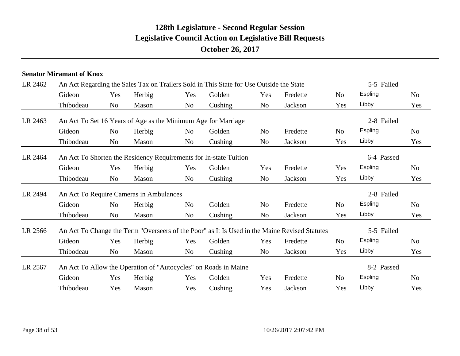# Gideon Yes Herbig Yes Golden Yes Fredette No Espling No Thibodeau Yes Mason Yes Cushing Yes Jackson Yes Libby Yes LR 2567 An Act To Allow the Operation of "Autocycles" on Roads in Maine 8-2 Passed Gideon Yes Herbig Yes Golden Yes Fredette No Espling No Thibodeau No Mason No Cushing No Jackson Yes Libby Yes LR 2566 An Act To Change the Term "Overseers of the Poor" as It Is Used in the Maine Revised Statutes 5-5 Failed Thibodeau No Mason No Cushing No Jackson Yes Libby Yes Gideon No Herbig No Golden No Fredette No Espling No LR 2494 An Act To Require Cameras in Ambulances 2-8 Failed Gideon Yes Herbig Yes Golden Yes Fredette Yes Espling No Thibodeau No Mason No Cushing No Jackson Yes Libby Yes LR 2464 An Act To Shorten the Residency Requirements for In-state Tuition 6-4 Passed Gideon No Herbig No Golden No Fredette No Espling No Thibodeau No Mason No Cushing No Jackson Yes Libby Yes LR 2463 An Act To Set 16 Years of Age as the Minimum Age for Marriage 2-8 Failed Gideon Yes Herbig Yes Golden Yes Fredette No Espling No Thibodeau No Mason No Cushing No Jackson Yes Libby Yes LR 2462 An Act Regarding the Sales Tax on Trailers Sold in This State for Use Outside the State 5-5 Failed **Senator Miramant of Knox**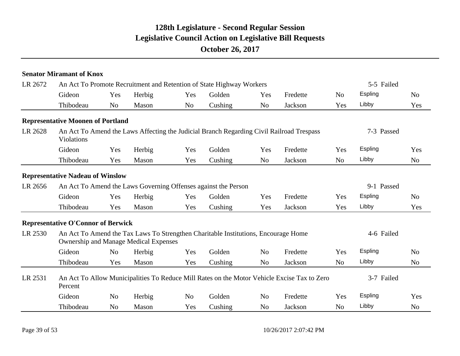|         | <b>Senator Miramant of Knox</b>              |                |        |                |                                                                                    |                |                                                                                             |                |            |                |
|---------|----------------------------------------------|----------------|--------|----------------|------------------------------------------------------------------------------------|----------------|---------------------------------------------------------------------------------------------|----------------|------------|----------------|
| LR 2672 |                                              |                |        |                | An Act To Promote Recruitment and Retention of State Highway Workers               |                |                                                                                             |                | 5-5 Failed |                |
|         | Gideon                                       | Yes            | Herbig | Yes            | Golden                                                                             | Yes            | Fredette                                                                                    | N <sub>o</sub> | Espling    | N <sub>0</sub> |
|         | Thibodeau                                    | N <sub>o</sub> | Mason  | N <sub>o</sub> | Cushing                                                                            | N <sub>o</sub> | Jackson                                                                                     | Yes            | Libby      | Yes            |
|         | <b>Representative Moonen of Portland</b>     |                |        |                |                                                                                    |                |                                                                                             |                |            |                |
| LR 2628 | Violations                                   |                |        |                |                                                                                    |                | An Act To Amend the Laws Affecting the Judicial Branch Regarding Civil Railroad Trespass    |                | 7-3 Passed |                |
|         | Gideon                                       | Yes            | Herbig | Yes            | Golden                                                                             | Yes            | Fredette                                                                                    | Yes            | Espling    | Yes            |
|         | Thibodeau                                    | Yes            | Mason  | Yes            | Cushing                                                                            | N <sub>o</sub> | Jackson                                                                                     | N <sub>o</sub> | Libby      | N <sub>o</sub> |
|         | <b>Representative Nadeau of Winslow</b>      |                |        |                |                                                                                    |                |                                                                                             |                |            |                |
| LR 2656 |                                              |                |        |                | An Act To Amend the Laws Governing Offenses against the Person                     |                |                                                                                             |                | 9-1 Passed |                |
|         | Gideon                                       | Yes            | Herbig | Yes            | Golden                                                                             | Yes            | Fredette                                                                                    | Yes            | Espling    | N <sub>o</sub> |
|         | Thibodeau                                    | Yes            | Mason  | Yes            | Cushing                                                                            | Yes            | Jackson                                                                                     | Yes            | Libby      | Yes            |
|         | <b>Representative O'Connor of Berwick</b>    |                |        |                |                                                                                    |                |                                                                                             |                |            |                |
| LR 2530 | <b>Ownership and Manage Medical Expenses</b> |                |        |                | An Act To Amend the Tax Laws To Strengthen Charitable Institutions, Encourage Home |                |                                                                                             |                | 4-6 Failed |                |
|         | Gideon                                       | N <sub>o</sub> | Herbig | Yes            | Golden                                                                             | N <sub>o</sub> | Fredette                                                                                    | Yes            | Espling    | N <sub>o</sub> |
|         | Thibodeau                                    | Yes            | Mason  | Yes            | Cushing                                                                            | N <sub>o</sub> | Jackson                                                                                     | N <sub>o</sub> | Libby      | N <sub>o</sub> |
| LR 2531 | Percent                                      |                |        |                |                                                                                    |                | An Act To Allow Municipalities To Reduce Mill Rates on the Motor Vehicle Excise Tax to Zero |                | 3-7 Failed |                |
|         | Gideon                                       | N <sub>o</sub> | Herbig | No             | Golden                                                                             | N <sub>o</sub> | Fredette                                                                                    | Yes            | Espling    | Yes            |
|         | Thibodeau                                    | N <sub>o</sub> | Mason  | Yes            | Cushing                                                                            | N <sub>o</sub> | Jackson                                                                                     | N <sub>o</sub> | Libby      | N <sub>o</sub> |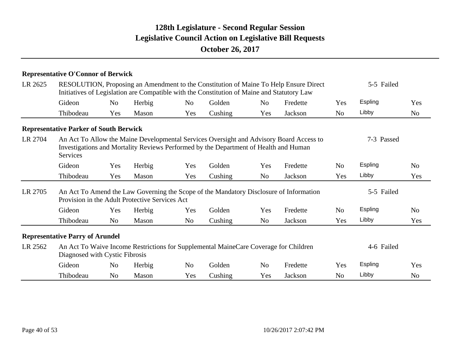|         | <b>Representative O'Connor of Berwick</b>     |                |                                                |                |                                                                                            |                |                                                                                         |                |                |                |
|---------|-----------------------------------------------|----------------|------------------------------------------------|----------------|--------------------------------------------------------------------------------------------|----------------|-----------------------------------------------------------------------------------------|----------------|----------------|----------------|
| LR 2625 |                                               |                |                                                |                | Initiatives of Legislation are Compatible with the Constitution of Maine and Statutory Law |                | RESOLUTION, Proposing an Amendment to the Constitution of Maine To Help Ensure Direct   |                | 5-5 Failed     |                |
|         | Gideon                                        | N <sub>0</sub> | Herbig                                         | N <sub>o</sub> | Golden                                                                                     | N <sub>o</sub> | Fredette                                                                                | Yes            | Espling        | Yes            |
|         | Thibodeau                                     | Yes            | Mason                                          | Yes            | Cushing                                                                                    | Yes            | Jackson                                                                                 | N <sub>0</sub> | Libby          | N <sub>0</sub> |
|         | <b>Representative Parker of South Berwick</b> |                |                                                |                |                                                                                            |                |                                                                                         |                |                |                |
| LR 2704 | Services                                      |                |                                                |                | Investigations and Mortality Reviews Performed by the Department of Health and Human       |                | An Act To Allow the Maine Developmental Services Oversight and Advisory Board Access to |                | 7-3 Passed     |                |
|         | Gideon                                        | Yes            | Herbig                                         | Yes            | Golden                                                                                     | Yes            | Fredette                                                                                | N <sub>o</sub> | Espling        | N <sub>o</sub> |
|         | Thibodeau                                     | Yes            | Mason                                          | Yes            | Cushing                                                                                    | No             | Jackson                                                                                 | Yes            | Libby          | Yes            |
| LR 2705 |                                               |                | Provision in the Adult Protective Services Act |                |                                                                                            |                | An Act To Amend the Law Governing the Scope of the Mandatory Disclosure of Information  |                | 5-5 Failed     |                |
|         | Gideon                                        | Yes            | Herbig                                         | Yes            | Golden                                                                                     | Yes            | Fredette                                                                                | N <sub>o</sub> | <b>Espling</b> | N <sub>o</sub> |
|         | Thibodeau                                     | N <sub>o</sub> | Mason                                          | N <sub>o</sub> | Cushing                                                                                    | N <sub>0</sub> | Jackson                                                                                 | Yes            | Libby          | Yes            |
|         | <b>Representative Parry of Arundel</b>        |                |                                                |                |                                                                                            |                |                                                                                         |                |                |                |
| LR 2562 | Diagnosed with Cystic Fibrosis                |                |                                                |                | An Act To Waive Income Restrictions for Supplemental MaineCare Coverage for Children       |                |                                                                                         |                | 4-6 Failed     |                |
|         | Gideon                                        | N <sub>0</sub> | Herbig                                         | N <sub>0</sub> | Golden                                                                                     | N <sub>0</sub> | Fredette                                                                                | Yes            | Espling        | Yes            |
|         | Thibodeau                                     | N <sub>o</sub> | Mason                                          | Yes            | Cushing                                                                                    | Yes            | Jackson                                                                                 | N <sub>o</sub> | Libby          | N <sub>o</sub> |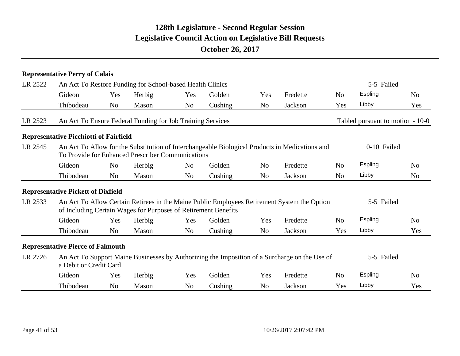|         | <b>Representative Perry of Calais</b>                          |                |        |                |         |                |                                                                                                |                |                                  |                |
|---------|----------------------------------------------------------------|----------------|--------|----------------|---------|----------------|------------------------------------------------------------------------------------------------|----------------|----------------------------------|----------------|
| LR 2522 | An Act To Restore Funding for School-based Health Clinics      |                |        |                |         |                |                                                                                                |                | 5-5 Failed                       |                |
|         | Gideon                                                         | Yes            | Herbig | Yes            | Golden  | Yes            | Fredette                                                                                       | N <sub>0</sub> | Espling                          | N <sub>0</sub> |
|         | Thibodeau                                                      | N <sub>o</sub> | Mason  | N <sub>o</sub> | Cushing | N <sub>o</sub> | Jackson                                                                                        | Yes            | Libby                            | Yes            |
| LR 2523 | An Act To Ensure Federal Funding for Job Training Services     |                |        |                |         |                |                                                                                                |                | Tabled pursuant to motion - 10-0 |                |
|         | <b>Representative Picchiotti of Fairfield</b>                  |                |        |                |         |                |                                                                                                |                |                                  |                |
| LR 2545 | To Provide for Enhanced Prescriber Communications              |                |        |                |         |                | An Act To Allow for the Substitution of Interchangeable Biological Products in Medications and |                | 0-10 Failed                      |                |
|         | Gideon                                                         | N <sub>0</sub> | Herbig | N <sub>o</sub> | Golden  | N <sub>0</sub> | Fredette                                                                                       | N <sub>0</sub> | Espling                          | N <sub>0</sub> |
|         | Thibodeau                                                      | N <sub>o</sub> | Mason  | N <sub>o</sub> | Cushing | N <sub>o</sub> | Jackson                                                                                        | N <sub>o</sub> | Libby                            | N <sub>0</sub> |
|         | <b>Representative Pickett of Dixfield</b>                      |                |        |                |         |                |                                                                                                |                |                                  |                |
| LR 2533 | of Including Certain Wages for Purposes of Retirement Benefits |                |        |                |         |                | An Act To Allow Certain Retirees in the Maine Public Employees Retirement System the Option    |                | 5-5 Failed                       |                |
|         | Gideon                                                         | Yes            | Herbig | Yes            | Golden  | Yes            | Fredette                                                                                       | N <sub>0</sub> | Espling                          | N <sub>0</sub> |
|         | Thibodeau                                                      | N <sub>o</sub> | Mason  | N <sub>o</sub> | Cushing | N <sub>o</sub> | Jackson                                                                                        | Yes            | Libby                            | Yes            |
|         | <b>Representative Pierce of Falmouth</b>                       |                |        |                |         |                |                                                                                                |                |                                  |                |
| LR 2726 | a Debit or Credit Card                                         |                |        |                |         |                | An Act To Support Maine Businesses by Authorizing the Imposition of a Surcharge on the Use of  |                | 5-5 Failed                       |                |
|         | Gideon                                                         | Yes            | Herbig | Yes            | Golden  | Yes            | Fredette                                                                                       | N <sub>o</sub> | Espling                          | N <sub>0</sub> |
|         | Thibodeau                                                      | N <sub>0</sub> | Mason  | N <sub>o</sub> | Cushing | N <sub>o</sub> | Jackson                                                                                        | Yes            | Libby                            | Yes            |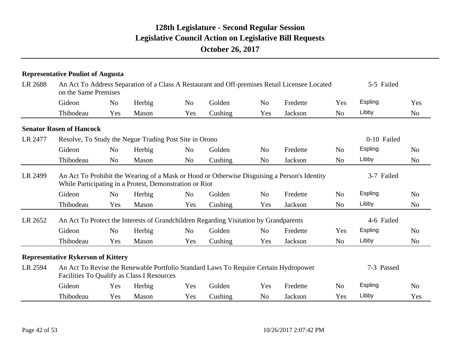|         | <b>Representative Pouliot of Augusta</b>               |                |                                                         |                |                                                                                       |                |                                                                                               |                |             |                |
|---------|--------------------------------------------------------|----------------|---------------------------------------------------------|----------------|---------------------------------------------------------------------------------------|----------------|-----------------------------------------------------------------------------------------------|----------------|-------------|----------------|
| LR 2688 | on the Same Premises                                   |                |                                                         |                |                                                                                       |                | An Act To Address Separation of a Class A Restaurant and Off-premises Retail Licensee Located |                | 5-5 Failed  |                |
|         | Gideon                                                 | N <sub>0</sub> | Herbig                                                  | No             | Golden                                                                                | N <sub>o</sub> | Fredette                                                                                      | Yes            | Espling     | Yes            |
|         | Thibodeau                                              | Yes            | Mason                                                   | Yes            | Cushing                                                                               | Yes            | Jackson                                                                                       | N <sub>o</sub> | Libby       | N <sub>o</sub> |
|         | <b>Senator Rosen of Hancock</b>                        |                |                                                         |                |                                                                                       |                |                                                                                               |                |             |                |
| LR 2477 | Resolve, To Study the Negue Trading Post Site in Orono |                |                                                         |                |                                                                                       |                |                                                                                               |                | 0-10 Failed |                |
|         | Gideon                                                 | N <sub>o</sub> | Herbig                                                  | N <sub>o</sub> | Golden                                                                                | N <sub>o</sub> | Fredette                                                                                      | N <sub>o</sub> | Espling     | N <sub>o</sub> |
|         | Thibodeau                                              | N <sub>o</sub> | Mason                                                   | N <sub>o</sub> | Cushing                                                                               | N <sub>o</sub> | Jackson                                                                                       | N <sub>o</sub> | Libby       | N <sub>o</sub> |
| LR 2499 |                                                        |                | While Participating in a Protest, Demonstration or Riot |                |                                                                                       |                | An Act To Prohibit the Wearing of a Mask or Hood or Otherwise Disguising a Person's Identity  |                | 3-7 Failed  |                |
|         | Gideon                                                 | N <sub>0</sub> | Herbig                                                  | N <sub>o</sub> | Golden                                                                                | N <sub>o</sub> | Fredette                                                                                      | N <sub>o</sub> | Espling     | N <sub>o</sub> |
|         | Thibodeau                                              | Yes            | Mason                                                   | Yes            | Cushing                                                                               | Yes            | Jackson                                                                                       | N <sub>o</sub> | Libby       | N <sub>o</sub> |
| LR 2652 |                                                        |                |                                                         |                | An Act To Protect the Interests of Grandchildren Regarding Visitation by Grandparents |                |                                                                                               |                | 4-6 Failed  |                |
|         | Gideon                                                 | N <sub>o</sub> | Herbig                                                  | N <sub>o</sub> | Golden                                                                                | N <sub>o</sub> | Fredette                                                                                      | Yes            | Espling     | N <sub>o</sub> |
|         | Thibodeau                                              | Yes            | Mason                                                   | Yes            | Cushing                                                                               | Yes            | Jackson                                                                                       | N <sub>o</sub> | Libby       | N <sub>o</sub> |
|         | <b>Representative Rykerson of Kittery</b>              |                |                                                         |                |                                                                                       |                |                                                                                               |                |             |                |
| LR 2594 |                                                        |                | Facilities To Qualify as Class I Resources              |                | An Act To Revise the Renewable Portfolio Standard Laws To Require Certain Hydropower  |                |                                                                                               |                | 7-3 Passed  |                |
|         | Gideon                                                 | Yes            | Herbig                                                  | Yes            | Golden                                                                                | Yes            | Fredette                                                                                      | N <sub>o</sub> | Espling     | N <sub>o</sub> |
|         | Thibodeau                                              | Yes            | Mason                                                   | Yes            | Cushing                                                                               | N <sub>o</sub> | Jackson                                                                                       | Yes            | Libby       | Yes            |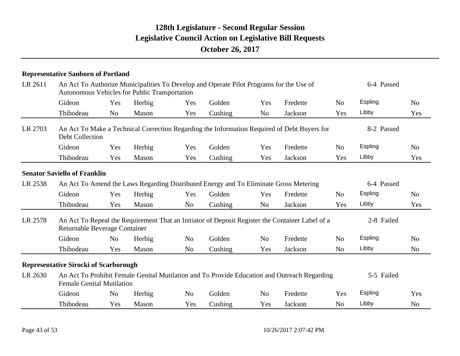|         | <b>Representative Sanborn of Portland</b>    |                |                                                      |                |                                                                                         |                |                                                                                                 |                |            |                |
|---------|----------------------------------------------|----------------|------------------------------------------------------|----------------|-----------------------------------------------------------------------------------------|----------------|-------------------------------------------------------------------------------------------------|----------------|------------|----------------|
| LR 2611 |                                              |                | <b>Autonomous Vehicles for Public Transportation</b> |                | An Act To Authorize Municipalities To Develop and Operate Pilot Programs for the Use of |                |                                                                                                 |                | 6-4 Passed |                |
|         | Gideon                                       | Yes            | Herbig                                               | Yes            | Golden                                                                                  | Yes            | Fredette                                                                                        | N <sub>0</sub> | Espling    | N <sub>0</sub> |
|         | Thibodeau                                    | N <sub>o</sub> | Mason                                                | Yes            | Cushing                                                                                 | N <sub>o</sub> | Jackson                                                                                         | Yes            | Libby      | Yes            |
| LR 2703 | Debt Collection                              |                |                                                      |                |                                                                                         |                | An Act To Make a Technical Correction Regarding the Information Required of Debt Buyers for     |                | 8-2 Passed |                |
|         | Gideon                                       | Yes            | Herbig                                               | Yes            | Golden                                                                                  | Yes            | Fredette                                                                                        | N <sub>0</sub> | Espling    | N <sub>o</sub> |
|         | Thibodeau                                    | Yes            | Mason                                                | Yes            | Cushing                                                                                 | Yes            | Jackson                                                                                         | Yes            | Libby      | Yes            |
|         | <b>Senator Saviello of Franklin</b>          |                |                                                      |                |                                                                                         |                |                                                                                                 |                |            |                |
| LR 2538 |                                              |                |                                                      |                |                                                                                         |                | An Act To Amend the Laws Regarding Distributed Energy and To Eliminate Gross Metering           |                | 6-4 Passed |                |
|         | Gideon                                       | Yes            | Herbig                                               | Yes            | Golden                                                                                  | Yes            | Fredette                                                                                        | N <sub>o</sub> | Espling    | N <sub>o</sub> |
|         | Thibodeau                                    | Yes            | Mason                                                | N <sub>o</sub> | Cushing                                                                                 | N <sub>o</sub> | Jackson                                                                                         | Yes            | Libby      | Yes            |
| LR 2578 | Returnable Beverage Container                |                |                                                      |                |                                                                                         |                | An Act To Repeal the Requirement That an Initiator of Deposit Register the Container Label of a |                | 2-8 Failed |                |
|         | Gideon                                       | N <sub>o</sub> | Herbig                                               | N <sub>o</sub> | Golden                                                                                  | N <sub>o</sub> | Fredette                                                                                        | N <sub>o</sub> | Espling    | N <sub>o</sub> |
|         | Thibodeau                                    | Yes            | Mason                                                | N <sub>o</sub> | Cushing                                                                                 | Yes            | Jackson                                                                                         | N <sub>o</sub> | Libby      | N <sub>o</sub> |
|         | <b>Representative Sirocki of Scarborough</b> |                |                                                      |                |                                                                                         |                |                                                                                                 |                |            |                |
| LR 2630 | <b>Female Genital Mutilation</b>             |                |                                                      |                |                                                                                         |                | An Act To Prohibit Female Genital Mutilation and To Provide Education and Outreach Regarding    |                | 5-5 Failed |                |
|         | Gideon                                       | N <sub>o</sub> | Herbig                                               | N <sub>o</sub> | Golden                                                                                  | N <sub>o</sub> | Fredette                                                                                        | Yes            | Espling    | Yes            |
|         | Thibodeau                                    | Yes            | Mason                                                | Yes            | Cushing                                                                                 | Yes            | Jackson                                                                                         | N <sub>o</sub> | Libby      | N <sub>o</sub> |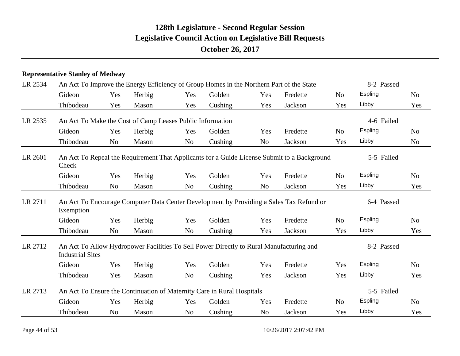#### **Representative Stanley of Medway**

| LR 2534 |                                                           |                |        |                | An Act To Improve the Energy Efficiency of Group Homes in the Northern Part of the State    |                |          |                | 8-2 Passed |                |
|---------|-----------------------------------------------------------|----------------|--------|----------------|---------------------------------------------------------------------------------------------|----------------|----------|----------------|------------|----------------|
|         | Gideon                                                    | Yes            | Herbig | Yes            | Golden                                                                                      | Yes            | Fredette | N <sub>0</sub> | Espling    | No             |
|         | Thibodeau                                                 | Yes            | Mason  | Yes            | Cushing                                                                                     | Yes            | Jackson  | Yes            | Libby      | Yes            |
| LR 2535 | An Act To Make the Cost of Camp Leases Public Information |                |        |                |                                                                                             |                |          |                | 4-6 Failed |                |
|         | Gideon                                                    | Yes            | Herbig | Yes            | Golden                                                                                      | Yes            | Fredette | N <sub>0</sub> | Espling    | N <sub>0</sub> |
|         | Thibodeau                                                 | N <sub>o</sub> | Mason  | N <sub>o</sub> | Cushing                                                                                     | N <sub>o</sub> | Jackson  | Yes            | Libby      | N <sub>o</sub> |
| LR 2601 | Check                                                     |                |        |                | An Act To Repeal the Requirement That Applicants for a Guide License Submit to a Background |                |          |                | 5-5 Failed |                |
|         | Gideon                                                    | Yes            | Herbig | Yes            | Golden                                                                                      | Yes            | Fredette | N <sub>o</sub> | Espling    | N <sub>0</sub> |
|         | Thibodeau                                                 | N <sub>0</sub> | Mason  | N <sub>o</sub> | Cushing                                                                                     | N <sub>o</sub> | Jackson  | Yes            | Libby      | Yes            |
| LR 2711 | Exemption                                                 |                |        |                | An Act To Encourage Computer Data Center Development by Providing a Sales Tax Refund or     |                |          |                | 6-4 Passed |                |
|         | Gideon                                                    | Yes            | Herbig | Yes            | Golden                                                                                      | Yes            | Fredette | N <sub>o</sub> | Espling    | N <sub>o</sub> |
|         | Thibodeau                                                 | N <sub>o</sub> | Mason  | N <sub>o</sub> | Cushing                                                                                     | Yes            | Jackson  | Yes            | Libby      | Yes            |
| LR 2712 | <b>Industrial Sites</b>                                   |                |        |                | An Act To Allow Hydropower Facilities To Sell Power Directly to Rural Manufacturing and     |                |          |                | 8-2 Passed |                |
|         | Gideon                                                    | Yes            | Herbig | Yes            | Golden                                                                                      | Yes            | Fredette | Yes            | Espling    | N <sub>o</sub> |
|         | Thibodeau                                                 | Yes            | Mason  | N <sub>o</sub> | Cushing                                                                                     | Yes            | Jackson  | Yes            | Libby      | Yes            |
| LR 2713 |                                                           |                |        |                | An Act To Ensure the Continuation of Maternity Care in Rural Hospitals                      |                |          |                | 5-5 Failed |                |
|         | Gideon                                                    | Yes            | Herbig | Yes            | Golden                                                                                      | Yes            | Fredette | N <sub>o</sub> | Espling    | N <sub>o</sub> |
|         | Thibodeau                                                 | N <sub>o</sub> | Mason  | N <sub>o</sub> | Cushing                                                                                     | N <sub>o</sub> | Jackson  | Yes            | Libby      | Yes            |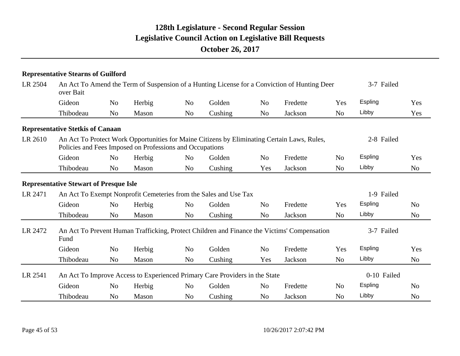|         | <b>Representative Stearns of Guilford</b>     |                |                                                          |                |                                                                                              |                |          |                |             |                |
|---------|-----------------------------------------------|----------------|----------------------------------------------------------|----------------|----------------------------------------------------------------------------------------------|----------------|----------|----------------|-------------|----------------|
| LR 2504 | over Bait                                     |                |                                                          |                | An Act To Amend the Term of Suspension of a Hunting License for a Conviction of Hunting Deer |                |          |                | 3-7 Failed  |                |
|         | Gideon                                        | N <sub>0</sub> | Herbig                                                   | N <sub>o</sub> | Golden                                                                                       | N <sub>o</sub> | Fredette | Yes            | Espling     | Yes            |
|         | Thibodeau                                     | N <sub>o</sub> | Mason                                                    | N <sub>o</sub> | Cushing                                                                                      | N <sub>o</sub> | Jackson  | N <sub>o</sub> | Libby       | Yes            |
|         | <b>Representative Stetkis of Canaan</b>       |                |                                                          |                |                                                                                              |                |          |                |             |                |
| LR 2610 |                                               |                | Policies and Fees Imposed on Professions and Occupations |                | An Act To Protect Work Opportunities for Maine Citizens by Eliminating Certain Laws, Rules,  |                |          |                | 2-8 Failed  |                |
|         | Gideon                                        | N <sub>o</sub> | Herbig                                                   | N <sub>o</sub> | Golden                                                                                       | N <sub>o</sub> | Fredette | N <sub>0</sub> | Espling     | Yes            |
|         | Thibodeau                                     | N <sub>o</sub> | Mason                                                    | N <sub>o</sub> | Cushing                                                                                      | Yes            | Jackson  | N <sub>o</sub> | Libby       | N <sub>0</sub> |
|         | <b>Representative Stewart of Presque Isle</b> |                |                                                          |                |                                                                                              |                |          |                |             |                |
| LR 2471 |                                               |                |                                                          |                | An Act To Exempt Nonprofit Cemeteries from the Sales and Use Tax                             |                |          |                | 1-9 Failed  |                |
|         | Gideon                                        | N <sub>o</sub> | Herbig                                                   | N <sub>o</sub> | Golden                                                                                       | N <sub>o</sub> | Fredette | Yes            | Espling     | N <sub>0</sub> |
|         | Thibodeau                                     | N <sub>o</sub> | Mason                                                    | N <sub>o</sub> | Cushing                                                                                      | N <sub>o</sub> | Jackson  | N <sub>o</sub> | Libby       | N <sub>0</sub> |
| LR 2472 | Fund                                          |                |                                                          |                | An Act To Prevent Human Trafficking, Protect Children and Finance the Victims' Compensation  |                |          |                | 3-7 Failed  |                |
|         | Gideon                                        | N <sub>o</sub> | Herbig                                                   | N <sub>o</sub> | Golden                                                                                       | N <sub>o</sub> | Fredette | Yes            | Espling     | Yes            |
|         | Thibodeau                                     | N <sub>o</sub> | Mason                                                    | N <sub>o</sub> | Cushing                                                                                      | Yes            | Jackson  | N <sub>o</sub> | Libby       | N <sub>0</sub> |
| LR 2541 |                                               |                |                                                          |                | An Act To Improve Access to Experienced Primary Care Providers in the State                  |                |          |                | 0-10 Failed |                |
|         | Gideon                                        | N <sub>o</sub> | Herbig                                                   | N <sub>o</sub> | Golden                                                                                       | N <sub>o</sub> | Fredette | N <sub>o</sub> | Espling     | N <sub>0</sub> |
|         | Thibodeau                                     | N <sub>o</sub> | Mason                                                    | N <sub>o</sub> | Cushing                                                                                      | N <sub>o</sub> | Jackson  | N <sub>o</sub> | Libby       | N <sub>0</sub> |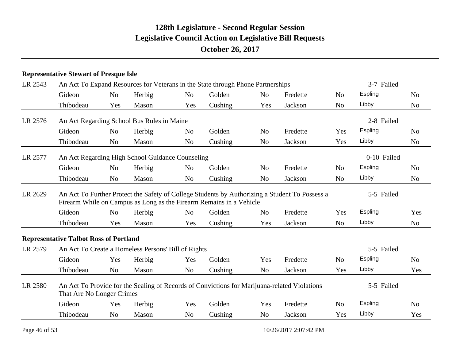#### **Representative Stewart of Presque Isle**

| LR 2543 |                                               |                |                                                     |                | An Act To Expand Resources for Veterans in the State through Phone Partnerships |                |                                                                                                |                | 3-7 Failed  |                |
|---------|-----------------------------------------------|----------------|-----------------------------------------------------|----------------|---------------------------------------------------------------------------------|----------------|------------------------------------------------------------------------------------------------|----------------|-------------|----------------|
|         | Gideon                                        | N <sub>o</sub> | Herbig                                              | N <sub>o</sub> | Golden                                                                          | N <sub>o</sub> | Fredette                                                                                       | N <sub>o</sub> | Espling     | N <sub>o</sub> |
|         | Thibodeau                                     | Yes            | Mason                                               | Yes            | Cushing                                                                         | Yes            | Jackson                                                                                        | N <sub>o</sub> | Libby       | N <sub>o</sub> |
| LR 2576 |                                               |                | An Act Regarding School Bus Rules in Maine          |                |                                                                                 |                |                                                                                                |                | 2-8 Failed  |                |
|         | Gideon                                        | N <sub>0</sub> | Herbig                                              | N <sub>o</sub> | Golden                                                                          | N <sub>0</sub> | Fredette                                                                                       | Yes            | Espling     | N <sub>0</sub> |
|         | Thibodeau                                     | N <sub>0</sub> | Mason                                               | N <sub>o</sub> | Cushing                                                                         | N <sub>o</sub> | Jackson                                                                                        | Yes            | Libby       | N <sub>o</sub> |
| LR 2577 |                                               |                | An Act Regarding High School Guidance Counseling    |                |                                                                                 |                |                                                                                                |                | 0-10 Failed |                |
|         | Gideon                                        | N <sub>0</sub> | Herbig                                              | N <sub>o</sub> | Golden                                                                          | N <sub>o</sub> | Fredette                                                                                       | N <sub>o</sub> | Espling     | N <sub>0</sub> |
|         | Thibodeau                                     | N <sub>o</sub> | Mason                                               | N <sub>o</sub> | Cushing                                                                         | N <sub>o</sub> | Jackson                                                                                        | N <sub>o</sub> | Libby       | N <sub>o</sub> |
| LR 2629 |                                               |                |                                                     |                | Firearm While on Campus as Long as the Firearm Remains in a Vehicle             |                | An Act To Further Protect the Safety of College Students by Authorizing a Student To Possess a |                | 5-5 Failed  |                |
|         | Gideon                                        | N <sub>o</sub> | Herbig                                              | N <sub>o</sub> | Golden                                                                          | N <sub>o</sub> | Fredette                                                                                       | Yes            | Espling     | Yes            |
|         | Thibodeau                                     | Yes            | Mason                                               | Yes            | Cushing                                                                         | Yes            | Jackson                                                                                        | N <sub>o</sub> | Libby       | N <sub>o</sub> |
|         | <b>Representative Talbot Ross of Portland</b> |                |                                                     |                |                                                                                 |                |                                                                                                |                |             |                |
| LR 2579 |                                               |                | An Act To Create a Homeless Persons' Bill of Rights |                |                                                                                 |                |                                                                                                |                | 5-5 Failed  |                |
|         | Gideon                                        | Yes            | Herbig                                              | Yes            | Golden                                                                          | Yes            | Fredette                                                                                       | N <sub>o</sub> | Espling     | N <sub>o</sub> |
|         | Thibodeau                                     | N <sub>o</sub> | Mason                                               | N <sub>o</sub> | Cushing                                                                         | N <sub>o</sub> | Jackson                                                                                        | Yes            | Libby       | Yes            |
| LR 2580 | That Are No Longer Crimes                     |                |                                                     |                |                                                                                 |                | An Act To Provide for the Sealing of Records of Convictions for Marijuana-related Violations   |                | 5-5 Failed  |                |
|         | Gideon                                        | Yes            | Herbig                                              | Yes            | Golden                                                                          | Yes            | Fredette                                                                                       | N <sub>o</sub> | Espling     | N <sub>o</sub> |
|         | Thibodeau                                     | N <sub>o</sub> | Mason                                               | N <sub>o</sub> | Cushing                                                                         | N <sub>o</sub> | Jackson                                                                                        | Yes            | Libby       | Yes            |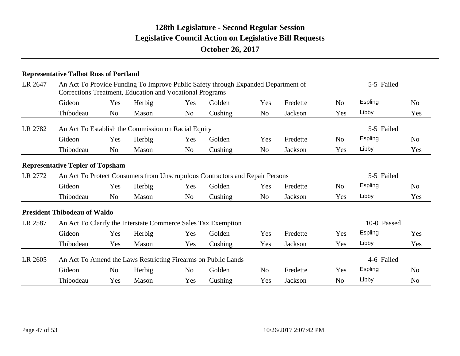|         | <b>Representative Talbot Ross of Portland</b> |                |                                                               |                |                                                                                   |                |          |                |                |                |
|---------|-----------------------------------------------|----------------|---------------------------------------------------------------|----------------|-----------------------------------------------------------------------------------|----------------|----------|----------------|----------------|----------------|
| LR 2647 |                                               |                | Corrections Treatment, Education and Vocational Programs      |                | An Act To Provide Funding To Improve Public Safety through Expanded Department of |                |          |                | 5-5 Failed     |                |
|         | Gideon                                        | Yes            | Herbig                                                        | Yes            | Golden                                                                            | Yes            | Fredette | N <sub>0</sub> | <b>Espling</b> | N <sub>0</sub> |
|         | Thibodeau                                     | N <sub>o</sub> | Mason                                                         | No             | Cushing                                                                           | N <sub>o</sub> | Jackson  | Yes            | Libby          | Yes            |
| LR 2782 |                                               |                | An Act To Establish the Commission on Racial Equity           |                |                                                                                   |                |          |                | 5-5 Failed     |                |
|         | Gideon                                        | Yes            | Herbig                                                        | Yes            | Golden                                                                            | Yes            | Fredette | No             | <b>Espling</b> | N <sub>o</sub> |
|         | Thibodeau                                     | N <sub>0</sub> | Mason                                                         | No             | Cushing                                                                           | N <sub>0</sub> | Jackson  | Yes            | Libby          | Yes            |
|         | <b>Representative Tepler of Topsham</b>       |                |                                                               |                |                                                                                   |                |          |                |                |                |
| LR 2772 |                                               |                |                                                               |                | An Act To Protect Consumers from Unscrupulous Contractors and Repair Persons      |                |          |                | 5-5 Failed     |                |
|         | Gideon                                        | Yes            | Herbig                                                        | Yes            | Golden                                                                            | Yes            | Fredette | N <sub>0</sub> | Espling        | N <sub>o</sub> |
|         | Thibodeau                                     | No             | Mason                                                         | N <sub>o</sub> | Cushing                                                                           | N <sub>o</sub> | Jackson  | Yes            | Libby          | Yes            |
|         | <b>President Thibodeau of Waldo</b>           |                |                                                               |                |                                                                                   |                |          |                |                |                |
| LR 2587 |                                               |                | An Act To Clarify the Interstate Commerce Sales Tax Exemption |                |                                                                                   |                |          |                | 10-0 Passed    |                |
|         | Gideon                                        | Yes            | Herbig                                                        | Yes            | Golden                                                                            | Yes            | Fredette | Yes            | <b>Espling</b> | Yes            |
|         | Thibodeau                                     | Yes            | Mason                                                         | Yes            | Cushing                                                                           | Yes            | Jackson  | Yes            | Libby          | Yes            |
| LR 2605 |                                               |                |                                                               |                | An Act To Amend the Laws Restricting Firearms on Public Lands                     |                |          |                | 4-6 Failed     |                |
|         | Gideon                                        | N <sub>o</sub> | Herbig                                                        | No             | Golden                                                                            | N <sub>o</sub> | Fredette | Yes            | <b>Espling</b> | N <sub>o</sub> |
|         | Thibodeau                                     | Yes            | Mason                                                         | Yes            | Cushing                                                                           | Yes            | Jackson  | No             | Libby          | No             |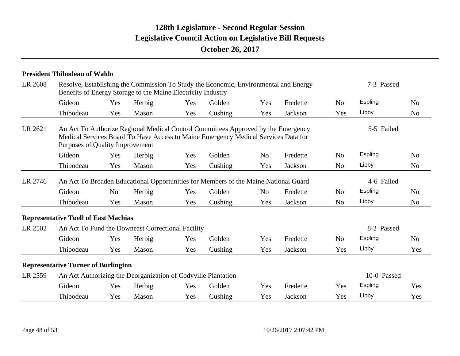|         | <b>President Thibodeau of Waldo</b>                           |                |        |     |                                                                                                                                                                         |                |          |                |             |                |
|---------|---------------------------------------------------------------|----------------|--------|-----|-------------------------------------------------------------------------------------------------------------------------------------------------------------------------|----------------|----------|----------------|-------------|----------------|
| LR 2608 | Benefits of Energy Storage to the Maine Electricity Industry  |                |        |     | Resolve, Establishing the Commission To Study the Economic, Environmental and Energy                                                                                    |                |          |                | 7-3 Passed  |                |
|         | Gideon                                                        | Yes            | Herbig | Yes | Golden                                                                                                                                                                  | Yes            | Fredette | N <sub>o</sub> | Espling     | No             |
|         | Thibodeau                                                     | Yes            | Mason  | Yes | Cushing                                                                                                                                                                 | Yes            | Jackson  | Yes            | Libby       | N <sub>o</sub> |
| LR 2621 | Purposes of Quality Improvement                               |                |        |     | An Act To Authorize Regional Medical Control Committees Approved by the Emergency<br>Medical Services Board To Have Access to Maine Emergency Medical Services Data for |                |          |                | 5-5 Failed  |                |
|         | Gideon                                                        | Yes            | Herbig | Yes | Golden                                                                                                                                                                  | N <sub>o</sub> | Fredette | N <sub>0</sub> | Espling     | No             |
|         | Thibodeau                                                     | Yes            | Mason  | Yes | Cushing                                                                                                                                                                 | Yes            | Jackson  | N <sub>o</sub> | Libby       | N <sub>o</sub> |
| LR 2746 |                                                               |                |        |     | An Act To Broaden Educational Opportunities for Members of the Maine National Guard                                                                                     |                |          |                | 4-6 Failed  |                |
|         | Gideon                                                        | N <sub>o</sub> | Herbig | Yes | Golden                                                                                                                                                                  | N <sub>o</sub> | Fredette | N <sub>o</sub> | Espling     | N <sub>o</sub> |
|         | Thibodeau                                                     | Yes            | Mason  | Yes | Cushing                                                                                                                                                                 | Yes            | Jackson  | N <sub>o</sub> | Libby       | N <sub>o</sub> |
|         | <b>Representative Tuell of East Machias</b>                   |                |        |     |                                                                                                                                                                         |                |          |                |             |                |
| LR 2502 | An Act To Fund the Downeast Correctional Facility             |                |        |     |                                                                                                                                                                         |                |          |                | 8-2 Passed  |                |
|         | Gideon                                                        | Yes            | Herbig | Yes | Golden                                                                                                                                                                  | Yes            | Fredette | N <sub>o</sub> | Espling     | N <sub>0</sub> |
|         | Thibodeau                                                     | Yes            | Mason  | Yes | Cushing                                                                                                                                                                 | Yes            | Jackson  | Yes            | Libby       | Yes            |
|         | <b>Representative Turner of Burlington</b>                    |                |        |     |                                                                                                                                                                         |                |          |                |             |                |
| LR 2559 | An Act Authorizing the Deorganization of Codyville Plantation |                |        |     |                                                                                                                                                                         |                |          |                | 10-0 Passed |                |
|         | Gideon                                                        | Yes            | Herbig | Yes | Golden                                                                                                                                                                  | Yes            | Fredette | Yes            | Espling     | Yes            |
|         | Thibodeau                                                     | Yes            | Mason  | Yes | Cushing                                                                                                                                                                 | Yes            | Jackson  | Yes            | Libby       | Yes            |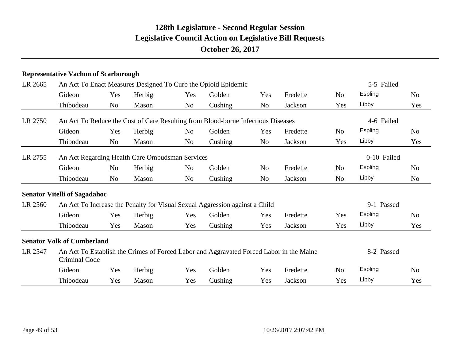|         | <b>Representative Vachon of Scarborough</b>     |                |        |                |                                                                                         |     |          |                |             |                |
|---------|-------------------------------------------------|----------------|--------|----------------|-----------------------------------------------------------------------------------------|-----|----------|----------------|-------------|----------------|
| LR 2665 |                                                 |                |        |                | An Act To Enact Measures Designed To Curb the Opioid Epidemic                           |     |          |                | 5-5 Failed  |                |
|         | Gideon                                          | Yes            | Herbig | Yes            | Golden                                                                                  | Yes | Fredette | N <sub>o</sub> | Espling     | N <sub>o</sub> |
|         | Thibodeau                                       | N <sub>o</sub> | Mason  | N <sub>o</sub> | Cushing                                                                                 | No  | Jackson  | Yes            | Libby       | Yes            |
| LR 2750 |                                                 |                |        |                | An Act To Reduce the Cost of Care Resulting from Blood-borne Infectious Diseases        |     |          |                | 4-6 Failed  |                |
|         | Gideon                                          | Yes            | Herbig | N <sub>o</sub> | Golden                                                                                  | Yes | Fredette | N <sub>o</sub> | Espling     | N <sub>0</sub> |
|         | Thibodeau                                       | N <sub>o</sub> | Mason  | No             | Cushing                                                                                 | No  | Jackson  | Yes            | Libby       | Yes            |
| LR 2755 | An Act Regarding Health Care Ombudsman Services |                |        |                |                                                                                         |     |          |                | 0-10 Failed |                |
|         | Gideon                                          | No             | Herbig | N <sub>0</sub> | Golden                                                                                  | No  | Fredette | N <sub>o</sub> | Espling     | No             |
|         | Thibodeau                                       | N <sub>o</sub> | Mason  | No             | Cushing                                                                                 | No  | Jackson  | No             | Libby       | N <sub>o</sub> |
|         | <b>Senator Vitelli of Sagadahoc</b>             |                |        |                |                                                                                         |     |          |                |             |                |
| LR 2560 |                                                 |                |        |                | An Act To Increase the Penalty for Visual Sexual Aggression against a Child             |     |          |                | 9-1 Passed  |                |
|         | Gideon                                          | Yes            | Herbig | Yes            | Golden                                                                                  | Yes | Fredette | Yes            | Espling     | N <sub>0</sub> |
|         | Thibodeau                                       | Yes            | Mason  | Yes            | Cushing                                                                                 | Yes | Jackson  | Yes            | Libby       | Yes            |
|         | <b>Senator Volk of Cumberland</b>               |                |        |                |                                                                                         |     |          |                |             |                |
| LR 2547 | Criminal Code                                   |                |        |                | An Act To Establish the Crimes of Forced Labor and Aggravated Forced Labor in the Maine |     |          |                | 8-2 Passed  |                |
|         | Gideon                                          | Yes            | Herbig | Yes            | Golden                                                                                  | Yes | Fredette | N <sub>o</sub> | Espling     | N <sub>0</sub> |
|         | Thibodeau                                       | Yes            | Mason  | Yes            | Cushing                                                                                 | Yes | Jackson  | Yes            | Libby       | Yes            |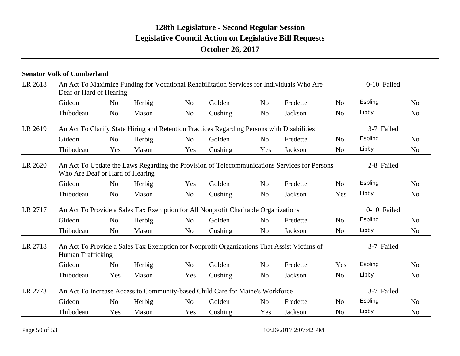|         | <b>Senator Volk of Cumberland</b>                                                                                               |                |        |                |         |                |          |                |         |                |  |
|---------|---------------------------------------------------------------------------------------------------------------------------------|----------------|--------|----------------|---------|----------------|----------|----------------|---------|----------------|--|
| LR 2618 | An Act To Maximize Funding for Vocational Rehabilitation Services for Individuals Who Are<br>Deaf or Hard of Hearing            | 0-10 Failed    |        |                |         |                |          |                |         |                |  |
|         | Gideon                                                                                                                          | N <sub>o</sub> | Herbig | N <sub>o</sub> | Golden  | N <sub>o</sub> | Fredette | N <sub>o</sub> | Espling | N <sub>o</sub> |  |
|         | Thibodeau                                                                                                                       | N <sub>0</sub> | Mason  | N <sub>o</sub> | Cushing | N <sub>0</sub> | Jackson  | N <sub>o</sub> | Libby   | N <sub>o</sub> |  |
| LR 2619 | An Act To Clarify State Hiring and Retention Practices Regarding Persons with Disabilities                                      | 3-7 Failed     |        |                |         |                |          |                |         |                |  |
|         | Gideon                                                                                                                          | N <sub>o</sub> | Herbig | N <sub>o</sub> | Golden  | N <sub>o</sub> | Fredette | N <sub>o</sub> | Espling | N <sub>o</sub> |  |
|         | Thibodeau                                                                                                                       | Yes            | Mason  | Yes            | Cushing | Yes            | Jackson  | N <sub>o</sub> | Libby   | N <sub>o</sub> |  |
| LR 2620 | An Act To Update the Laws Regarding the Provision of Telecommunications Services for Persons<br>Who Are Deaf or Hard of Hearing | 2-8 Failed     |        |                |         |                |          |                |         |                |  |
|         | Gideon                                                                                                                          | N <sub>o</sub> | Herbig | Yes            | Golden  | N <sub>o</sub> | Fredette | N <sub>o</sub> | Espling | N <sub>o</sub> |  |
|         | Thibodeau                                                                                                                       | N <sub>o</sub> | Mason  | N <sub>o</sub> | Cushing | N <sub>o</sub> | Jackson  | Yes            | Libby   | N <sub>o</sub> |  |
| LR 2717 | An Act To Provide a Sales Tax Exemption for All Nonprofit Charitable Organizations                                              |                |        |                |         |                |          |                |         | 0-10 Failed    |  |
|         | Gideon                                                                                                                          | N <sub>o</sub> | Herbig | N <sub>o</sub> | Golden  | N <sub>o</sub> | Fredette | N <sub>o</sub> | Espling | N <sub>o</sub> |  |
|         | Thibodeau                                                                                                                       | N <sub>o</sub> | Mason  | N <sub>o</sub> | Cushing | N <sub>o</sub> | Jackson  | N <sub>o</sub> | Libby   | N <sub>o</sub> |  |
| LR 2718 | An Act To Provide a Sales Tax Exemption for Nonprofit Organizations That Assist Victims of<br>Human Trafficking                 |                |        |                |         |                |          |                |         | 3-7 Failed     |  |
|         | Gideon                                                                                                                          | N <sub>o</sub> | Herbig | N <sub>o</sub> | Golden  | N <sub>o</sub> | Fredette | Yes            | Espling | N <sub>o</sub> |  |
|         | Thibodeau                                                                                                                       | Yes            | Mason  | Yes            | Cushing | N <sub>o</sub> | Jackson  | N <sub>o</sub> | Libby   | N <sub>o</sub> |  |
| LR 2773 | An Act To Increase Access to Community-based Child Care for Maine's Workforce                                                   |                |        |                |         |                |          |                |         | 3-7 Failed     |  |
|         | Gideon                                                                                                                          | N <sub>o</sub> | Herbig | N <sub>o</sub> | Golden  | N <sub>o</sub> | Fredette | N <sub>o</sub> | Espling | N <sub>o</sub> |  |
|         | Thibodeau                                                                                                                       | Yes            | Mason  | Yes            | Cushing | Yes            | Jackson  | N <sub>o</sub> | Libby   | N <sub>o</sub> |  |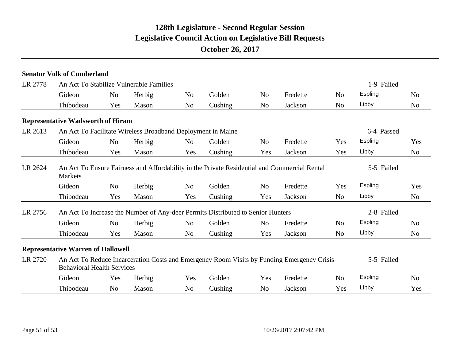|         | <b>Senator Volk of Cumberland</b>                                                                                                             |                |            |                |         |                |          |                |                |                |  |
|---------|-----------------------------------------------------------------------------------------------------------------------------------------------|----------------|------------|----------------|---------|----------------|----------|----------------|----------------|----------------|--|
| LR 2778 | An Act To Stabilize Vulnerable Families                                                                                                       |                |            | 1-9 Failed     |         |                |          |                |                |                |  |
|         | Gideon                                                                                                                                        | N <sub>o</sub> | Herbig     | No             | Golden  | N <sub>o</sub> | Fredette | N <sub>o</sub> | Espling        | N <sub>o</sub> |  |
|         | Thibodeau                                                                                                                                     | Yes            | Mason      | N <sub>o</sub> | Cushing | N <sub>o</sub> | Jackson  | N <sub>o</sub> | Libby          | N <sub>o</sub> |  |
|         | <b>Representative Wadsworth of Hiram</b>                                                                                                      |                |            |                |         |                |          |                |                |                |  |
| LR 2613 | An Act To Facilitate Wireless Broadband Deployment in Maine                                                                                   |                | 6-4 Passed |                |         |                |          |                |                |                |  |
|         | Gideon                                                                                                                                        | N <sub>o</sub> | Herbig     | N <sub>o</sub> | Golden  | N <sub>0</sub> | Fredette | <b>Yes</b>     | Espling        | Yes            |  |
|         | Thibodeau                                                                                                                                     | Yes            | Mason      | Yes            | Cushing | Yes            | Jackson  | Yes            | Libby          | No             |  |
| LR 2624 | An Act To Ensure Fairness and Affordability in the Private Residential and Commercial Rental<br><b>Markets</b>                                |                |            |                |         |                |          |                | 5-5 Failed     |                |  |
|         | Gideon                                                                                                                                        | N <sub>o</sub> | Herbig     | N <sub>o</sub> | Golden  | N <sub>0</sub> | Fredette | Yes            | Espling        | Yes            |  |
|         | Thibodeau                                                                                                                                     | Yes            | Mason      | Yes            | Cushing | Yes            | Jackson  | N <sub>o</sub> | Libby          | N <sub>o</sub> |  |
| LR 2756 | An Act To Increase the Number of Any-deer Permits Distributed to Senior Hunters                                                               |                |            |                |         |                |          |                | 2-8 Failed     |                |  |
|         | Gideon                                                                                                                                        | N <sub>o</sub> | Herbig     | No             | Golden  | N <sub>o</sub> | Fredette | N <sub>0</sub> | <b>Espling</b> | N <sub>0</sub> |  |
|         | Thibodeau                                                                                                                                     | Yes            | Mason      | N <sub>o</sub> | Cushing | Yes            | Jackson  | N <sub>o</sub> | Libby          | N <sub>o</sub> |  |
|         | <b>Representative Warren of Hallowell</b>                                                                                                     |                |            |                |         |                |          |                |                |                |  |
| LR 2720 | An Act To Reduce Incarceration Costs and Emergency Room Visits by Funding Emergency Crisis<br>5-5 Failed<br><b>Behavioral Health Services</b> |                |            |                |         |                |          |                |                |                |  |
|         | Gideon                                                                                                                                        | Yes            | Herbig     | Yes            | Golden  | Yes            | Fredette | N <sub>o</sub> | Espling        | No             |  |
|         | Thibodeau                                                                                                                                     | N <sub>o</sub> | Mason      | No             | Cushing | N <sub>o</sub> | Jackson  | Yes            | Libby          | Yes            |  |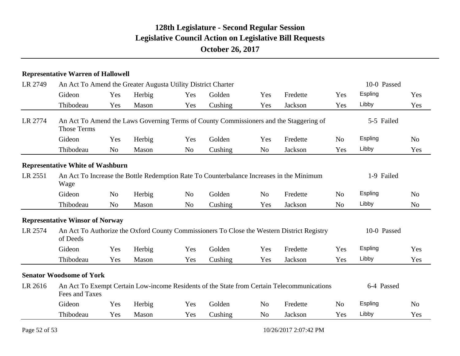#### **Representative Warren of Hallowell**

| LR 2749 | An Act To Amend the Greater Augusta Utility District Charter                                                 |                |        | 10-0 Passed    |         |                |          |                |             |                |  |
|---------|--------------------------------------------------------------------------------------------------------------|----------------|--------|----------------|---------|----------------|----------|----------------|-------------|----------------|--|
|         | Gideon                                                                                                       | Yes            | Herbig | Yes            | Golden  | Yes            | Fredette | Yes            | Espling     | Yes            |  |
|         | Thibodeau                                                                                                    | Yes            | Mason  | Yes            | Cushing | Yes            | Jackson  | Yes            | Libby       | Yes            |  |
| LR 2774 | An Act To Amend the Laws Governing Terms of County Commissioners and the Staggering of<br><b>Those Terms</b> |                |        | 5-5 Failed     |         |                |          |                |             |                |  |
|         | Gideon                                                                                                       | Yes            | Herbig | Yes            | Golden  | Yes            | Fredette | N <sub>o</sub> | Espling     | N <sub>o</sub> |  |
|         | Thibodeau                                                                                                    | N <sub>o</sub> | Mason  | No             | Cushing | N <sub>o</sub> | Jackson  | Yes            | Libby       | Yes            |  |
|         | <b>Representative White of Washburn</b>                                                                      |                |        |                |         |                |          |                |             |                |  |
| LR 2551 | An Act To Increase the Bottle Redemption Rate To Counterbalance Increases in the Minimum<br>Wage             |                |        |                |         |                |          |                | 1-9 Failed  |                |  |
|         | Gideon                                                                                                       | N <sub>o</sub> | Herbig | N <sub>o</sub> | Golden  | N <sub>o</sub> | Fredette | N <sub>0</sub> | Espling     | N <sub>o</sub> |  |
|         | Thibodeau                                                                                                    | N <sub>o</sub> | Mason  | N <sub>o</sub> | Cushing | Yes            | Jackson  | N <sub>o</sub> | Libby       | N <sub>o</sub> |  |
|         | <b>Representative Winsor of Norway</b>                                                                       |                |        |                |         |                |          |                |             |                |  |
| LR 2574 | An Act To Authorize the Oxford County Commissioners To Close the Western District Registry<br>of Deeds       |                |        |                |         |                |          |                | 10-0 Passed |                |  |
|         | Gideon                                                                                                       | Yes            | Herbig | Yes            | Golden  | Yes            | Fredette | Yes            | Espling     | Yes            |  |
|         | Thibodeau                                                                                                    | Yes            | Mason  | Yes            | Cushing | Yes            | Jackson  | Yes            | Libby       | Yes            |  |
|         | <b>Senator Woodsome of York</b>                                                                              |                |        |                |         |                |          |                |             |                |  |
| LR 2616 | An Act To Exempt Certain Low-income Residents of the State from Certain Telecommunications<br>Fees and Taxes |                |        |                |         |                |          |                | 6-4 Passed  |                |  |
|         | Gideon                                                                                                       | Yes            | Herbig | Yes            | Golden  | N <sub>o</sub> | Fredette | N <sub>o</sub> | Espling     | N <sub>o</sub> |  |
|         | Thibodeau                                                                                                    | Yes            | Mason  | Yes            | Cushing | N <sub>o</sub> | Jackson  | Yes            | Libby       | Yes            |  |